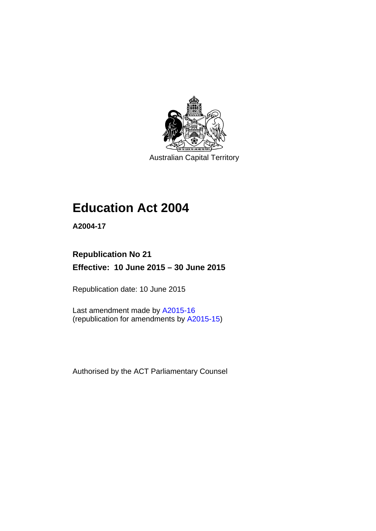

Australian Capital Territory

# **Education Act 2004**

**A2004-17** 

# **Republication No 21 Effective: 10 June 2015 – 30 June 2015**

Republication date: 10 June 2015

Last amendment made by [A2015-16](http://www.legislation.act.gov.au/a/2015-16) (republication for amendments by [A2015-15](http://www.legislation.act.gov.au/a/2015-15/default.asp))

Authorised by the ACT Parliamentary Counsel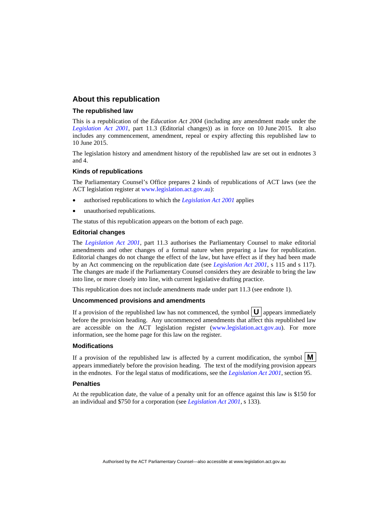### **About this republication**

### **The republished law**

This is a republication of the *Education Act 2004* (including any amendment made under the *[Legislation Act 2001](http://www.legislation.act.gov.au/a/2001-14)*, part 11.3 (Editorial changes)) as in force on 10 June 2015*.* It also includes any commencement, amendment, repeal or expiry affecting this republished law to 10 June 2015.

The legislation history and amendment history of the republished law are set out in endnotes 3 and 4.

### **Kinds of republications**

The Parliamentary Counsel's Office prepares 2 kinds of republications of ACT laws (see the ACT legislation register at [www.legislation.act.gov.au](http://www.legislation.act.gov.au/)):

- authorised republications to which the *[Legislation Act 2001](http://www.legislation.act.gov.au/a/2001-14)* applies
- unauthorised republications.

The status of this republication appears on the bottom of each page.

### **Editorial changes**

The *[Legislation Act 2001](http://www.legislation.act.gov.au/a/2001-14)*, part 11.3 authorises the Parliamentary Counsel to make editorial amendments and other changes of a formal nature when preparing a law for republication. Editorial changes do not change the effect of the law, but have effect as if they had been made by an Act commencing on the republication date (see *[Legislation Act 2001](http://www.legislation.act.gov.au/a/2001-14)*, s 115 and s 117). The changes are made if the Parliamentary Counsel considers they are desirable to bring the law into line, or more closely into line, with current legislative drafting practice.

This republication does not include amendments made under part 11.3 (see endnote 1).

### **Uncommenced provisions and amendments**

If a provision of the republished law has not commenced, the symbol  $\mathbf{U}$  appears immediately before the provision heading. Any uncommenced amendments that affect this republished law are accessible on the ACT legislation register [\(www.legislation.act.gov.au\)](http://www.legislation.act.gov.au/). For more information, see the home page for this law on the register.

### **Modifications**

If a provision of the republished law is affected by a current modification, the symbol  $\mathbf{M}$ appears immediately before the provision heading. The text of the modifying provision appears in the endnotes. For the legal status of modifications, see the *[Legislation Act 2001](http://www.legislation.act.gov.au/a/2001-14)*, section 95.

### **Penalties**

At the republication date, the value of a penalty unit for an offence against this law is \$150 for an individual and \$750 for a corporation (see *[Legislation Act 2001](http://www.legislation.act.gov.au/a/2001-14)*, s 133).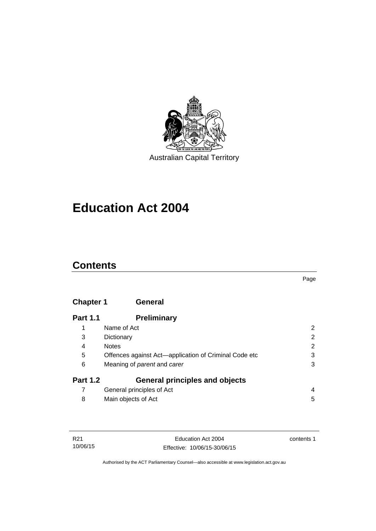

# **Education Act 2004**

# **Contents**

### Page

# **[Chapter 1](#page-13-0) General**

| <b>Part 1.1</b> | <b>Preliminary</b>                                    |                       |
|-----------------|-------------------------------------------------------|-----------------------|
|                 | Name of Act                                           | 2                     |
| 3               | Dictionary                                            | $\overline{2}$        |
| 4               | <b>Notes</b>                                          | $\mathbf{2}^{\prime}$ |
| 5               | Offences against Act-application of Criminal Code etc | 3                     |
| 6               | Meaning of <i>parent</i> and <i>carer</i>             | 3                     |
| <b>Part 1.2</b> | <b>General principles and objects</b>                 |                       |
|                 | General principles of Act                             | 4                     |
| 8               | Main objects of Act                                   | 5                     |

| R21      |  |
|----------|--|
| 10/06/15 |  |

contents 1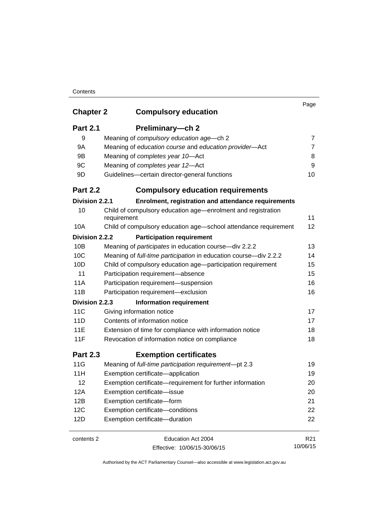| <b>Chapter 2</b> | <b>Compulsory education</b>                                                 | Page            |
|------------------|-----------------------------------------------------------------------------|-----------------|
| <b>Part 2.1</b>  | Preliminary-ch 2                                                            |                 |
| 9                | Meaning of compulsory education age-ch 2                                    | 7               |
| 9A               | Meaning of education course and education provider-Act                      | 7               |
| 9Β               | Meaning of completes year 10-Act                                            | 8               |
| 9C               | Meaning of completes year 12-Act                                            | 9               |
| 9D               | Guidelines-certain director-general functions                               | 10              |
| <b>Part 2.2</b>  | <b>Compulsory education requirements</b>                                    |                 |
| Division 2.2.1   | Enrolment, registration and attendance requirements                         |                 |
| 10               | Child of compulsory education age-enrolment and registration<br>requirement | 11              |
| 10A              | Child of compulsory education age-school attendance requirement             | 12              |
| Division 2.2.2   | <b>Participation requirement</b>                                            |                 |
| 10B              | Meaning of <i>participates</i> in education course-div 2.2.2                | 13              |
| 10C              | Meaning of full-time participation in education course-div 2.2.2            | 14              |
| 10D              | Child of compulsory education age-participation requirement                 | 15              |
| 11               | Participation requirement-absence                                           | 15              |
| 11A              | Participation requirement-suspension                                        | 16              |
| 11B              | Participation requirement-exclusion                                         | 16              |
| Division 2.2.3   | <b>Information requirement</b>                                              |                 |
| 11C              | Giving information notice                                                   | 17              |
| 11D              | Contents of information notice                                              | 17              |
| <b>11E</b>       | Extension of time for compliance with information notice                    | 18              |
| 11F              | Revocation of information notice on compliance                              | 18              |
| <b>Part 2.3</b>  | <b>Exemption certificates</b>                                               |                 |
| 11G              | Meaning of full-time participation requirement-pt 2.3                       | 19              |
| 11H              | Exemption certificate-application                                           | 19              |
| 12               | Exemption certificate—requirement for further information                   | 20              |
| 12A              | Exemption certificate-issue                                                 | 20              |
| 12B              | Exemption certificate-form                                                  | 21              |
| 12C              | Exemption certificate-conditions                                            | 22              |
| 12D              | Exemption certificate-duration                                              | 22              |
| contents 2       | Education Act 2004                                                          | R <sub>21</sub> |
|                  | Effective: 10/06/15-30/06/15                                                | 10/06/15        |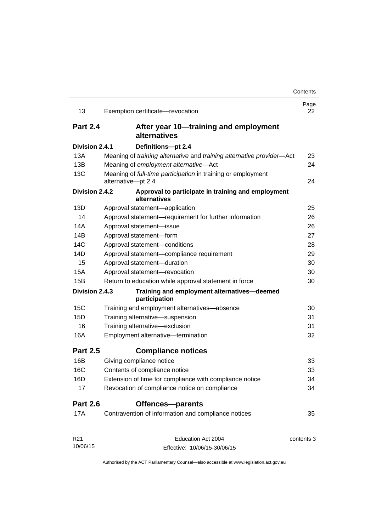| 13              | Exemption certificate-revocation                                                   | Page<br>22 |
|-----------------|------------------------------------------------------------------------------------|------------|
| <b>Part 2.4</b> | After year 10—training and employment<br>alternatives                              |            |
| Division 2.4.1  | Definitions-pt 2.4                                                                 |            |
| 13A             | Meaning of training alternative and training alternative provider-Act              | 23         |
| 13B             | Meaning of employment alternative-Act                                              | 24         |
| 13C             | Meaning of full-time participation in training or employment<br>alternative-pt 2.4 | 24         |
| Division 2.4.2  | Approval to participate in training and employment<br>alternatives                 |            |
| 13D             | Approval statement-application                                                     | 25         |
| 14              | Approval statement-requirement for further information                             | 26         |
| 14A             | Approval statement-issue                                                           | 26         |
| 14B             | Approval statement-form                                                            | 27         |
| 14C             | Approval statement-conditions                                                      | 28         |
| 14D             | Approval statement-compliance requirement                                          | 29         |
| 15              | Approval statement-duration                                                        | 30         |
| <b>15A</b>      | Approval statement-revocation                                                      | 30         |
| 15B             | Return to education while approval statement in force                              | 30         |
| Division 2.4.3  | Training and employment alternatives-deemed<br>participation                       |            |
| 15C             | Training and employment alternatives-absence                                       | 30         |
| 15D             | Training alternative-suspension                                                    | 31         |
| 16              | Training alternative-exclusion                                                     | 31         |
| 16A             | Employment alternative-termination                                                 | 32         |
| <b>Part 2.5</b> | <b>Compliance notices</b>                                                          |            |
| 16B             | Giving compliance notice                                                           | 33         |
| 16C             | Contents of compliance notice                                                      | 33         |
| 16D             | Extension of time for compliance with compliance notice                            | 34         |
| 17              | Revocation of compliance notice on compliance                                      | 34         |
| <b>Part 2.6</b> | Offences-parents                                                                   |            |
| 17A             | Contravention of information and compliance notices                                | 35         |
| R <sub>21</sub> | Education Act 2004                                                                 | contents 3 |
| 10/06/15        | Effective: 10/06/15-30/06/15                                                       |            |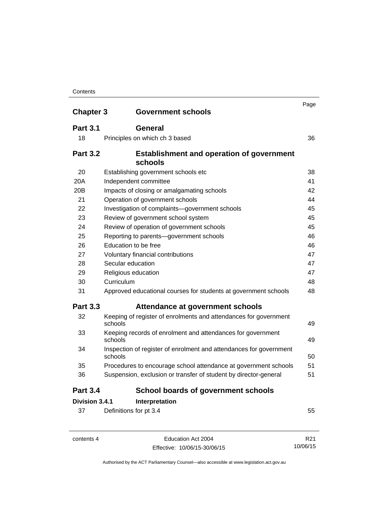| <b>Chapter 3</b> | <b>Government schools</b>                                                     | Page |
|------------------|-------------------------------------------------------------------------------|------|
| <b>Part 3.1</b>  |                                                                               |      |
|                  | <b>General</b>                                                                |      |
| 18               | Principles on which ch 3 based                                                | 36   |
| <b>Part 3.2</b>  | <b>Establishment and operation of government</b>                              |      |
|                  | schools                                                                       |      |
| 20               | Establishing government schools etc                                           | 38   |
| 20A              | Independent committee                                                         | 41   |
| 20 <sub>B</sub>  | Impacts of closing or amalgamating schools                                    | 42   |
| 21               | Operation of government schools                                               | 44   |
| 22               | Investigation of complaints-government schools                                | 45   |
| 23               | Review of government school system                                            | 45   |
| 24               | Review of operation of government schools                                     | 45   |
| 25               | Reporting to parents-government schools                                       | 46   |
| 26               | Education to be free                                                          | 46   |
| 27               | Voluntary financial contributions                                             | 47   |
| 28               | Secular education                                                             | 47   |
| 29               | Religious education                                                           | 47   |
| 30               | Curriculum                                                                    | 48   |
| 31               | Approved educational courses for students at government schools               | 48   |
| <b>Part 3.3</b>  | Attendance at government schools                                              |      |
| 32               | Keeping of register of enrolments and attendances for government<br>schools   | 49   |
| 33               | Keeping records of enrolment and attendances for government<br>schools        | 49   |
| 34               | Inspection of register of enrolment and attendances for government<br>schools | 50   |
| 35               | Procedures to encourage school attendance at government schools               | 51   |
| 36               | Suspension, exclusion or transfer of student by director-general              | 51   |
| <b>Part 3.4</b>  | <b>School boards of government schools</b>                                    |      |
| Division 3.4.1   | Interpretation                                                                |      |
| 37               | Definitions for pt 3.4                                                        | 55   |

contents 4 Education Act 2004

Effective: 10/06/15-30/06/15

R21 10/06/15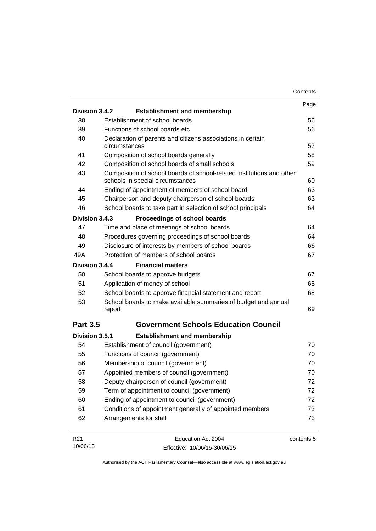|                 |                                                                                                           | Contents   |
|-----------------|-----------------------------------------------------------------------------------------------------------|------------|
|                 |                                                                                                           | Page       |
| Division 3.4.2  | <b>Establishment and membership</b>                                                                       |            |
| 38              | Establishment of school boards                                                                            | 56         |
| 39              | Functions of school boards etc.                                                                           | 56         |
| 40              | Declaration of parents and citizens associations in certain<br>circumstances                              | 57         |
| 41              | Composition of school boards generally                                                                    | 58         |
| 42              | Composition of school boards of small schools                                                             | 59         |
| 43              | Composition of school boards of school-related institutions and other<br>schools in special circumstances | 60         |
| 44              | Ending of appointment of members of school board                                                          | 63         |
| 45              | Chairperson and deputy chairperson of school boards                                                       | 63         |
| 46              | School boards to take part in selection of school principals                                              | 64         |
| Division 3.4.3  | Proceedings of school boards                                                                              |            |
| 47              | Time and place of meetings of school boards                                                               | 64         |
| 48              | Procedures governing proceedings of school boards                                                         | 64         |
| 49              | Disclosure of interests by members of school boards                                                       | 66         |
| 49A             | Protection of members of school boards                                                                    | 67         |
| Division 3.4.4  | <b>Financial matters</b>                                                                                  |            |
| 50              | School boards to approve budgets                                                                          | 67         |
| 51              | Application of money of school                                                                            | 68         |
| 52              | School boards to approve financial statement and report                                                   | 68         |
| 53              | School boards to make available summaries of budget and annual<br>report                                  | 69         |
| <b>Part 3.5</b> | <b>Government Schools Education Council</b>                                                               |            |
| Division 3.5.1  | <b>Establishment and membership</b>                                                                       |            |
| 54              | Establishment of council (government)                                                                     | 70         |
| 55              | Functions of council (government)                                                                         | 70         |
| 56              | Membership of council (government)                                                                        | 70         |
| 57              | Appointed members of council (government)                                                                 | 70         |
| 58              | Deputy chairperson of council (government)                                                                | 72         |
| 59              | Term of appointment to council (government)                                                               | 72         |
| 60              | Ending of appointment to council (government)                                                             | 72         |
| 61              | Conditions of appointment generally of appointed members                                                  | 73         |
| 62              | Arrangements for staff                                                                                    | 73         |
| R <sub>21</sub> | Education Act 2004                                                                                        | contents 5 |
| 10/06/15        | Effective: 10/06/15-30/06/15                                                                              |            |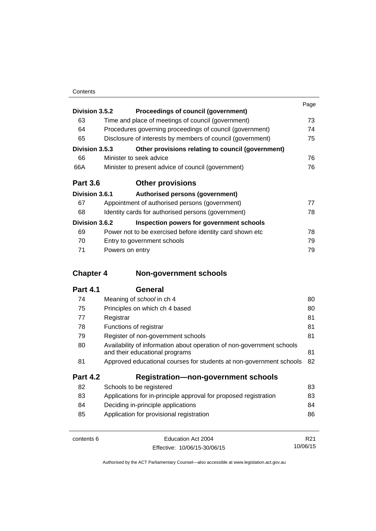|                 |                                                            | Page |
|-----------------|------------------------------------------------------------|------|
| Division 3.5.2  | Proceedings of council (government)                        |      |
| 63              | Time and place of meetings of council (government)         | 73   |
| 64              | Procedures governing proceedings of council (government)   | 74   |
| 65              | Disclosure of interests by members of council (government) | 75   |
| Division 3.5.3  | Other provisions relating to council (government)          |      |
| 66              | Minister to seek advice                                    | 76   |
| 66A             | Minister to present advice of council (government)         | 76   |
| <b>Part 3.6</b> | <b>Other provisions</b>                                    |      |
| Division 3.6.1  | Authorised persons (government)                            |      |
| 67              | Appointment of authorised persons (government)             | 77   |
| 68              | Identity cards for authorised persons (government)         | 78   |
| Division 3.6.2  | Inspection powers for government schools                   |      |
| 69              | Power not to be exercised before identity card shown etc.  | 78   |
| 70              | Entry to government schools                                | 79   |
| 71              | Powers on entry                                            | 79   |

# **Chapter 4 [Non-government schools](#page-91-0)**

| 74              | Meaning of <i>school</i> in ch 4                                                                        | 80 |
|-----------------|---------------------------------------------------------------------------------------------------------|----|
| 75              | Principles on which ch 4 based                                                                          | 80 |
| 77              | Registrar                                                                                               | 81 |
| 78              | Functions of registrar                                                                                  | 81 |
| 79              | Register of non-government schools                                                                      | 81 |
| 80              | Availability of information about operation of non-government schools<br>and their educational programs | 81 |
| 81              | Approved educational courses for students at non-government schools                                     | 82 |
| <b>Part 4.2</b> | <b>Registration-non-government schools</b>                                                              |    |
| 82              | Schools to be registered                                                                                | 83 |
| 83              | Applications for in-principle approval for proposed registration                                        | 83 |
| 84              | Deciding in-principle applications                                                                      | 84 |
| 85              | Application for provisional registration                                                                | 86 |
|                 |                                                                                                         |    |

| contents 6 | Education Act 2004           | R21      |
|------------|------------------------------|----------|
|            | Effective: 10/06/15-30/06/15 | 10/06/15 |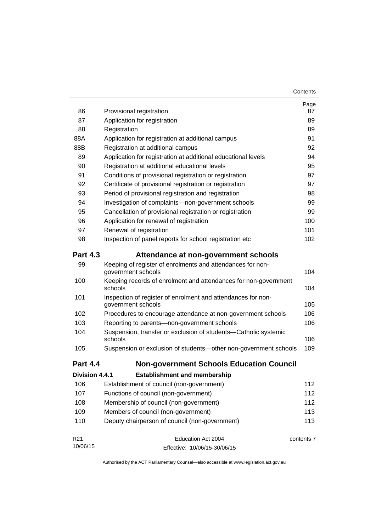| 86              | Provisional registration                                                           | Page<br>87 |
|-----------------|------------------------------------------------------------------------------------|------------|
| 87              | Application for registration                                                       | 89         |
| 88              | Registration                                                                       | 89         |
| 88A             | Application for registration at additional campus                                  | 91         |
| 88B             | Registration at additional campus                                                  | 92         |
| 89              | Application for registration at additional educational levels                      | 94         |
| 90              | Registration at additional educational levels                                      | 95         |
| 91              | Conditions of provisional registration or registration                             | 97         |
| 92              | Certificate of provisional registration or registration                            | 97         |
| 93              | Period of provisional registration and registration                                | 98         |
| 94              | Investigation of complaints-non-government schools                                 | 99         |
| 95              | Cancellation of provisional registration or registration                           | 99         |
| 96              | Application for renewal of registration                                            | 100        |
| 97              | Renewal of registration                                                            | 101        |
| 98              | Inspection of panel reports for school registration etc                            | 102        |
| <b>Part 4.3</b> | Attendance at non-government schools                                               |            |
| 99              | Keeping of register of enrolments and attendances for non-<br>government schools   | 104        |
| 100             | Keeping records of enrolment and attendances for non-government<br>schools         | 104        |
| 101             | Inspection of register of enrolment and attendances for non-<br>government schools | 105        |
| 102             | Procedures to encourage attendance at non-government schools                       | 106        |
| 103             | Reporting to parents-non-government schools                                        | 106        |
| 104             | Suspension, transfer or exclusion of students-Catholic systemic<br>schools         | 106        |
| 105             | Suspension or exclusion of students-other non-government schools                   | 109        |
| <b>Part 4.4</b> | <b>Non-government Schools Education Council</b>                                    |            |
| Division 4.4.1  | <b>Establishment and membership</b>                                                |            |
| 106             | Establishment of council (non-government)                                          | 112        |
| 107             | Functions of council (non-government)                                              | 112        |
| 108             | Membership of council (non-government)                                             | 112        |
| 109             | Members of council (non-government)                                                | 113        |
| 110             | Deputy chairperson of council (non-government)                                     | 113        |
| R <sub>21</sub> | Education Act 2004                                                                 | contents 7 |
| 10/06/15        | Effective: 10/06/15-30/06/15                                                       |            |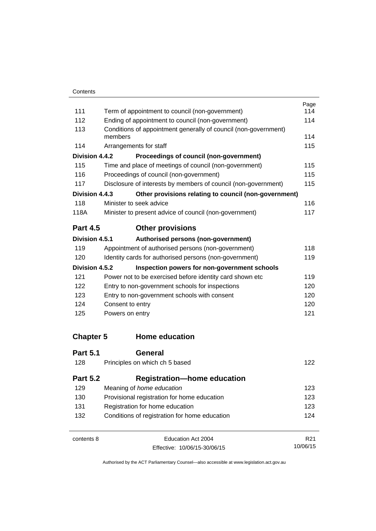|                  |                                                                            | Page<br>114     |
|------------------|----------------------------------------------------------------------------|-----------------|
| 111              | Term of appointment to council (non-government)                            |                 |
| 112              | Ending of appointment to council (non-government)                          | 114             |
| 113              | Conditions of appointment generally of council (non-government)<br>members |                 |
| 114              | Arrangements for staff                                                     | 114<br>115      |
| Division 4.4.2   | Proceedings of council (non-government)                                    |                 |
| 115              | Time and place of meetings of council (non-government)                     | 115             |
| 116              | Proceedings of council (non-government)                                    | 115             |
| 117              | Disclosure of interests by members of council (non-government)             |                 |
| Division 4.4.3   | Other provisions relating to council (non-government)                      | 115             |
| 118              | Minister to seek advice                                                    | 116             |
| 118A             | Minister to present advice of council (non-government)                     | 117             |
| <b>Part 4.5</b>  | <b>Other provisions</b>                                                    |                 |
| Division 4.5.1   | Authorised persons (non-government)                                        |                 |
| 119              | Appointment of authorised persons (non-government)                         | 118             |
| 120              | Identity cards for authorised persons (non-government)                     | 119             |
| Division 4.5.2   | Inspection powers for non-government schools                               |                 |
| 121              | Power not to be exercised before identity card shown etc                   | 119             |
| 122              | Entry to non-government schools for inspections                            | 120             |
| 123              | Entry to non-government schools with consent                               |                 |
| 124              | Consent to entry                                                           | 120             |
| 125              | Powers on entry                                                            | 121             |
| <b>Chapter 5</b> | <b>Home education</b>                                                      |                 |
| <b>Part 5.1</b>  | General                                                                    |                 |
| 128              | Principles on which ch 5 based                                             | 122             |
| <b>Part 5.2</b>  | <b>Registration-home education</b>                                         |                 |
| 129              | Meaning of home education                                                  | 123             |
| 130              | Provisional registration for home education                                |                 |
| 131              | Registration for home education                                            |                 |
| 132              | Conditions of registration for home education                              | 124             |
| contents 8       | Education Act 2004                                                         | R <sub>21</sub> |

Effective: 10/06/15-30/06/15

10/06/15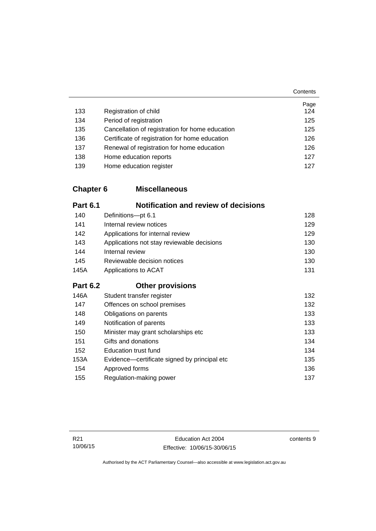|     |                                                 | Page |
|-----|-------------------------------------------------|------|
| 133 | Registration of child                           | 124  |
| 134 | Period of registration                          | 125  |
| 135 | Cancellation of registration for home education | 125  |
| 136 | Certificate of registration for home education  | 126  |
| 137 | Renewal of registration for home education      | 126  |
| 138 | Home education reports                          | 127  |
| 139 | Home education register                         | 127  |

## **Chapter 6 [Miscellaneous](#page-139-0)**

| <b>Part 6.1</b> | <b>Notification and review of decisions</b>  |     |
|-----------------|----------------------------------------------|-----|
| 140             | Definitions-pt 6.1                           | 128 |
| 141             | Internal review notices                      | 129 |
| 142             | Applications for internal review             | 129 |
| 143             | Applications not stay reviewable decisions   | 130 |
| 144             | Internal review                              | 130 |
| 145             | Reviewable decision notices                  | 130 |
| 145A            | Applications to ACAT                         | 131 |
| <b>Part 6.2</b> | <b>Other provisions</b>                      |     |
| 146A            | Student transfer register                    | 132 |
| 147             | Offences on school premises                  | 132 |
| 148             | Obligations on parents                       | 133 |
| 149             | Notification of parents                      | 133 |
| 150             | Minister may grant scholarships etc          | 133 |
| 151             | Gifts and donations                          | 134 |
| 152             | <b>Education trust fund</b>                  | 134 |
| 153A            | Evidence-certificate signed by principal etc | 135 |
| 154             | Approved forms                               | 136 |
| 155             | Regulation-making power                      | 137 |

contents 9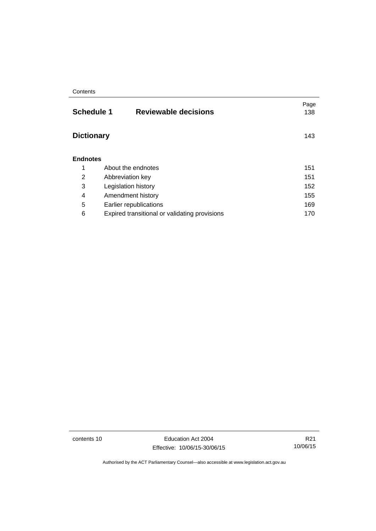| <b>Reviewable decisions</b>                   | Page<br>138                                               |
|-----------------------------------------------|-----------------------------------------------------------|
|                                               | 143                                                       |
|                                               |                                                           |
| About the endnotes                            | 151                                                       |
| Abbreviation key                              | 151                                                       |
| Legislation history                           | 152                                                       |
| Amendment history                             | 155                                                       |
| Earlier republications                        | 169                                                       |
| Expired transitional or validating provisions | 170                                                       |
|                                               | <b>Schedule 1</b><br><b>Dictionary</b><br><b>Endnotes</b> |

contents 10 Education Act 2004 Effective: 10/06/15-30/06/15

R21 10/06/15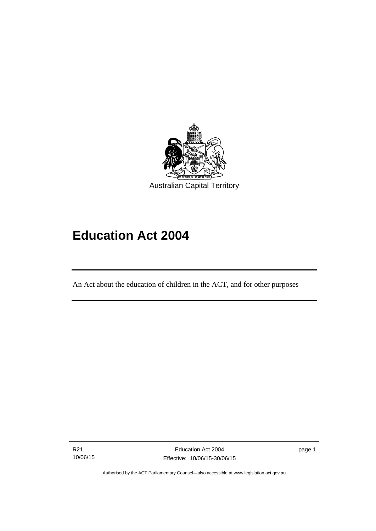

# **Education Act 2004**

An Act about the education of children in the ACT, and for other purposes

R21 10/06/15

Ī

page 1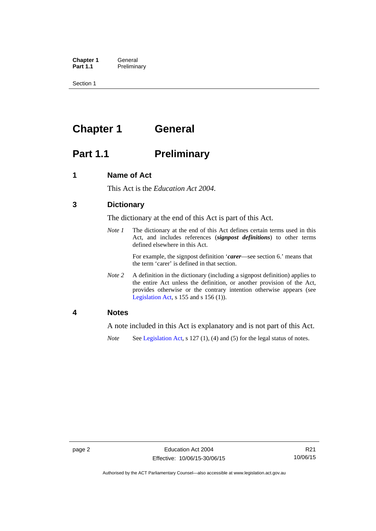**Chapter 1 General**<br>**Part 1.1 Prelimina Preliminary** 

Section 1

# <span id="page-13-0"></span>**Chapter 1 General**

# <span id="page-13-1"></span>**Part 1.1** Preliminary

### <span id="page-13-2"></span>**1 Name of Act**

This Act is the *Education Act 2004*.

## <span id="page-13-3"></span>**3 Dictionary**

The dictionary at the end of this Act is part of this Act.

*Note 1* The dictionary at the end of this Act defines certain terms used in this Act, and includes references (*signpost definitions*) to other terms defined elsewhere in this Act.

> For example, the signpost definition '*carer*—see section 6.' means that the term 'carer' is defined in that section.

*Note 2* A definition in the dictionary (including a signpost definition) applies to the entire Act unless the definition, or another provision of the Act, provides otherwise or the contrary intention otherwise appears (see [Legislation Act,](http://www.legislation.act.gov.au/a/2001-14)  $s$  155 and  $s$  156 (1)).

### <span id="page-13-4"></span>**4 Notes**

A note included in this Act is explanatory and is not part of this Act.

*Note* See [Legislation Act,](http://www.legislation.act.gov.au/a/2001-14) s 127 (1), (4) and (5) for the legal status of notes.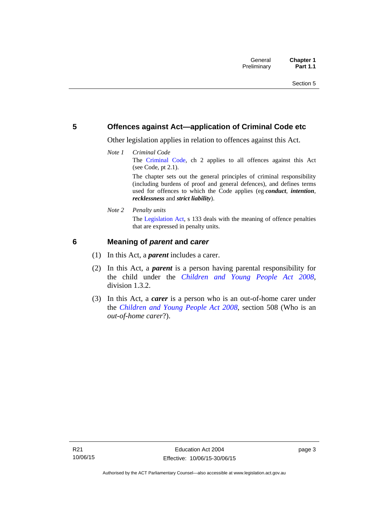### <span id="page-14-0"></span>**5 Offences against Act—application of Criminal Code etc**

Other legislation applies in relation to offences against this Act.

*Note 1 Criminal Code* The [Criminal Code,](http://www.legislation.act.gov.au/a/2002-51) ch 2 applies to all offences against this Act (see Code, pt 2.1). The chapter sets out the general principles of criminal responsibility

(including burdens of proof and general defences), and defines terms used for offences to which the Code applies (eg *conduct*, *intention*, *recklessness* and *strict liability*).

*Note 2 Penalty units* 

The [Legislation Act](http://www.legislation.act.gov.au/a/2001-14), s 133 deals with the meaning of offence penalties that are expressed in penalty units.

### <span id="page-14-1"></span>**6 Meaning of** *parent* **and** *carer*

- (1) In this Act, a *parent* includes a carer.
- (2) In this Act, a *parent* is a person having parental responsibility for the child under the *[Children and Young People Act 2008](http://www.legislation.act.gov.au/a/2008-19)*, division 1.3.2.
- (3) In this Act, a *carer* is a person who is an out-of-home carer under the *[Children and Young People Act 2008](http://www.legislation.act.gov.au/a/2008-19)*, section 508 (Who is an *out-of-home carer*?).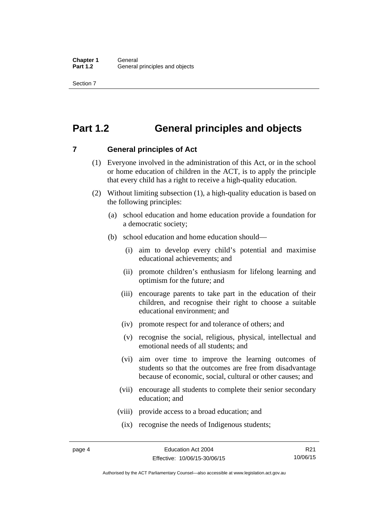Section 7

# <span id="page-15-0"></span>**Part 1.2 General principles and objects**

<span id="page-15-1"></span>**7 General principles of Act** 

- (1) Everyone involved in the administration of this Act, or in the school or home education of children in the ACT, is to apply the principle that every child has a right to receive a high-quality education.
- (2) Without limiting subsection (1), a high-quality education is based on the following principles:
	- (a) school education and home education provide a foundation for a democratic society;
	- (b) school education and home education should—
		- (i) aim to develop every child's potential and maximise educational achievements; and
		- (ii) promote children's enthusiasm for lifelong learning and optimism for the future; and
		- (iii) encourage parents to take part in the education of their children, and recognise their right to choose a suitable educational environment; and
		- (iv) promote respect for and tolerance of others; and
		- (v) recognise the social, religious, physical, intellectual and emotional needs of all students; and
		- (vi) aim over time to improve the learning outcomes of students so that the outcomes are free from disadvantage because of economic, social, cultural or other causes; and
		- (vii) encourage all students to complete their senior secondary education; and
		- (viii) provide access to a broad education; and
		- (ix) recognise the needs of Indigenous students;

R21 10/06/15

Authorised by the ACT Parliamentary Counsel—also accessible at www.legislation.act.gov.au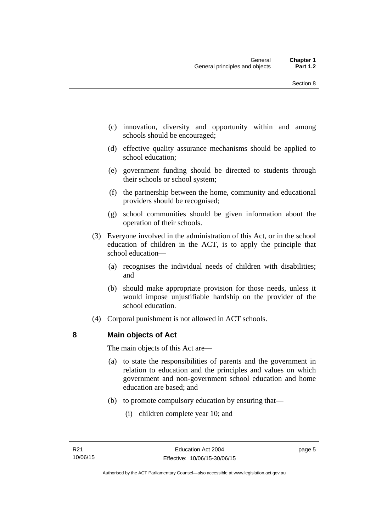- (c) innovation, diversity and opportunity within and among schools should be encouraged;
- (d) effective quality assurance mechanisms should be applied to school education;
- (e) government funding should be directed to students through their schools or school system;
- (f) the partnership between the home, community and educational providers should be recognised;
- (g) school communities should be given information about the operation of their schools.
- (3) Everyone involved in the administration of this Act, or in the school education of children in the ACT, is to apply the principle that school education—
	- (a) recognises the individual needs of children with disabilities; and
	- (b) should make appropriate provision for those needs, unless it would impose unjustifiable hardship on the provider of the school education.
- (4) Corporal punishment is not allowed in ACT schools.

### <span id="page-16-0"></span>**8 Main objects of Act**

The main objects of this Act are—

- (a) to state the responsibilities of parents and the government in relation to education and the principles and values on which government and non-government school education and home education are based; and
- (b) to promote compulsory education by ensuring that—
	- (i) children complete year 10; and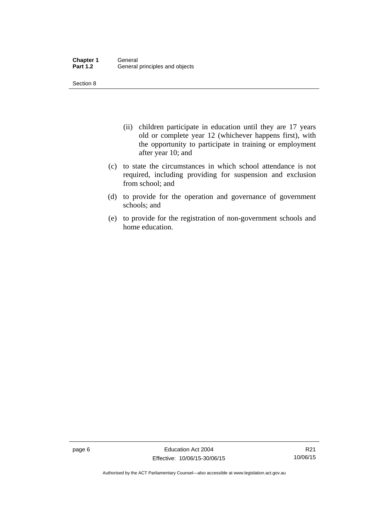Section 8

- (ii) children participate in education until they are 17 years old or complete year 12 (whichever happens first), with the opportunity to participate in training or employment after year 10; and
- (c) to state the circumstances in which school attendance is not required, including providing for suspension and exclusion from school; and
- (d) to provide for the operation and governance of government schools; and
- (e) to provide for the registration of non-government schools and home education.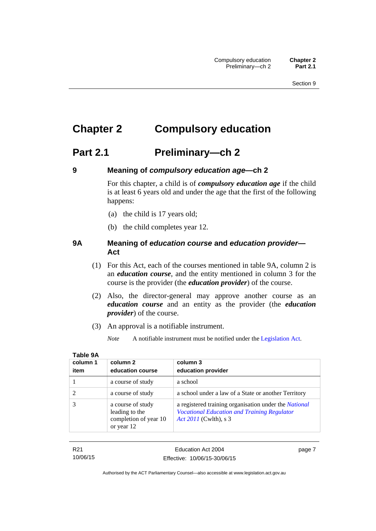# <span id="page-18-0"></span>**Chapter 2 Compulsory education**

# <span id="page-18-1"></span>**Part 2.1 Preliminary—ch 2**

<span id="page-18-2"></span>

## **9 Meaning of** *compulsory education age***—ch 2**

For this chapter, a child is of *compulsory education age* if the child is at least 6 years old and under the age that the first of the following happens:

- (a) the child is 17 years old;
- (b) the child completes year 12.

### <span id="page-18-3"></span>**9A Meaning of** *education course* **and** *education provider***— Act**

- (1) For this Act, each of the courses mentioned in table 9A, column 2 is an *education course*, and the entity mentioned in column 3 for the course is the provider (the *education provider*) of the course.
- (2) Also, the director-general may approve another course as an *education course* and an entity as the provider (the *education provider*) of the course.
- (3) An approval is a notifiable instrument.

*Note* A notifiable instrument must be notified under the [Legislation Act](http://www.legislation.act.gov.au/a/2001-14).

| column 1 | column 2                                                                   | column 3                                                                                                                             |
|----------|----------------------------------------------------------------------------|--------------------------------------------------------------------------------------------------------------------------------------|
| item     | education course                                                           | education provider                                                                                                                   |
|          | a course of study                                                          | a school                                                                                                                             |
|          | a course of study                                                          | a school under a law of a State or another Territory                                                                                 |
|          | a course of study<br>leading to the<br>completion of year 10<br>or year 12 | a registered training organisation under the National<br><b>Vocational Education and Training Regulator</b><br>Act 2011 (Cwlth), s 3 |

| ۰.<br>M.<br>w |  |
|---------------|--|
|               |  |

R21

10/06/15 Effective: 10/06/15-30/06/15 page 7

Education Act 2004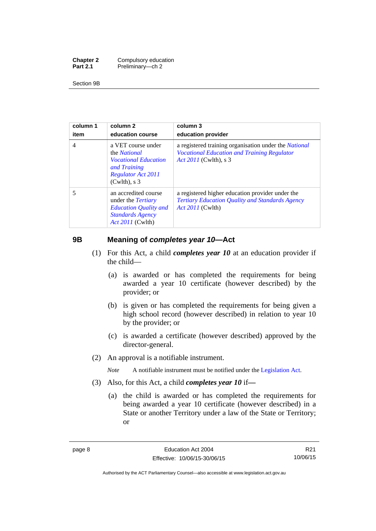| <b>Chapter 2</b> | Compulsory education |
|------------------|----------------------|
| <b>Part 2.1</b>  | Preliminary-ch 2     |

Section 9B

| column 1<br>item | column 2<br>education course                                                                                                             | column 3<br>education provider                                                                                                       |
|------------------|------------------------------------------------------------------------------------------------------------------------------------------|--------------------------------------------------------------------------------------------------------------------------------------|
| $\overline{4}$   | a VET course under<br>the <i>National</i><br><i>Vocational Education</i><br>and Training<br><b>Regulator Act 2011</b><br>$(Cwlth)$ , s 3 | a registered training organisation under the National<br><b>Vocational Education and Training Regulator</b><br>Act 2011 (Cwlth), s 3 |
| 5                | an accredited course<br>under the <i>Tertiary</i><br><b>Education Quality and</b><br><b>Standards Agency</b><br><i>Act 2011</i> (Cwlth)  | a registered higher education provider under the<br>Tertiary Education Quality and Standards Agency<br><i>Act 2011</i> (Cwlth)       |

## <span id="page-19-0"></span>**9B Meaning of** *completes year 10***—Act**

- (1) For this Act, a child *completes year 10* at an education provider if the child—
	- (a) is awarded or has completed the requirements for being awarded a year 10 certificate (however described) by the provider; or
	- (b) is given or has completed the requirements for being given a high school record (however described) in relation to year 10 by the provider; or
	- (c) is awarded a certificate (however described) approved by the director-general.
- (2) An approval is a notifiable instrument.

*Note* A notifiable instrument must be notified under the [Legislation Act](http://www.legislation.act.gov.au/a/2001-14).

- (3) Also, for this Act, a child *completes year 10* if*—*
	- (a) the child is awarded or has completed the requirements for being awarded a year 10 certificate (however described) in a State or another Territory under a law of the State or Territory; or

Authorised by the ACT Parliamentary Counsel—also accessible at www.legislation.act.gov.au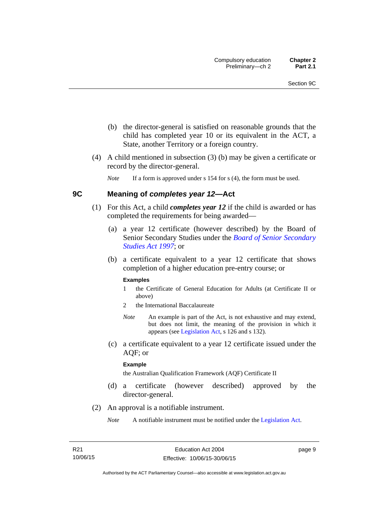- (b) the director-general is satisfied on reasonable grounds that the child has completed year 10 or its equivalent in the ACT, a State, another Territory or a foreign country.
- (4) A child mentioned in subsection (3) (b) may be given a certificate or record by the director-general.

*Note* If a form is approved under s 154 for s (4), the form must be used.

### <span id="page-20-0"></span>**9C Meaning of** *completes year 12***—Act**

- (1) For this Act, a child *completes year 12* if the child is awarded or has completed the requirements for being awarded—
	- (a) a year 12 certificate (however described) by the Board of Senior Secondary Studies under the *[Board of Senior Secondary](http://www.legislation.act.gov.au/a/1997-87)  [Studies Act 1997](http://www.legislation.act.gov.au/a/1997-87)*; or
	- (b) a certificate equivalent to a year 12 certificate that shows completion of a higher education pre-entry course; or

### **Examples**

- 1 the Certificate of General Education for Adults (at Certificate II or above)
- 2 the International Baccalaureate
- *Note* An example is part of the Act, is not exhaustive and may extend, but does not limit, the meaning of the provision in which it appears (see [Legislation Act,](http://www.legislation.act.gov.au/a/2001-14) s 126 and s 132).
- (c) a certificate equivalent to a year 12 certificate issued under the AQF; or

#### **Example**

the Australian Qualification Framework (AQF) Certificate II

- (d) a certificate (however described) approved by the director-general.
- (2) An approval is a notifiable instrument.
	- *Note* A notifiable instrument must be notified under the [Legislation Act](http://www.legislation.act.gov.au/a/2001-14).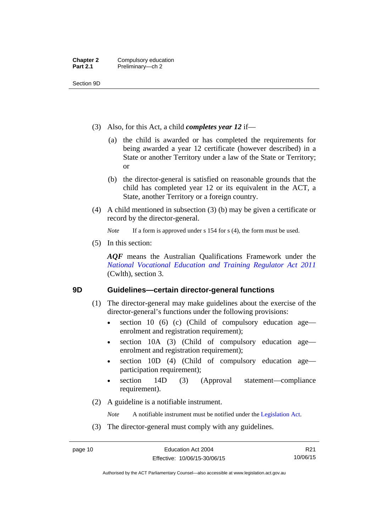Section 9D

- (3) Also, for this Act, a child *completes year 12* if—
	- (a) the child is awarded or has completed the requirements for being awarded a year 12 certificate (however described) in a State or another Territory under a law of the State or Territory; or
	- (b) the director-general is satisfied on reasonable grounds that the child has completed year 12 or its equivalent in the ACT, a State, another Territory or a foreign country.
- (4) A child mentioned in subsection (3) (b) may be given a certificate or record by the director-general.

*Note* If a form is approved under s 154 for s (4), the form must be used.

(5) In this section:

*AQF* means the Australian Qualifications Framework under the *[National Vocational Education and Training Regulator Act 2011](http://www.comlaw.gov.au/Details/C2014C00623)* (Cwlth), section 3.

### <span id="page-21-0"></span>**9D Guidelines—certain director-general functions**

- (1) The director-general may make guidelines about the exercise of the director-general's functions under the following provisions:
	- $\bullet$  section 10 (6) (c) (Child of compulsory education age enrolment and registration requirement);
	- section 10A (3) (Child of compulsory education age enrolment and registration requirement);
	- section 10D (4) (Child of compulsory education age participation requirement);
	- section 14D (3) (Approval statement—compliance requirement).
- (2) A guideline is a notifiable instrument.

*Note* A notifiable instrument must be notified under the [Legislation Act](http://www.legislation.act.gov.au/a/2001-14).

(3) The director-general must comply with any guidelines.

R21 10/06/15

Authorised by the ACT Parliamentary Counsel—also accessible at www.legislation.act.gov.au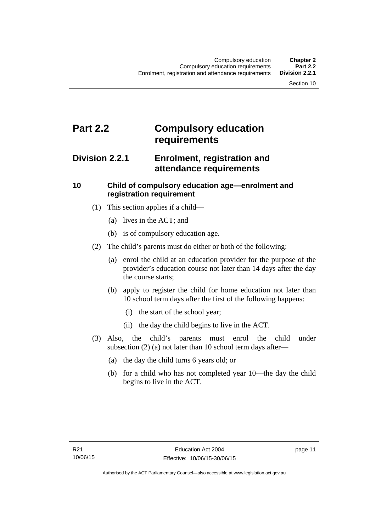# <span id="page-22-0"></span>**Part 2.2 Compulsory education requirements**

## <span id="page-22-1"></span>**Division 2.2.1 Enrolment, registration and attendance requirements**

## <span id="page-22-2"></span>**10 Child of compulsory education age—enrolment and registration requirement**

- (1) This section applies if a child—
	- (a) lives in the ACT; and
	- (b) is of compulsory education age.
- (2) The child's parents must do either or both of the following:
	- (a) enrol the child at an education provider for the purpose of the provider's education course not later than 14 days after the day the course starts;
	- (b) apply to register the child for home education not later than 10 school term days after the first of the following happens:
		- (i) the start of the school year;
		- (ii) the day the child begins to live in the ACT.
- (3) Also, the child's parents must enrol the child under subsection (2) (a) not later than 10 school term days after—
	- (a) the day the child turns 6 years old; or
	- (b) for a child who has not completed year 10—the day the child begins to live in the ACT.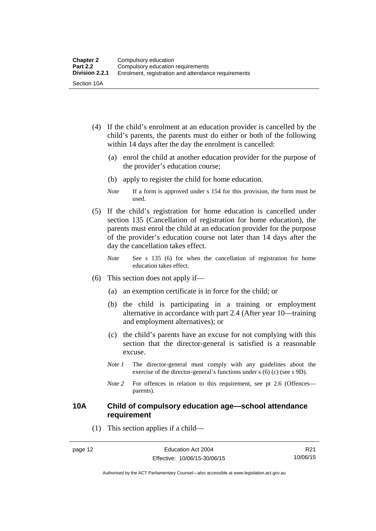- (4) If the child's enrolment at an education provider is cancelled by the child's parents, the parents must do either or both of the following within 14 days after the day the enrolment is cancelled:
	- (a) enrol the child at another education provider for the purpose of the provider's education course;
	- (b) apply to register the child for home education.
	- *Note* If a form is approved under s 154 for this provision, the form must be used.
- (5) If the child's registration for home education is cancelled under section 135 (Cancellation of registration for home education), the parents must enrol the child at an education provider for the purpose of the provider's education course not later than 14 days after the day the cancellation takes effect.
	- *Note* See s 135 (6) for when the cancellation of registration for home education takes effect.
- (6) This section does not apply if—
	- (a) an exemption certificate is in force for the child; or
	- (b) the child is participating in a training or employment alternative in accordance with part 2.4 (After year 10—training and employment alternatives); or
	- (c) the child's parents have an excuse for not complying with this section that the director-general is satisfied is a reasonable excuse.
	- *Note 1* The director-general must comply with any guidelines about the exercise of the director-general's functions under s (6) (c) (see s 9D).
	- *Note* 2 For offences in relation to this requirement, see pt 2.6 (Offences parents).

### <span id="page-23-0"></span>**10A Child of compulsory education age—school attendance requirement**

(1) This section applies if a child—

R21 10/06/15

Authorised by the ACT Parliamentary Counsel—also accessible at www.legislation.act.gov.au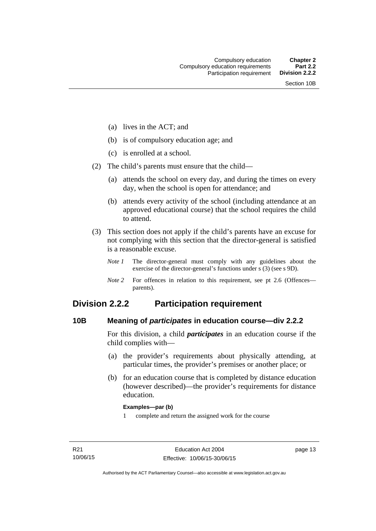- (a) lives in the ACT; and
- (b) is of compulsory education age; and
- (c) is enrolled at a school.
- (2) The child's parents must ensure that the child—
	- (a) attends the school on every day, and during the times on every day, when the school is open for attendance; and
	- (b) attends every activity of the school (including attendance at an approved educational course) that the school requires the child to attend.
- (3) This section does not apply if the child's parents have an excuse for not complying with this section that the director-general is satisfied is a reasonable excuse.
	- *Note 1* The director-general must comply with any guidelines about the exercise of the director-general's functions under s (3) (see s 9D).
	- *Note 2* For offences in relation to this requirement, see pt 2.6 (Offences parents).

## <span id="page-24-0"></span>**Division 2.2.2 Participation requirement**

### <span id="page-24-1"></span>**10B Meaning of** *participates* **in education course—div 2.2.2**

For this division, a child *participates* in an education course if the child complies with—

- (a) the provider's requirements about physically attending, at particular times, the provider's premises or another place; or
- (b) for an education course that is completed by distance education (however described)—the provider's requirements for distance education.

### **Examples—par (b)**

1 complete and return the assigned work for the course

page 13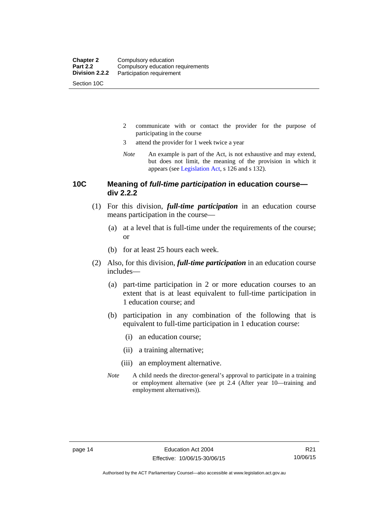Section 10C

- 2 communicate with or contact the provider for the purpose of participating in the course
- 3 attend the provider for 1 week twice a year
- *Note* An example is part of the Act, is not exhaustive and may extend, but does not limit, the meaning of the provision in which it appears (see [Legislation Act,](http://www.legislation.act.gov.au/a/2001-14) s 126 and s 132).

### <span id="page-25-0"></span>**10C Meaning of** *full-time participation* **in education course div 2.2.2**

- (1) For this division, *full-time participation* in an education course means participation in the course—
	- (a) at a level that is full-time under the requirements of the course; or
	- (b) for at least 25 hours each week.
- (2) Also, for this division, *full-time participation* in an education course includes—
	- (a) part-time participation in 2 or more education courses to an extent that is at least equivalent to full-time participation in 1 education course; and
	- (b) participation in any combination of the following that is equivalent to full-time participation in 1 education course:
		- (i) an education course;
		- (ii) a training alternative;
		- (iii) an employment alternative.
	- *Note* A child needs the director-general's approval to participate in a training or employment alternative (see pt 2.4 (After year 10—training and employment alternatives)).

Authorised by the ACT Parliamentary Counsel—also accessible at www.legislation.act.gov.au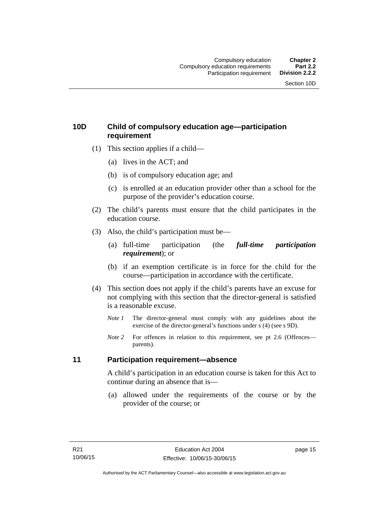## <span id="page-26-0"></span>**10D Child of compulsory education age—participation requirement**

- (1) This section applies if a child—
	- (a) lives in the ACT; and
	- (b) is of compulsory education age; and
	- (c) is enrolled at an education provider other than a school for the purpose of the provider's education course.
- (2) The child's parents must ensure that the child participates in the education course.
- (3) Also, the child's participation must be—
	- (a) full-time participation (the *full-time participation requirement*); or
	- (b) if an exemption certificate is in force for the child for the course—participation in accordance with the certificate.
- (4) This section does not apply if the child's parents have an excuse for not complying with this section that the director-general is satisfied is a reasonable excuse.
	- *Note 1* The director-general must comply with any guidelines about the exercise of the director-general's functions under s (4) (see s 9D).
	- *Note* 2 For offences in relation to this requirement, see pt 2.6 (Offences parents).

### <span id="page-26-1"></span>**11 Participation requirement—absence**

A child's participation in an education course is taken for this Act to continue during an absence that is—

 (a) allowed under the requirements of the course or by the provider of the course; or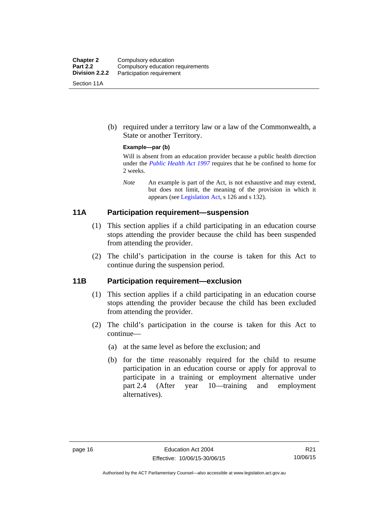| <b>Chapter 2</b> | Compulsory education              |
|------------------|-----------------------------------|
| <b>Part 2.2</b>  | Compulsory education requirements |
| Division 2.2.2   | Participation requirement         |
| Section 11A      |                                   |

 (b) required under a territory law or a law of the Commonwealth, a State or another Territory.

### **Example—par (b)**

Will is absent from an education provider because a public health direction under the *[Public Health Act 1997](http://www.legislation.act.gov.au/a/1997-69)* requires that he be confined to home for 2 weeks.

*Note* An example is part of the Act, is not exhaustive and may extend, but does not limit, the meaning of the provision in which it appears (see [Legislation Act,](http://www.legislation.act.gov.au/a/2001-14) s 126 and s 132).

### <span id="page-27-0"></span>**11A Participation requirement—suspension**

- (1) This section applies if a child participating in an education course stops attending the provider because the child has been suspended from attending the provider.
- (2) The child's participation in the course is taken for this Act to continue during the suspension period.

### <span id="page-27-1"></span>**11B Participation requirement—exclusion**

- (1) This section applies if a child participating in an education course stops attending the provider because the child has been excluded from attending the provider.
- (2) The child's participation in the course is taken for this Act to continue—
	- (a) at the same level as before the exclusion; and
	- (b) for the time reasonably required for the child to resume participation in an education course or apply for approval to participate in a training or employment alternative under part 2.4 (After year 10—training and employment alternatives).

Authorised by the ACT Parliamentary Counsel—also accessible at www.legislation.act.gov.au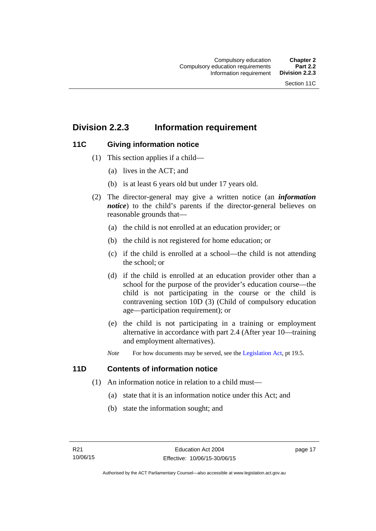## <span id="page-28-0"></span>**Division 2.2.3 Information requirement**

## <span id="page-28-1"></span>**11C Giving information notice**

- (1) This section applies if a child—
	- (a) lives in the ACT; and
	- (b) is at least 6 years old but under 17 years old.
- (2) The director-general may give a written notice (an *information notice*) to the child's parents if the director-general believes on reasonable grounds that—
	- (a) the child is not enrolled at an education provider; or
	- (b) the child is not registered for home education; or
	- (c) if the child is enrolled at a school—the child is not attending the school; or
	- (d) if the child is enrolled at an education provider other than a school for the purpose of the provider's education course—the child is not participating in the course or the child is contravening section 10D (3) (Child of compulsory education age—participation requirement); or
	- (e) the child is not participating in a training or employment alternative in accordance with part 2.4 (After year 10—training and employment alternatives).
	- *Note* For how documents may be served, see the [Legislation Act,](http://www.legislation.act.gov.au/a/2001-14) pt 19.5.

### <span id="page-28-2"></span>**11D Contents of information notice**

- (1) An information notice in relation to a child must—
	- (a) state that it is an information notice under this Act; and
	- (b) state the information sought; and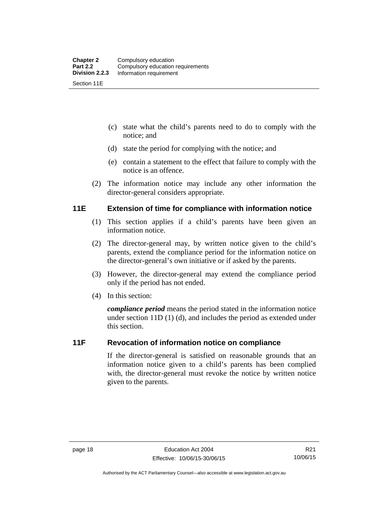- (c) state what the child's parents need to do to comply with the notice; and
- (d) state the period for complying with the notice; and
- (e) contain a statement to the effect that failure to comply with the notice is an offence.
- (2) The information notice may include any other information the director-general considers appropriate.

## <span id="page-29-0"></span>**11E Extension of time for compliance with information notice**

- (1) This section applies if a child's parents have been given an information notice.
- (2) The director-general may, by written notice given to the child's parents, extend the compliance period for the information notice on the director-general's own initiative or if asked by the parents.
- (3) However, the director-general may extend the compliance period only if the period has not ended.
- (4) In this section:

*compliance period* means the period stated in the information notice under section 11D (1) (d), and includes the period as extended under this section.

## <span id="page-29-1"></span>**11F Revocation of information notice on compliance**

If the director-general is satisfied on reasonable grounds that an information notice given to a child's parents has been complied with, the director-general must revoke the notice by written notice given to the parents.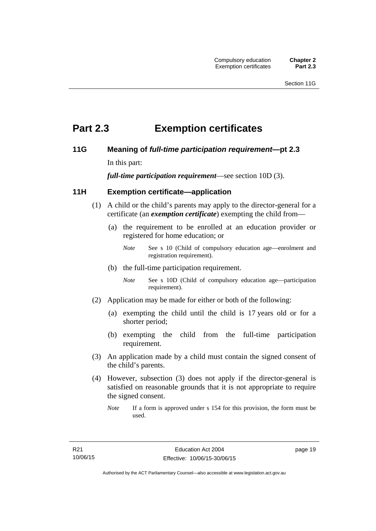# <span id="page-30-0"></span>**Part 2.3 Exemption certificates**

## <span id="page-30-1"></span>**11G Meaning of** *full-time participation requirement***—pt 2.3**

In this part:

*full-time participation requirement*—see section 10D (3).

## <span id="page-30-2"></span>**11H Exemption certificate—application**

- (1) A child or the child's parents may apply to the director-general for a certificate (an *exemption certificate*) exempting the child from—
	- (a) the requirement to be enrolled at an education provider or registered for home education; or
		- *Note* See s 10 (Child of compulsory education age—enrolment and registration requirement).
	- (b) the full-time participation requirement.
		- *Note* See s 10D (Child of compulsory education age—participation requirement).
- (2) Application may be made for either or both of the following:
	- (a) exempting the child until the child is 17 years old or for a shorter period;
	- (b) exempting the child from the full-time participation requirement.
- (3) An application made by a child must contain the signed consent of the child's parents.
- (4) However, subsection (3) does not apply if the director-general is satisfied on reasonable grounds that it is not appropriate to require the signed consent.
	- *Note* If a form is approved under s 154 for this provision, the form must be used.

page 19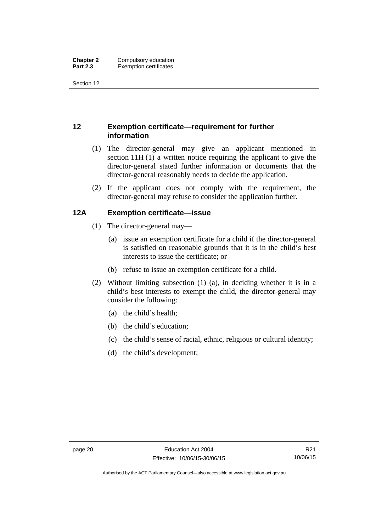Section 12

## <span id="page-31-0"></span>**12 Exemption certificate—requirement for further information**

- (1) The director-general may give an applicant mentioned in section 11H (1) a written notice requiring the applicant to give the director-general stated further information or documents that the director-general reasonably needs to decide the application.
- (2) If the applicant does not comply with the requirement, the director-general may refuse to consider the application further.

## <span id="page-31-1"></span>**12A Exemption certificate—issue**

- (1) The director-general may—
	- (a) issue an exemption certificate for a child if the director-general is satisfied on reasonable grounds that it is in the child's best interests to issue the certificate; or
	- (b) refuse to issue an exemption certificate for a child.
- (2) Without limiting subsection (1) (a), in deciding whether it is in a child's best interests to exempt the child, the director-general may consider the following:
	- (a) the child's health;
	- (b) the child's education;
	- (c) the child's sense of racial, ethnic, religious or cultural identity;
	- (d) the child's development;

Authorised by the ACT Parliamentary Counsel—also accessible at www.legislation.act.gov.au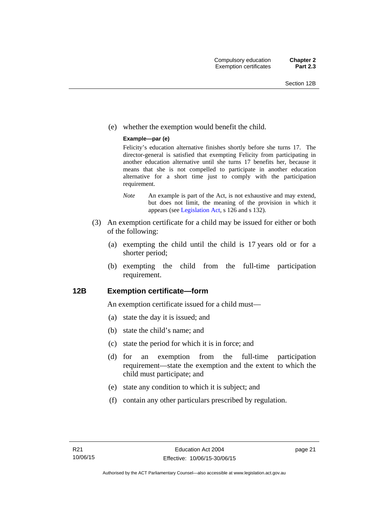(e) whether the exemption would benefit the child.

### **Example—par (e)**

Felicity's education alternative finishes shortly before she turns 17. The director-general is satisfied that exempting Felicity from participating in another education alternative until she turns 17 benefits her, because it means that she is not compelled to participate in another education alternative for a short time just to comply with the participation requirement.

- *Note* An example is part of the Act, is not exhaustive and may extend, but does not limit, the meaning of the provision in which it appears (see [Legislation Act,](http://www.legislation.act.gov.au/a/2001-14) s 126 and s 132).
- (3) An exemption certificate for a child may be issued for either or both of the following:
	- (a) exempting the child until the child is 17 years old or for a shorter period;
	- (b) exempting the child from the full-time participation requirement.

### <span id="page-32-0"></span>**12B Exemption certificate—form**

An exemption certificate issued for a child must—

- (a) state the day it is issued; and
- (b) state the child's name; and
- (c) state the period for which it is in force; and
- (d) for an exemption from the full-time participation requirement—state the exemption and the extent to which the child must participate; and
- (e) state any condition to which it is subject; and
- (f) contain any other particulars prescribed by regulation.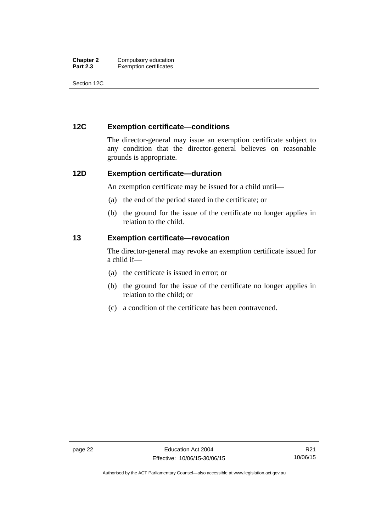| <b>Chapter 2</b> | Compulsory education          |
|------------------|-------------------------------|
| <b>Part 2.3</b>  | <b>Exemption certificates</b> |

Section 12C

## <span id="page-33-0"></span>**12C Exemption certificate—conditions**

The director-general may issue an exemption certificate subject to any condition that the director-general believes on reasonable grounds is appropriate.

### <span id="page-33-1"></span>**12D Exemption certificate—duration**

An exemption certificate may be issued for a child until—

- (a) the end of the period stated in the certificate; or
- (b) the ground for the issue of the certificate no longer applies in relation to the child.

### <span id="page-33-2"></span>**13 Exemption certificate—revocation**

The director-general may revoke an exemption certificate issued for a child if—

- (a) the certificate is issued in error; or
- (b) the ground for the issue of the certificate no longer applies in relation to the child; or
- (c) a condition of the certificate has been contravened.

Authorised by the ACT Parliamentary Counsel—also accessible at www.legislation.act.gov.au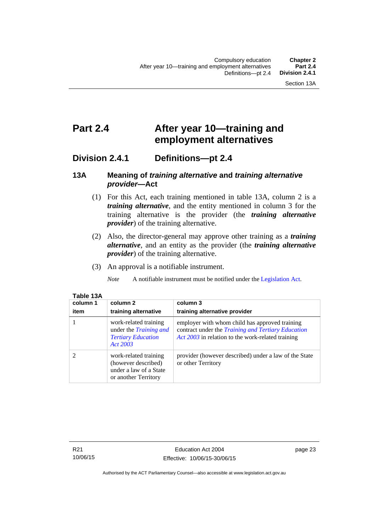# <span id="page-34-0"></span>**Part 2.4 After year 10—training and employment alternatives**

## <span id="page-34-1"></span>**Division 2.4.1 Definitions—pt 2.4**

### <span id="page-34-2"></span>**13A Meaning of** *training alternative* **and** *training alternative provider***—Act**

- (1) For this Act, each training mentioned in table 13A, column 2 is a *training alternative*, and the entity mentioned in column 3 for the training alternative is the provider (the *training alternative provider*) of the training alternative.
- (2) Also, the director-general may approve other training as a *training alternative*, and an entity as the provider (the *training alternative provider*) of the training alternative.
- (3) An approval is a notifiable instrument.

*Note* A notifiable instrument must be notified under the [Legislation Act](http://www.legislation.act.gov.au/a/2001-14).

| Table 13A |  |
|-----------|--|
| column 1  |  |

| column 1<br>item | column 2<br>training alternative                                                               | column 3<br>training alternative provider                                                                                                                        |
|------------------|------------------------------------------------------------------------------------------------|------------------------------------------------------------------------------------------------------------------------------------------------------------------|
|                  | work-related training<br>under the Training and<br><b>Tertiary Education</b><br>Act 2003       | employer with whom child has approved training<br>contract under the <i>Training and Tertiary Education</i><br>Act 2003 in relation to the work-related training |
|                  | work-related training<br>(however described)<br>under a law of a State<br>or another Territory | provider (however described) under a law of the State<br>or other Territory                                                                                      |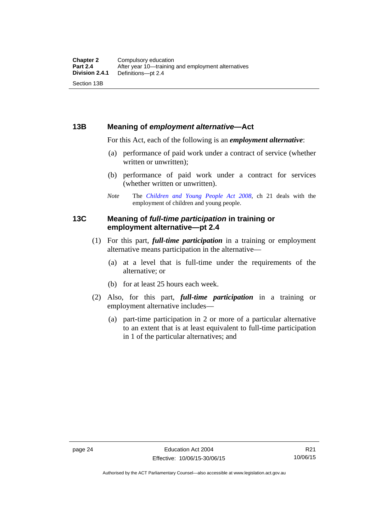### <span id="page-35-0"></span>**13B Meaning of** *employment alternative***—Act**

For this Act, each of the following is an *employment alternative*:

- (a) performance of paid work under a contract of service (whether written or unwritten);
- (b) performance of paid work under a contract for services (whether written or unwritten).
- *Note* The *[Children and Young People Act 2008](http://www.legislation.act.gov.au/a/2008-19)*, ch 21 deals with the employment of children and young people.

## <span id="page-35-1"></span>**13C Meaning of** *full-time participation* **in training or employment alternative—pt 2.4**

- (1) For this part, *full-time participation* in a training or employment alternative means participation in the alternative—
	- (a) at a level that is full-time under the requirements of the alternative; or
	- (b) for at least 25 hours each week.
- (2) Also, for this part, *full-time participation* in a training or employment alternative includes—
	- (a) part-time participation in 2 or more of a particular alternative to an extent that is at least equivalent to full-time participation in 1 of the particular alternatives; and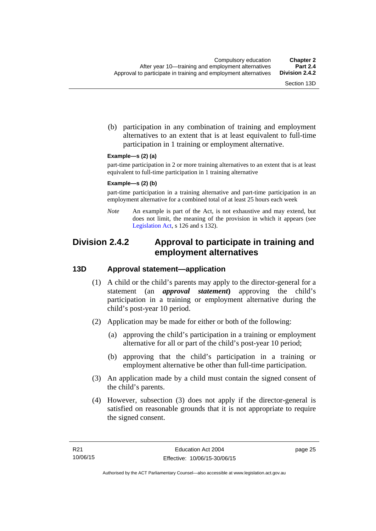(b) participation in any combination of training and employment alternatives to an extent that is at least equivalent to full-time participation in 1 training or employment alternative.

#### **Example—s (2) (a)**

part-time participation in 2 or more training alternatives to an extent that is at least equivalent to full-time participation in 1 training alternative

#### **Example—s (2) (b)**

part-time participation in a training alternative and part-time participation in an employment alternative for a combined total of at least 25 hours each week

*Note* An example is part of the Act, is not exhaustive and may extend, but does not limit, the meaning of the provision in which it appears (see [Legislation Act,](http://www.legislation.act.gov.au/a/2001-14) s 126 and s 132).

## **Division 2.4.2 Approval to participate in training and employment alternatives**

## **13D Approval statement—application**

- (1) A child or the child's parents may apply to the director-general for a statement (an *approval statement***)** approving the child's participation in a training or employment alternative during the child's post-year 10 period.
- (2) Application may be made for either or both of the following:
	- (a) approving the child's participation in a training or employment alternative for all or part of the child's post-year 10 period;
	- (b) approving that the child's participation in a training or employment alternative be other than full-time participation.
- (3) An application made by a child must contain the signed consent of the child's parents.
- (4) However, subsection (3) does not apply if the director-general is satisfied on reasonable grounds that it is not appropriate to require the signed consent.

page 25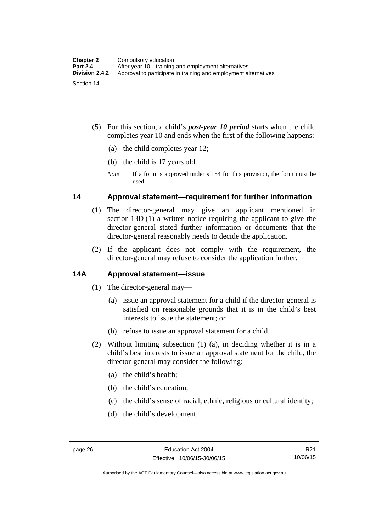- (5) For this section, a child's *post-year 10 period* starts when the child completes year 10 and ends when the first of the following happens:
	- (a) the child completes year 12;
	- (b) the child is 17 years old.
	- *Note* If a form is approved under s 154 for this provision, the form must be used.

## **14 Approval statement—requirement for further information**

- (1) The director-general may give an applicant mentioned in section 13D (1) a written notice requiring the applicant to give the director-general stated further information or documents that the director-general reasonably needs to decide the application.
- (2) If the applicant does not comply with the requirement, the director-general may refuse to consider the application further.

## **14A Approval statement—issue**

- (1) The director-general may—
	- (a) issue an approval statement for a child if the director-general is satisfied on reasonable grounds that it is in the child's best interests to issue the statement; or
	- (b) refuse to issue an approval statement for a child.
- (2) Without limiting subsection (1) (a), in deciding whether it is in a child's best interests to issue an approval statement for the child, the director-general may consider the following:
	- (a) the child's health;
	- (b) the child's education;
	- (c) the child's sense of racial, ethnic, religious or cultural identity;
	- (d) the child's development;

Authorised by the ACT Parliamentary Counsel—also accessible at www.legislation.act.gov.au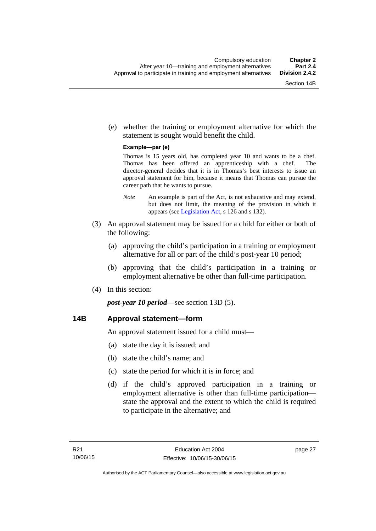(e) whether the training or employment alternative for which the statement is sought would benefit the child.

#### **Example—par (e)**

Thomas is 15 years old, has completed year 10 and wants to be a chef. Thomas has been offered an apprenticeship with a chef. The director-general decides that it is in Thomas's best interests to issue an approval statement for him, because it means that Thomas can pursue the career path that he wants to pursue.

- *Note* An example is part of the Act, is not exhaustive and may extend, but does not limit, the meaning of the provision in which it appears (see [Legislation Act,](http://www.legislation.act.gov.au/a/2001-14) s 126 and s 132).
- (3) An approval statement may be issued for a child for either or both of the following:
	- (a) approving the child's participation in a training or employment alternative for all or part of the child's post-year 10 period;
	- (b) approving that the child's participation in a training or employment alternative be other than full-time participation.
- (4) In this section:

*post-year 10 period*—see section 13D (5).

## **14B Approval statement—form**

An approval statement issued for a child must—

- (a) state the day it is issued; and
- (b) state the child's name; and
- (c) state the period for which it is in force; and
- (d) if the child's approved participation in a training or employment alternative is other than full-time participation state the approval and the extent to which the child is required to participate in the alternative; and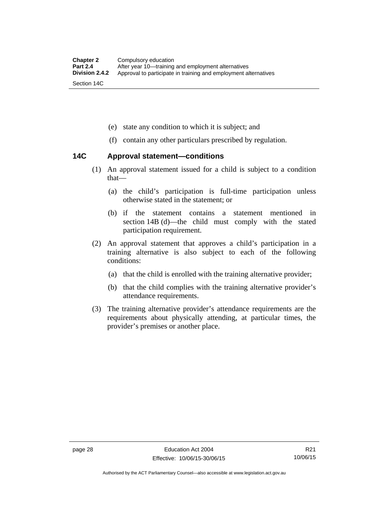- (e) state any condition to which it is subject; and
- (f) contain any other particulars prescribed by regulation.

## **14C Approval statement—conditions**

- (1) An approval statement issued for a child is subject to a condition that—
	- (a) the child's participation is full-time participation unless otherwise stated in the statement; or
	- (b) if the statement contains a statement mentioned in section 14B (d)—the child must comply with the stated participation requirement.
- (2) An approval statement that approves a child's participation in a training alternative is also subject to each of the following conditions:
	- (a) that the child is enrolled with the training alternative provider;
	- (b) that the child complies with the training alternative provider's attendance requirements.
- (3) The training alternative provider's attendance requirements are the requirements about physically attending, at particular times, the provider's premises or another place.

Authorised by the ACT Parliamentary Counsel—also accessible at www.legislation.act.gov.au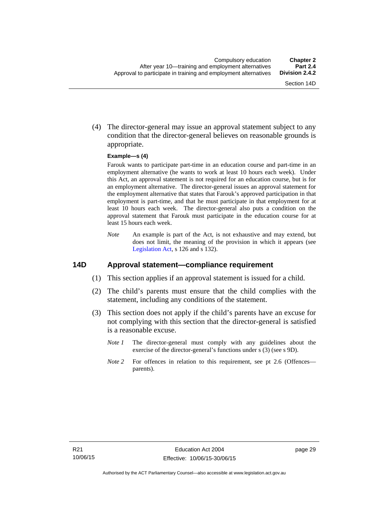(4) The director-general may issue an approval statement subject to any condition that the director-general believes on reasonable grounds is appropriate.

#### **Example—s (4)**

Farouk wants to participate part-time in an education course and part-time in an employment alternative (he wants to work at least 10 hours each week). Under this Act, an approval statement is not required for an education course, but is for an employment alternative. The director-general issues an approval statement for the employment alternative that states that Farouk's approved participation in that employment is part-time, and that he must participate in that employment for at least 10 hours each week. The director-general also puts a condition on the approval statement that Farouk must participate in the education course for at least 15 hours each week.

*Note* An example is part of the Act, is not exhaustive and may extend, but does not limit, the meaning of the provision in which it appears (see [Legislation Act,](http://www.legislation.act.gov.au/a/2001-14) s 126 and s 132).

### **14D Approval statement—compliance requirement**

- (1) This section applies if an approval statement is issued for a child.
- (2) The child's parents must ensure that the child complies with the statement, including any conditions of the statement.
- (3) This section does not apply if the child's parents have an excuse for not complying with this section that the director-general is satisfied is a reasonable excuse.
	- *Note 1* The director-general must comply with any guidelines about the exercise of the director-general's functions under s (3) (see s 9D).
	- *Note 2* For offences in relation to this requirement, see pt 2.6 (Offences parents).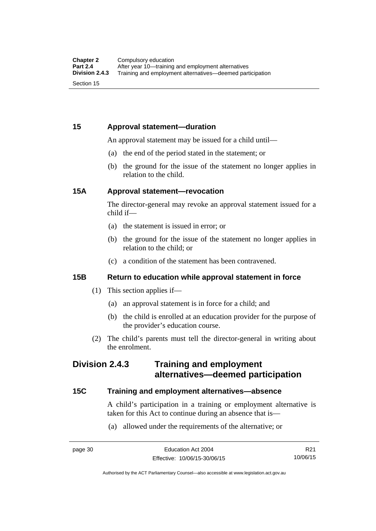## **15 Approval statement—duration**

An approval statement may be issued for a child until—

- (a) the end of the period stated in the statement; or
- (b) the ground for the issue of the statement no longer applies in relation to the child.

## **15A Approval statement—revocation**

The director-general may revoke an approval statement issued for a child if—

- (a) the statement is issued in error; or
- (b) the ground for the issue of the statement no longer applies in relation to the child; or
- (c) a condition of the statement has been contravened.

## **15B Return to education while approval statement in force**

- (1) This section applies if—
	- (a) an approval statement is in force for a child; and
	- (b) the child is enrolled at an education provider for the purpose of the provider's education course.
- (2) The child's parents must tell the director-general in writing about the enrolment.

## **Division 2.4.3 Training and employment alternatives—deemed participation**

## **15C Training and employment alternatives—absence**

A child's participation in a training or employment alternative is taken for this Act to continue during an absence that is—

(a) allowed under the requirements of the alternative; or

R21 10/06/15

Authorised by the ACT Parliamentary Counsel—also accessible at www.legislation.act.gov.au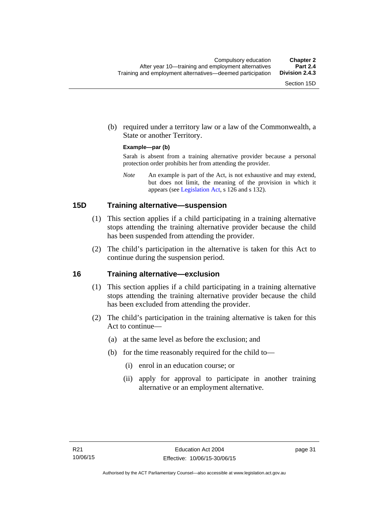(b) required under a territory law or a law of the Commonwealth, a State or another Territory.

#### **Example—par (b)**

Sarah is absent from a training alternative provider because a personal protection order prohibits her from attending the provider.

*Note* An example is part of the Act, is not exhaustive and may extend, but does not limit, the meaning of the provision in which it appears (see [Legislation Act,](http://www.legislation.act.gov.au/a/2001-14) s 126 and s 132).

## **15D Training alternative—suspension**

- (1) This section applies if a child participating in a training alternative stops attending the training alternative provider because the child has been suspended from attending the provider.
- (2) The child's participation in the alternative is taken for this Act to continue during the suspension period.

#### **16 Training alternative—exclusion**

- (1) This section applies if a child participating in a training alternative stops attending the training alternative provider because the child has been excluded from attending the provider.
- (2) The child's participation in the training alternative is taken for this Act to continue—
	- (a) at the same level as before the exclusion; and
	- (b) for the time reasonably required for the child to—
		- (i) enrol in an education course; or
		- (ii) apply for approval to participate in another training alternative or an employment alternative.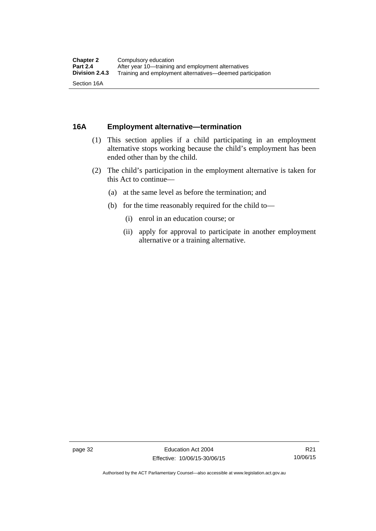## **16A Employment alternative—termination**

- (1) This section applies if a child participating in an employment alternative stops working because the child's employment has been ended other than by the child.
- (2) The child's participation in the employment alternative is taken for this Act to continue—
	- (a) at the same level as before the termination; and
	- (b) for the time reasonably required for the child to—
		- (i) enrol in an education course; or
		- (ii) apply for approval to participate in another employment alternative or a training alternative.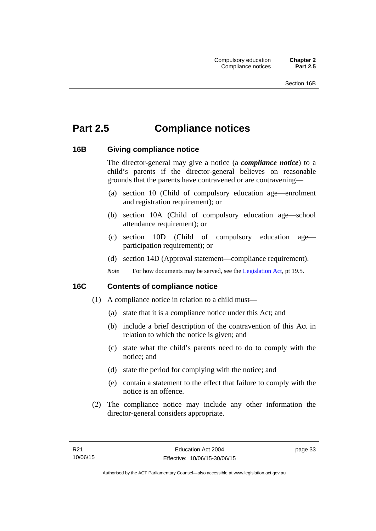# **Part 2.5 Compliance notices**

## **16B Giving compliance notice**

The director-general may give a notice (a *compliance notice*) to a child's parents if the director-general believes on reasonable grounds that the parents have contravened or are contravening—

- (a) section 10 (Child of compulsory education age—enrolment and registration requirement); or
- (b) section 10A (Child of compulsory education age—school attendance requirement); or
- (c) section 10D (Child of compulsory education age participation requirement); or
- (d) section 14D (Approval statement—compliance requirement).
- *Note* For how documents may be served, see the [Legislation Act,](http://www.legislation.act.gov.au/a/2001-14) pt 19.5.

## **16C Contents of compliance notice**

- (1) A compliance notice in relation to a child must—
	- (a) state that it is a compliance notice under this Act; and
	- (b) include a brief description of the contravention of this Act in relation to which the notice is given; and
	- (c) state what the child's parents need to do to comply with the notice; and
	- (d) state the period for complying with the notice; and
	- (e) contain a statement to the effect that failure to comply with the notice is an offence.
- (2) The compliance notice may include any other information the director-general considers appropriate.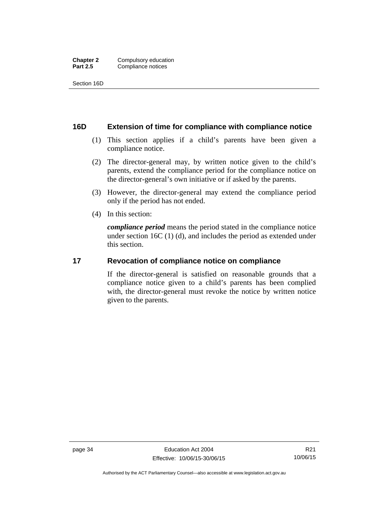Section 16D

## **16D Extension of time for compliance with compliance notice**

- (1) This section applies if a child's parents have been given a compliance notice.
- (2) The director-general may, by written notice given to the child's parents, extend the compliance period for the compliance notice on the director-general's own initiative or if asked by the parents.
- (3) However, the director-general may extend the compliance period only if the period has not ended.
- (4) In this section:

*compliance period* means the period stated in the compliance notice under section 16C (1) (d), and includes the period as extended under this section.

## **17 Revocation of compliance notice on compliance**

If the director-general is satisfied on reasonable grounds that a compliance notice given to a child's parents has been complied with, the director-general must revoke the notice by written notice given to the parents.

Authorised by the ACT Parliamentary Counsel—also accessible at www.legislation.act.gov.au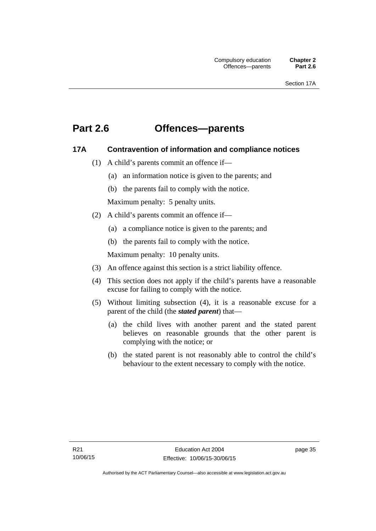# **Part 2.6 Offences—parents**

## **17A Contravention of information and compliance notices**

- (1) A child's parents commit an offence if—
	- (a) an information notice is given to the parents; and
	- (b) the parents fail to comply with the notice.

Maximum penalty: 5 penalty units.

- (2) A child's parents commit an offence if—
	- (a) a compliance notice is given to the parents; and
	- (b) the parents fail to comply with the notice.

Maximum penalty: 10 penalty units.

- (3) An offence against this section is a strict liability offence.
- (4) This section does not apply if the child's parents have a reasonable excuse for failing to comply with the notice.
- (5) Without limiting subsection (4), it is a reasonable excuse for a parent of the child (the *stated parent*) that—
	- (a) the child lives with another parent and the stated parent believes on reasonable grounds that the other parent is complying with the notice; or
	- (b) the stated parent is not reasonably able to control the child's behaviour to the extent necessary to comply with the notice.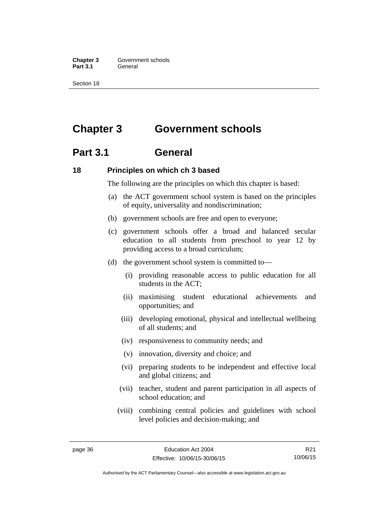**Chapter 3 Government schools** Part 3.1 **General** 

Section 18

# **Chapter 3 Government schools**

## **Part 3.1 General**

## **18 Principles on which ch 3 based**

The following are the principles on which this chapter is based:

- (a) the ACT government school system is based on the principles of equity, universality and nondiscrimination;
- (b) government schools are free and open to everyone;
- (c) government schools offer a broad and balanced secular education to all students from preschool to year 12 by providing access to a broad curriculum;
- (d) the government school system is committed to—
	- (i) providing reasonable access to public education for all students in the ACT;
	- (ii) maximising student educational achievements and opportunities; and
	- (iii) developing emotional, physical and intellectual wellbeing of all students; and
	- (iv) responsiveness to community needs; and
	- (v) innovation, diversity and choice; and
	- (vi) preparing students to be independent and effective local and global citizens; and
	- (vii) teacher, student and parent participation in all aspects of school education; and
	- (viii) combining central policies and guidelines with school level policies and decision-making; and

R21 10/06/15

Authorised by the ACT Parliamentary Counsel—also accessible at www.legislation.act.gov.au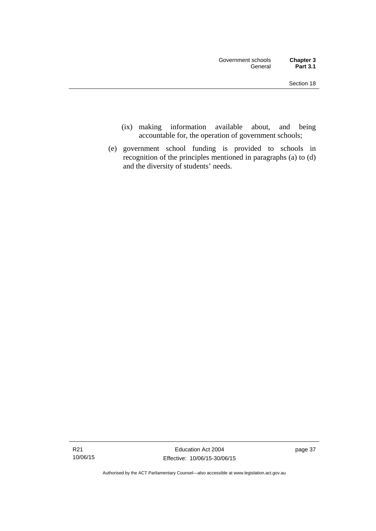- (ix) making information available about, and being accountable for, the operation of government schools;
- (e) government school funding is provided to schools in recognition of the principles mentioned in paragraphs (a) to (d) and the diversity of students' needs.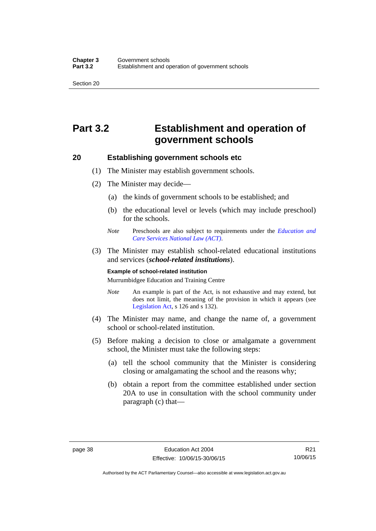# **Part 3.2 Establishment and operation of government schools**

## **20 Establishing government schools etc**

- (1) The Minister may establish government schools.
- (2) The Minister may decide—
	- (a) the kinds of government schools to be established; and
	- (b) the educational level or levels (which may include preschool) for the schools.
	- *Note* Preschools are also subject to requirements under the *[Education and](http://www.legislation.act.gov.au/a/2011-42/default.asp)  [Care Services National Law \(ACT\)](http://www.legislation.act.gov.au/a/2011-42/default.asp)*.
- (3) The Minister may establish school-related educational institutions and services (*school-related institutions*).

#### **Example of school-related institution**

Murrumbidgee Education and Training Centre

- *Note* An example is part of the Act, is not exhaustive and may extend, but does not limit, the meaning of the provision in which it appears (see [Legislation Act,](http://www.legislation.act.gov.au/a/2001-14) s 126 and s 132).
- (4) The Minister may name, and change the name of, a government school or school-related institution.
- (5) Before making a decision to close or amalgamate a government school, the Minister must take the following steps:
	- (a) tell the school community that the Minister is considering closing or amalgamating the school and the reasons why;
	- (b) obtain a report from the committee established under section 20A to use in consultation with the school community under paragraph (c) that—

Authorised by the ACT Parliamentary Counsel—also accessible at www.legislation.act.gov.au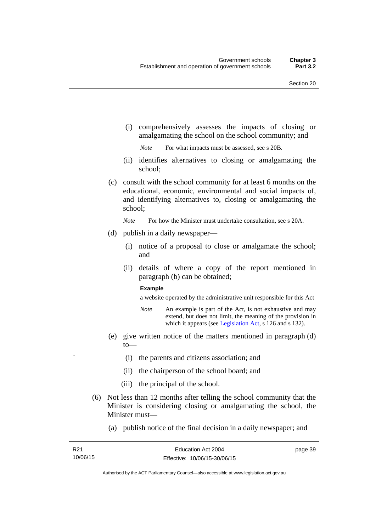(i) comprehensively assesses the impacts of closing or amalgamating the school on the school community; and

*Note* For what impacts must be assessed, see s 20B.

- (ii) identifies alternatives to closing or amalgamating the school;
- (c) consult with the school community for at least 6 months on the educational, economic, environmental and social impacts of, and identifying alternatives to, closing or amalgamating the school;

*Note* For how the Minister must undertake consultation, see s 20A.

- (d) publish in a daily newspaper—
	- (i) notice of a proposal to close or amalgamate the school; and
	- (ii) details of where a copy of the report mentioned in paragraph (b) can be obtained;

#### **Example**

a website operated by the administrative unit responsible for this Act

- *Note* An example is part of the Act, is not exhaustive and may extend, but does not limit, the meaning of the provision in which it appears (see [Legislation Act,](http://www.legislation.act.gov.au/a/2001-14) s 126 and s 132).
- (e) give written notice of the matters mentioned in paragraph (d) to—
	- ` (i) the parents and citizens association; and
	- (ii) the chairperson of the school board; and
	- (iii) the principal of the school.
- (6) Not less than 12 months after telling the school community that the Minister is considering closing or amalgamating the school, the Minister must—
	- (a) publish notice of the final decision in a daily newspaper; and

page 39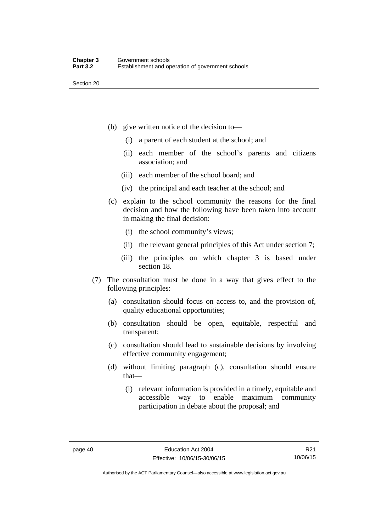- (b) give written notice of the decision to—
	- (i) a parent of each student at the school; and
	- (ii) each member of the school's parents and citizens association; and
	- (iii) each member of the school board; and
	- (iv) the principal and each teacher at the school; and
- (c) explain to the school community the reasons for the final decision and how the following have been taken into account in making the final decision:
	- (i) the school community's views;
	- (ii) the relevant general principles of this Act under section 7;
	- (iii) the principles on which chapter 3 is based under section 18.
- (7) The consultation must be done in a way that gives effect to the following principles:
	- (a) consultation should focus on access to, and the provision of, quality educational opportunities;
	- (b) consultation should be open, equitable, respectful and transparent;
	- (c) consultation should lead to sustainable decisions by involving effective community engagement;
	- (d) without limiting paragraph (c), consultation should ensure that—
		- (i) relevant information is provided in a timely, equitable and accessible way to enable maximum community participation in debate about the proposal; and

R21 10/06/15

Authorised by the ACT Parliamentary Counsel—also accessible at www.legislation.act.gov.au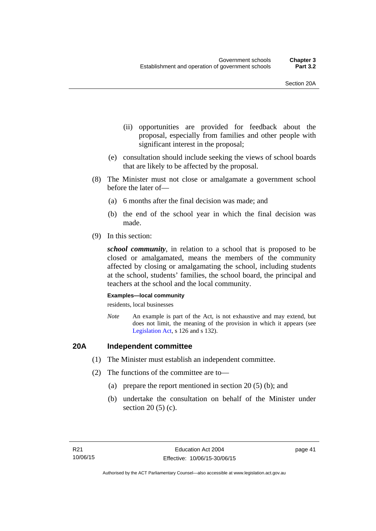- (ii) opportunities are provided for feedback about the proposal, especially from families and other people with significant interest in the proposal;
- (e) consultation should include seeking the views of school boards that are likely to be affected by the proposal.
- (8) The Minister must not close or amalgamate a government school before the later of—
	- (a) 6 months after the final decision was made; and
	- (b) the end of the school year in which the final decision was made.
- (9) In this section:

*school community*, in relation to a school that is proposed to be closed or amalgamated, means the members of the community affected by closing or amalgamating the school, including students at the school, students' families, the school board, the principal and teachers at the school and the local community.

#### **Examples—local community**

residents, local businesses

*Note* An example is part of the Act, is not exhaustive and may extend, but does not limit, the meaning of the provision in which it appears (see [Legislation Act,](http://www.legislation.act.gov.au/a/2001-14) s 126 and s 132).

## **20A Independent committee**

- (1) The Minister must establish an independent committee.
- (2) The functions of the committee are to—
	- (a) prepare the report mentioned in section 20 (5) (b); and
	- (b) undertake the consultation on behalf of the Minister under section 20 (5) (c).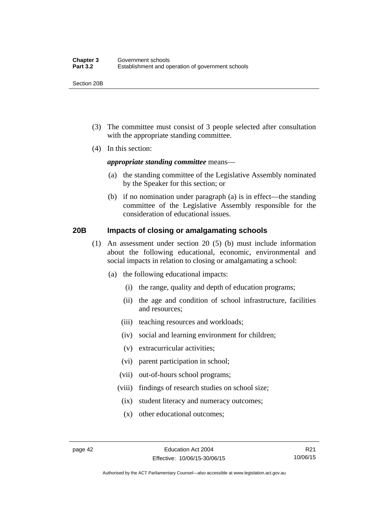Section 20B

- (3) The committee must consist of 3 people selected after consultation with the appropriate standing committee.
- (4) In this section:

### *appropriate standing committee* means—

- (a) the standing committee of the Legislative Assembly nominated by the Speaker for this section; or
- (b) if no nomination under paragraph (a) is in effect—the standing committee of the Legislative Assembly responsible for the consideration of educational issues.

## **20B Impacts of closing or amalgamating schools**

- (1) An assessment under section 20 (5) (b) must include information about the following educational, economic, environmental and social impacts in relation to closing or amalgamating a school:
	- (a) the following educational impacts:
		- (i) the range, quality and depth of education programs;
		- (ii) the age and condition of school infrastructure, facilities and resources;
		- (iii) teaching resources and workloads;
		- (iv) social and learning environment for children;
		- (v) extracurricular activities;
		- (vi) parent participation in school;
		- (vii) out-of-hours school programs;
		- (viii) findings of research studies on school size;
			- (ix) student literacy and numeracy outcomes;
			- (x) other educational outcomes;

Authorised by the ACT Parliamentary Counsel—also accessible at www.legislation.act.gov.au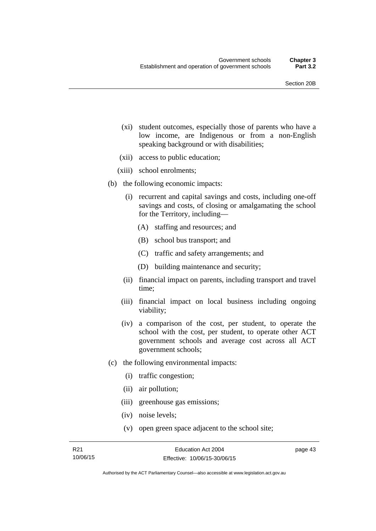- (xi) student outcomes, especially those of parents who have a low income, are Indigenous or from a non-English speaking background or with disabilities;
- (xii) access to public education;
- (xiii) school enrolments;
- (b) the following economic impacts:
	- (i) recurrent and capital savings and costs, including one-off savings and costs, of closing or amalgamating the school for the Territory, including—
		- (A) staffing and resources; and
		- (B) school bus transport; and
		- (C) traffic and safety arrangements; and
		- (D) building maintenance and security;
	- (ii) financial impact on parents, including transport and travel time;
	- (iii) financial impact on local business including ongoing viability;
	- (iv) a comparison of the cost, per student, to operate the school with the cost, per student, to operate other ACT government schools and average cost across all ACT government schools;
- (c) the following environmental impacts:
	- (i) traffic congestion;
	- (ii) air pollution;
	- (iii) greenhouse gas emissions;
	- (iv) noise levels;
	- (v) open green space adjacent to the school site;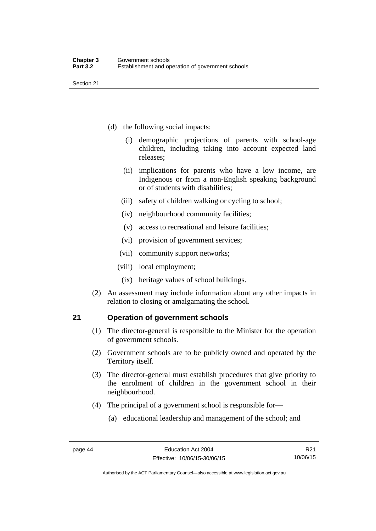- (d) the following social impacts:
	- (i) demographic projections of parents with school-age children, including taking into account expected land releases;
	- (ii) implications for parents who have a low income, are Indigenous or from a non-English speaking background or of students with disabilities;
	- (iii) safety of children walking or cycling to school;
	- (iv) neighbourhood community facilities;
	- (v) access to recreational and leisure facilities;
	- (vi) provision of government services;
	- (vii) community support networks;
	- (viii) local employment;
		- (ix) heritage values of school buildings.
- (2) An assessment may include information about any other impacts in relation to closing or amalgamating the school.

## **21 Operation of government schools**

- (1) The director-general is responsible to the Minister for the operation of government schools.
- (2) Government schools are to be publicly owned and operated by the Territory itself.
- (3) The director-general must establish procedures that give priority to the enrolment of children in the government school in their neighbourhood.
- (4) The principal of a government school is responsible for—
	- (a) educational leadership and management of the school; and

Authorised by the ACT Parliamentary Counsel—also accessible at www.legislation.act.gov.au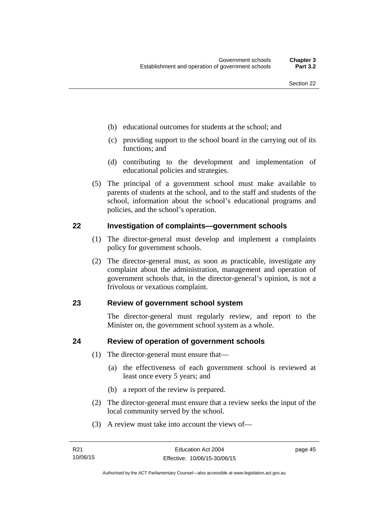- (b) educational outcomes for students at the school; and
- (c) providing support to the school board in the carrying out of its functions; and
- (d) contributing to the development and implementation of educational policies and strategies.
- (5) The principal of a government school must make available to parents of students at the school, and to the staff and students of the school, information about the school's educational programs and policies, and the school's operation.

## **22 Investigation of complaints—government schools**

- (1) The director-general must develop and implement a complaints policy for government schools.
- (2) The director-general must, as soon as practicable, investigate any complaint about the administration, management and operation of government schools that, in the director-general's opinion, is not a frivolous or vexatious complaint.

## **23 Review of government school system**

The director-general must regularly review, and report to the Minister on, the government school system as a whole.

## **24 Review of operation of government schools**

- (1) The director-general must ensure that—
	- (a) the effectiveness of each government school is reviewed at least once every 5 years; and
	- (b) a report of the review is prepared.
- (2) The director-general must ensure that a review seeks the input of the local community served by the school.
- (3) A review must take into account the views of—

page 45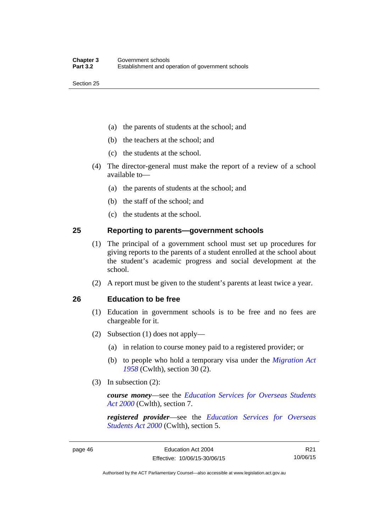- (a) the parents of students at the school; and
- (b) the teachers at the school; and
- (c) the students at the school.
- (4) The director-general must make the report of a review of a school available to—
	- (a) the parents of students at the school; and
	- (b) the staff of the school; and
	- (c) the students at the school.

## **25 Reporting to parents—government schools**

- (1) The principal of a government school must set up procedures for giving reports to the parents of a student enrolled at the school about the student's academic progress and social development at the school.
- (2) A report must be given to the student's parents at least twice a year.

## **26 Education to be free**

- (1) Education in government schools is to be free and no fees are chargeable for it.
- (2) Subsection (1) does not apply—
	- (a) in relation to course money paid to a registered provider; or
	- (b) to people who hold a temporary visa under the *[Migration Act](http://www.comlaw.gov.au/Series/C1958A00062)  [1958](http://www.comlaw.gov.au/Series/C1958A00062)* (Cwlth), section 30 (2).
- (3) In subsection (2):

*course money*—see the *[Education Services for Overseas Students](http://www.comlaw.gov.au/Series/C2004A00757)  [Act 2000](http://www.comlaw.gov.au/Series/C2004A00757)* (Cwlth), section 7.

*registered provider*—see the *[Education Services for Overseas](http://www.comlaw.gov.au/Series/C2004A00757)  [Students Act 2000](http://www.comlaw.gov.au/Series/C2004A00757)* (Cwlth), section 5.

R21 10/06/15

Authorised by the ACT Parliamentary Counsel—also accessible at www.legislation.act.gov.au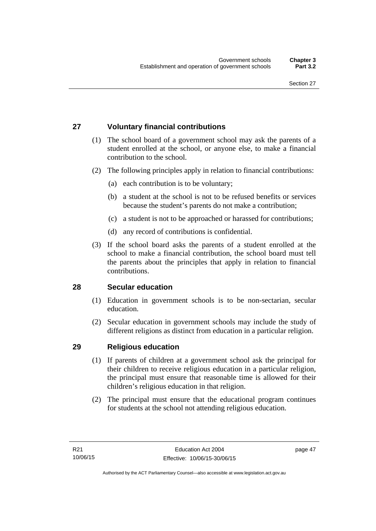## **27 Voluntary financial contributions**

- (1) The school board of a government school may ask the parents of a student enrolled at the school, or anyone else, to make a financial contribution to the school.
- (2) The following principles apply in relation to financial contributions:
	- (a) each contribution is to be voluntary;
	- (b) a student at the school is not to be refused benefits or services because the student's parents do not make a contribution;
	- (c) a student is not to be approached or harassed for contributions;
	- (d) any record of contributions is confidential.
- (3) If the school board asks the parents of a student enrolled at the school to make a financial contribution, the school board must tell the parents about the principles that apply in relation to financial contributions.

## **28 Secular education**

- (1) Education in government schools is to be non-sectarian, secular education.
- (2) Secular education in government schools may include the study of different religions as distinct from education in a particular religion.

## **29 Religious education**

- (1) If parents of children at a government school ask the principal for their children to receive religious education in a particular religion, the principal must ensure that reasonable time is allowed for their children's religious education in that religion.
- (2) The principal must ensure that the educational program continues for students at the school not attending religious education.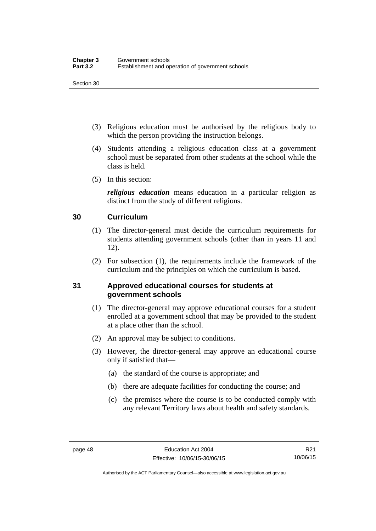- (3) Religious education must be authorised by the religious body to which the person providing the instruction belongs.
- (4) Students attending a religious education class at a government school must be separated from other students at the school while the class is held.
- (5) In this section:

*religious education* means education in a particular religion as distinct from the study of different religions.

## **30 Curriculum**

- (1) The director-general must decide the curriculum requirements for students attending government schools (other than in years 11 and 12).
- (2) For subsection (1), the requirements include the framework of the curriculum and the principles on which the curriculum is based.

## **31 Approved educational courses for students at government schools**

- (1) The director-general may approve educational courses for a student enrolled at a government school that may be provided to the student at a place other than the school.
- (2) An approval may be subject to conditions.
- (3) However, the director-general may approve an educational course only if satisfied that—
	- (a) the standard of the course is appropriate; and
	- (b) there are adequate facilities for conducting the course; and
	- (c) the premises where the course is to be conducted comply with any relevant Territory laws about health and safety standards.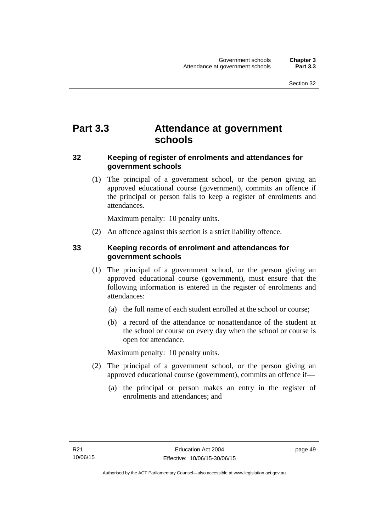# **Part 3.3 Attendance at government schools**

## **32 Keeping of register of enrolments and attendances for government schools**

 (1) The principal of a government school, or the person giving an approved educational course (government), commits an offence if the principal or person fails to keep a register of enrolments and attendances.

Maximum penalty: 10 penalty units.

(2) An offence against this section is a strict liability offence.

## **33 Keeping records of enrolment and attendances for government schools**

- (1) The principal of a government school, or the person giving an approved educational course (government), must ensure that the following information is entered in the register of enrolments and attendances:
	- (a) the full name of each student enrolled at the school or course;
	- (b) a record of the attendance or nonattendance of the student at the school or course on every day when the school or course is open for attendance.

Maximum penalty: 10 penalty units.

- (2) The principal of a government school, or the person giving an approved educational course (government), commits an offence if—
	- (a) the principal or person makes an entry in the register of enrolments and attendances; and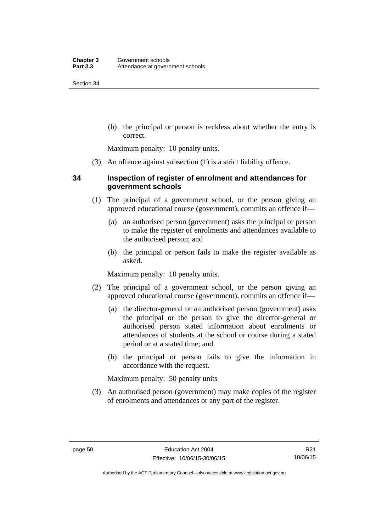(b) the principal or person is reckless about whether the entry is correct.

Maximum penalty: 10 penalty units.

(3) An offence against subsection (1) is a strict liability offence.

## **34 Inspection of register of enrolment and attendances for government schools**

- (1) The principal of a government school, or the person giving an approved educational course (government), commits an offence if—
	- (a) an authorised person (government) asks the principal or person to make the register of enrolments and attendances available to the authorised person; and
	- (b) the principal or person fails to make the register available as asked.

Maximum penalty: 10 penalty units.

- (2) The principal of a government school, or the person giving an approved educational course (government), commits an offence if—
	- (a) the director-general or an authorised person (government) asks the principal or the person to give the director-general or authorised person stated information about enrolments or attendances of students at the school or course during a stated period or at a stated time; and
	- (b) the principal or person fails to give the information in accordance with the request.

Maximum penalty: 50 penalty units

 (3) An authorised person (government) may make copies of the register of enrolments and attendances or any part of the register.

Authorised by the ACT Parliamentary Counsel—also accessible at www.legislation.act.gov.au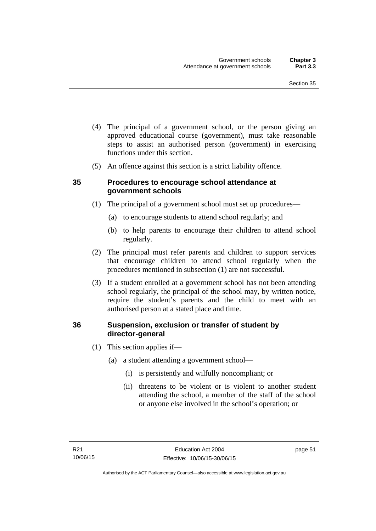- (4) The principal of a government school, or the person giving an approved educational course (government), must take reasonable steps to assist an authorised person (government) in exercising functions under this section.
- (5) An offence against this section is a strict liability offence.

## **35 Procedures to encourage school attendance at government schools**

- (1) The principal of a government school must set up procedures—
	- (a) to encourage students to attend school regularly; and
	- (b) to help parents to encourage their children to attend school regularly.
- (2) The principal must refer parents and children to support services that encourage children to attend school regularly when the procedures mentioned in subsection (1) are not successful.
- (3) If a student enrolled at a government school has not been attending school regularly, the principal of the school may, by written notice, require the student's parents and the child to meet with an authorised person at a stated place and time.

## **36 Suspension, exclusion or transfer of student by director-general**

- (1) This section applies if—
	- (a) a student attending a government school—
		- (i) is persistently and wilfully noncompliant; or
		- (ii) threatens to be violent or is violent to another student attending the school, a member of the staff of the school or anyone else involved in the school's operation; or

page 51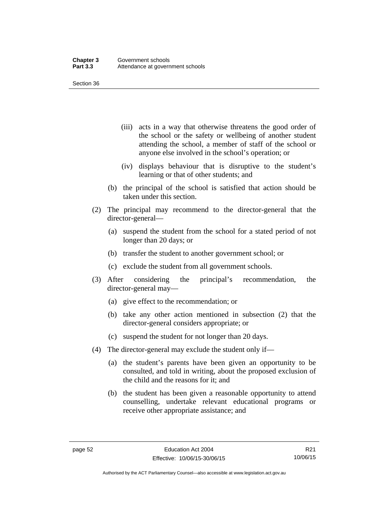- (iii) acts in a way that otherwise threatens the good order of the school or the safety or wellbeing of another student attending the school, a member of staff of the school or anyone else involved in the school's operation; or
- (iv) displays behaviour that is disruptive to the student's learning or that of other students; and
- (b) the principal of the school is satisfied that action should be taken under this section.
- (2) The principal may recommend to the director-general that the director-general—
	- (a) suspend the student from the school for a stated period of not longer than 20 days; or
	- (b) transfer the student to another government school; or
	- (c) exclude the student from all government schools.
- (3) After considering the principal's recommendation, the director-general may—
	- (a) give effect to the recommendation; or
	- (b) take any other action mentioned in subsection (2) that the director-general considers appropriate; or
	- (c) suspend the student for not longer than 20 days.
- (4) The director-general may exclude the student only if—
	- (a) the student's parents have been given an opportunity to be consulted, and told in writing, about the proposed exclusion of the child and the reasons for it; and
	- (b) the student has been given a reasonable opportunity to attend counselling, undertake relevant educational programs or receive other appropriate assistance; and

R21 10/06/15

Authorised by the ACT Parliamentary Counsel—also accessible at www.legislation.act.gov.au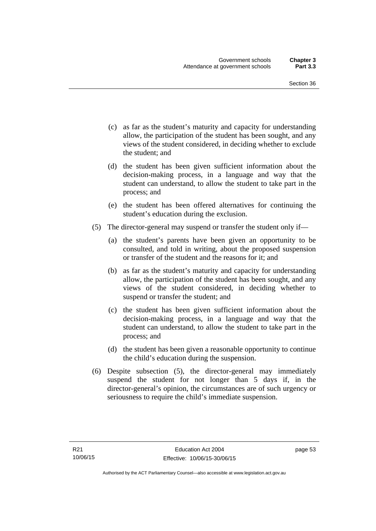- (c) as far as the student's maturity and capacity for understanding allow, the participation of the student has been sought, and any views of the student considered, in deciding whether to exclude the student; and
- (d) the student has been given sufficient information about the decision-making process, in a language and way that the student can understand, to allow the student to take part in the process; and
- (e) the student has been offered alternatives for continuing the student's education during the exclusion.
- (5) The director-general may suspend or transfer the student only if—
	- (a) the student's parents have been given an opportunity to be consulted, and told in writing, about the proposed suspension or transfer of the student and the reasons for it; and
	- (b) as far as the student's maturity and capacity for understanding allow, the participation of the student has been sought, and any views of the student considered, in deciding whether to suspend or transfer the student; and
	- (c) the student has been given sufficient information about the decision-making process, in a language and way that the student can understand, to allow the student to take part in the process; and
	- (d) the student has been given a reasonable opportunity to continue the child's education during the suspension.
- (6) Despite subsection (5), the director-general may immediately suspend the student for not longer than 5 days if, in the director-general's opinion, the circumstances are of such urgency or seriousness to require the child's immediate suspension.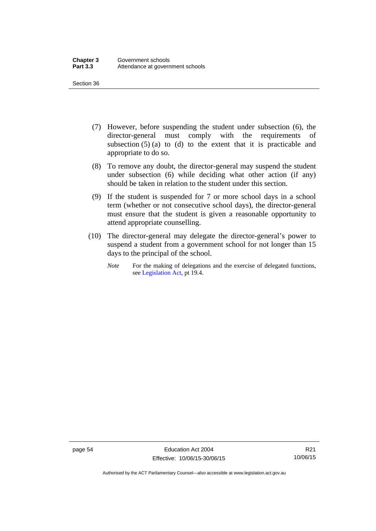- (7) However, before suspending the student under subsection (6), the director-general must comply with the requirements of subsection  $(5)$  (a) to (d) to the extent that it is practicable and appropriate to do so.
- (8) To remove any doubt, the director-general may suspend the student under subsection (6) while deciding what other action (if any) should be taken in relation to the student under this section.
- (9) If the student is suspended for 7 or more school days in a school term (whether or not consecutive school days), the director-general must ensure that the student is given a reasonable opportunity to attend appropriate counselling.
- (10) The director-general may delegate the director-general's power to suspend a student from a government school for not longer than 15 days to the principal of the school.
	- *Note* For the making of delegations and the exercise of delegated functions, see [Legislation Act](http://www.legislation.act.gov.au/a/2001-14), pt 19.4.

Authorised by the ACT Parliamentary Counsel—also accessible at www.legislation.act.gov.au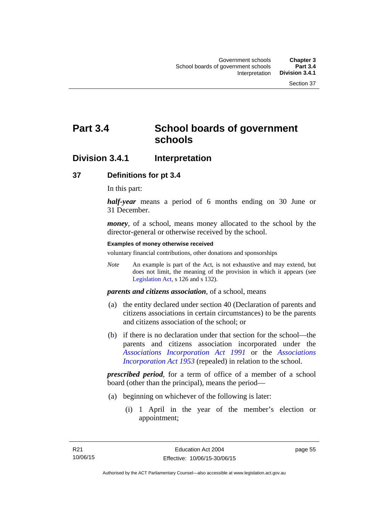# **Part 3.4 School boards of government schools**

## **Division 3.4.1 Interpretation**

## **37 Definitions for pt 3.4**

In this part:

*half-year* means a period of 6 months ending on 30 June or 31 December.

*money*, of a school, means money allocated to the school by the director-general or otherwise received by the school.

#### **Examples of money otherwise received**

voluntary financial contributions, other donations and sponsorships

*Note* An example is part of the Act, is not exhaustive and may extend, but does not limit, the meaning of the provision in which it appears (see [Legislation Act,](http://www.legislation.act.gov.au/a/2001-14) s 126 and s 132).

*parents and citizens association*, of a school, means

- (a) the entity declared under section 40 (Declaration of parents and citizens associations in certain circumstances) to be the parents and citizens association of the school; or
- (b) if there is no declaration under that section for the school—the parents and citizens association incorporated under the *[Associations Incorporation Act 1991](http://www.legislation.act.gov.au/a/1991-46)* or the *[Associations](http://www.legislation.act.gov.au/a/1953-15)  [Incorporation Act 1953](http://www.legislation.act.gov.au/a/1953-15)* (repealed) in relation to the school.

*prescribed period*, for a term of office of a member of a school board (other than the principal), means the period—

- (a) beginning on whichever of the following is later:
	- (i) 1 April in the year of the member's election or appointment;

page 55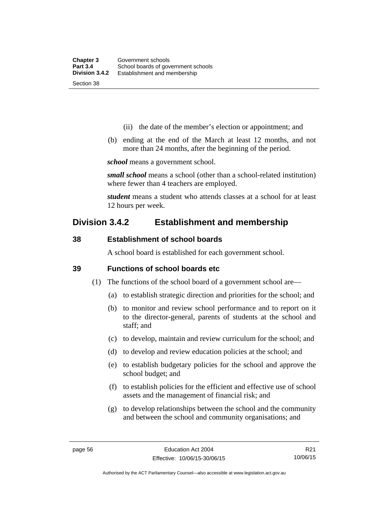- (ii) the date of the member's election or appointment; and
- (b) ending at the end of the March at least 12 months, and not more than 24 months, after the beginning of the period.

*school* means a government school.

*small school* means a school (other than a school-related institution) where fewer than 4 teachers are employed.

*student* means a student who attends classes at a school for at least 12 hours per week.

## **Division 3.4.2 Establishment and membership**

## **38 Establishment of school boards**

A school board is established for each government school.

### **39 Functions of school boards etc**

- (1) The functions of the school board of a government school are—
	- (a) to establish strategic direction and priorities for the school; and
	- (b) to monitor and review school performance and to report on it to the director-general, parents of students at the school and staff; and
	- (c) to develop, maintain and review curriculum for the school; and
	- (d) to develop and review education policies at the school; and
	- (e) to establish budgetary policies for the school and approve the school budget; and
	- (f) to establish policies for the efficient and effective use of school assets and the management of financial risk; and
	- (g) to develop relationships between the school and the community and between the school and community organisations; and

R21 10/06/15

Authorised by the ACT Parliamentary Counsel—also accessible at www.legislation.act.gov.au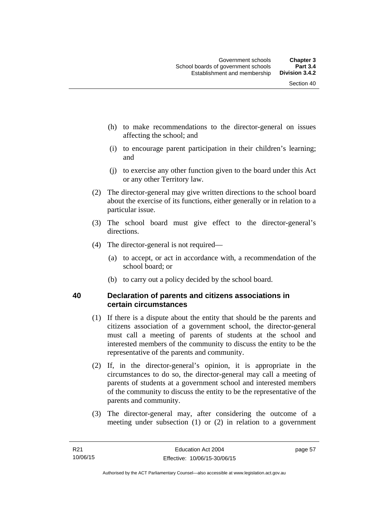- (h) to make recommendations to the director-general on issues affecting the school; and
- (i) to encourage parent participation in their children's learning; and
- (j) to exercise any other function given to the board under this Act or any other Territory law.
- (2) The director-general may give written directions to the school board about the exercise of its functions, either generally or in relation to a particular issue.
- (3) The school board must give effect to the director-general's directions.
- (4) The director-general is not required—
	- (a) to accept, or act in accordance with, a recommendation of the school board; or
	- (b) to carry out a policy decided by the school board.

## **40 Declaration of parents and citizens associations in certain circumstances**

- (1) If there is a dispute about the entity that should be the parents and citizens association of a government school, the director-general must call a meeting of parents of students at the school and interested members of the community to discuss the entity to be the representative of the parents and community.
- (2) If, in the director-general's opinion, it is appropriate in the circumstances to do so, the director-general may call a meeting of parents of students at a government school and interested members of the community to discuss the entity to be the representative of the parents and community.
- (3) The director-general may, after considering the outcome of a meeting under subsection (1) or (2) in relation to a government

page 57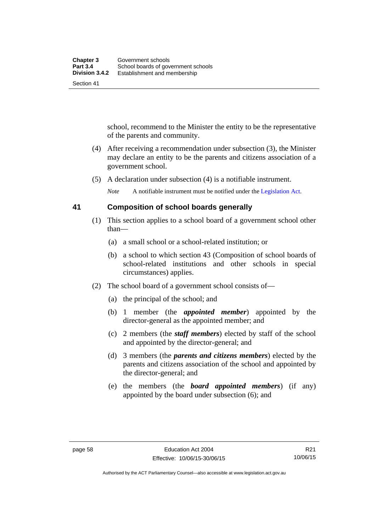school, recommend to the Minister the entity to be the representative of the parents and community.

- (4) After receiving a recommendation under subsection (3), the Minister may declare an entity to be the parents and citizens association of a government school.
- (5) A declaration under subsection (4) is a notifiable instrument.

*Note* A notifiable instrument must be notified under the [Legislation Act](http://www.legislation.act.gov.au/a/2001-14).

## **41 Composition of school boards generally**

- (1) This section applies to a school board of a government school other than—
	- (a) a small school or a school-related institution; or
	- (b) a school to which section 43 (Composition of school boards of school-related institutions and other schools in special circumstances) applies.
- (2) The school board of a government school consists of—
	- (a) the principal of the school; and
	- (b) 1 member (the *appointed member*) appointed by the director-general as the appointed member; and
	- (c) 2 members (the *staff members*) elected by staff of the school and appointed by the director-general; and
	- (d) 3 members (the *parents and citizens members*) elected by the parents and citizens association of the school and appointed by the director-general; and
	- (e) the members (the *board appointed members*) (if any) appointed by the board under subsection (6); and

Authorised by the ACT Parliamentary Counsel—also accessible at www.legislation.act.gov.au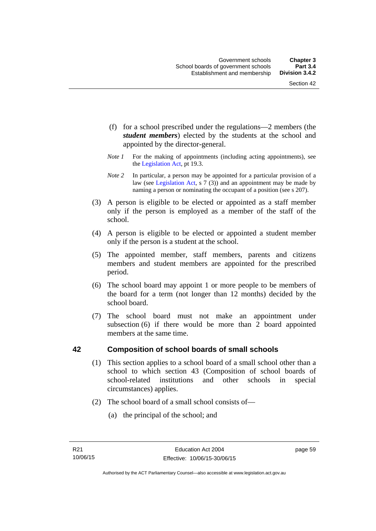- (f) for a school prescribed under the regulations—2 members (the *student members*) elected by the students at the school and appointed by the director-general.
- *Note 1* For the making of appointments (including acting appointments), see the [Legislation Act,](http://www.legislation.act.gov.au/a/2001-14) pt 19.3.
- *Note 2* In particular, a person may be appointed for a particular provision of a law (see [Legislation Act,](http://www.legislation.act.gov.au/a/2001-14) s 7 (3)) and an appointment may be made by naming a person or nominating the occupant of a position (see s 207).
- (3) A person is eligible to be elected or appointed as a staff member only if the person is employed as a member of the staff of the school.
- (4) A person is eligible to be elected or appointed a student member only if the person is a student at the school.
- (5) The appointed member, staff members, parents and citizens members and student members are appointed for the prescribed period.
- (6) The school board may appoint 1 or more people to be members of the board for a term (not longer than 12 months) decided by the school board.
- (7) The school board must not make an appointment under subsection (6) if there would be more than 2 board appointed members at the same time.

## **42 Composition of school boards of small schools**

- (1) This section applies to a school board of a small school other than a school to which section 43 (Composition of school boards of school-related institutions and other schools in special circumstances) applies.
- (2) The school board of a small school consists of—
	- (a) the principal of the school; and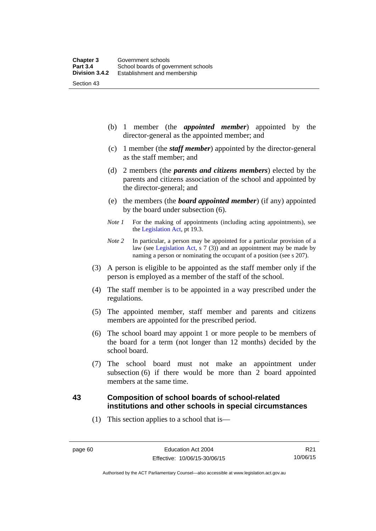(b) 1 member (the *appointed member*) appointed by the director-general as the appointed member; and

- (c) 1 member (the *staff member*) appointed by the director-general as the staff member; and
- (d) 2 members (the *parents and citizens members*) elected by the parents and citizens association of the school and appointed by the director-general; and
- (e) the members (the *board appointed member*) (if any) appointed by the board under subsection (6).
- *Note 1* For the making of appointments (including acting appointments), see the [Legislation Act,](http://www.legislation.act.gov.au/a/2001-14) pt 19.3.
- *Note 2* In particular, a person may be appointed for a particular provision of a law (see [Legislation Act,](http://www.legislation.act.gov.au/a/2001-14) s 7 (3)) and an appointment may be made by naming a person or nominating the occupant of a position (see s 207).
- (3) A person is eligible to be appointed as the staff member only if the person is employed as a member of the staff of the school.
- (4) The staff member is to be appointed in a way prescribed under the regulations.
- (5) The appointed member, staff member and parents and citizens members are appointed for the prescribed period.
- (6) The school board may appoint 1 or more people to be members of the board for a term (not longer than 12 months) decided by the school board.
- (7) The school board must not make an appointment under subsection (6) if there would be more than 2 board appointed members at the same time.

## **43 Composition of school boards of school-related institutions and other schools in special circumstances**

(1) This section applies to a school that is—

Authorised by the ACT Parliamentary Counsel—also accessible at www.legislation.act.gov.au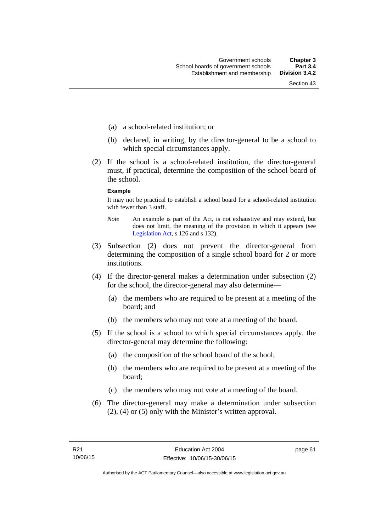- (a) a school-related institution; or
- (b) declared, in writing, by the director-general to be a school to which special circumstances apply.
- (2) If the school is a school-related institution, the director-general must, if practical, determine the composition of the school board of the school.

#### **Example**

It may not be practical to establish a school board for a school-related institution with fewer than 3 staff.

- *Note* An example is part of the Act, is not exhaustive and may extend, but does not limit, the meaning of the provision in which it appears (see [Legislation Act,](http://www.legislation.act.gov.au/a/2001-14) s 126 and s 132).
- (3) Subsection (2) does not prevent the director-general from determining the composition of a single school board for 2 or more institutions.
- (4) If the director-general makes a determination under subsection (2) for the school, the director-general may also determine—
	- (a) the members who are required to be present at a meeting of the board; and
	- (b) the members who may not vote at a meeting of the board.
- (5) If the school is a school to which special circumstances apply, the director-general may determine the following:
	- (a) the composition of the school board of the school;
	- (b) the members who are required to be present at a meeting of the board;
	- (c) the members who may not vote at a meeting of the board.
- (6) The director-general may make a determination under subsection (2), (4) or (5) only with the Minister's written approval.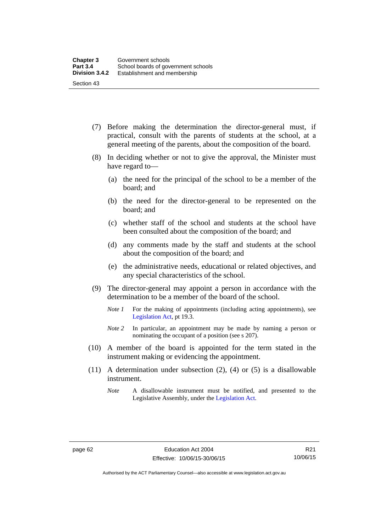- (7) Before making the determination the director-general must, if practical, consult with the parents of students at the school, at a general meeting of the parents, about the composition of the board.
- (8) In deciding whether or not to give the approval, the Minister must have regard to—
	- (a) the need for the principal of the school to be a member of the board; and
	- (b) the need for the director-general to be represented on the board; and
	- (c) whether staff of the school and students at the school have been consulted about the composition of the board; and
	- (d) any comments made by the staff and students at the school about the composition of the board; and
	- (e) the administrative needs, educational or related objectives, and any special characteristics of the school.
- (9) The director-general may appoint a person in accordance with the determination to be a member of the board of the school.
	- *Note 1* For the making of appointments (including acting appointments), see [Legislation Act,](http://www.legislation.act.gov.au/a/2001-14) pt 19.3.
	- *Note 2* In particular, an appointment may be made by naming a person or nominating the occupant of a position (see s 207).
- (10) A member of the board is appointed for the term stated in the instrument making or evidencing the appointment.
- (11) A determination under subsection (2), (4) or (5) is a disallowable instrument.
	- *Note* A disallowable instrument must be notified, and presented to the Legislative Assembly, under the [Legislation Act.](http://www.legislation.act.gov.au/a/2001-14)

Authorised by the ACT Parliamentary Counsel—also accessible at www.legislation.act.gov.au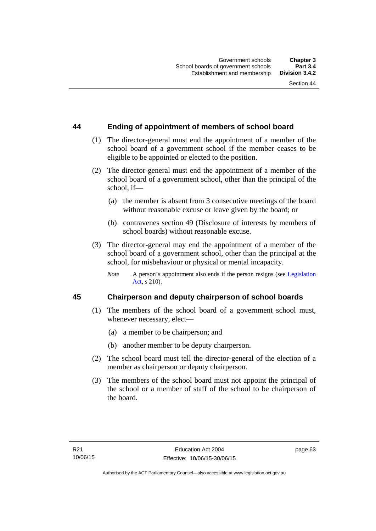## **44 Ending of appointment of members of school board**

- (1) The director-general must end the appointment of a member of the school board of a government school if the member ceases to be eligible to be appointed or elected to the position.
- (2) The director-general must end the appointment of a member of the school board of a government school, other than the principal of the school, if—
	- (a) the member is absent from 3 consecutive meetings of the board without reasonable excuse or leave given by the board; or
	- (b) contravenes section 49 (Disclosure of interests by members of school boards) without reasonable excuse.
- (3) The director-general may end the appointment of a member of the school board of a government school, other than the principal at the school, for misbehaviour or physical or mental incapacity.
	- *Note* A person's appointment also ends if the person resigns (see Legislation [Act](http://www.legislation.act.gov.au/a/2001-14), s 210).

## **45 Chairperson and deputy chairperson of school boards**

- (1) The members of the school board of a government school must, whenever necessary, elect—
	- (a) a member to be chairperson; and
	- (b) another member to be deputy chairperson.
- (2) The school board must tell the director-general of the election of a member as chairperson or deputy chairperson.
- (3) The members of the school board must not appoint the principal of the school or a member of staff of the school to be chairperson of the board.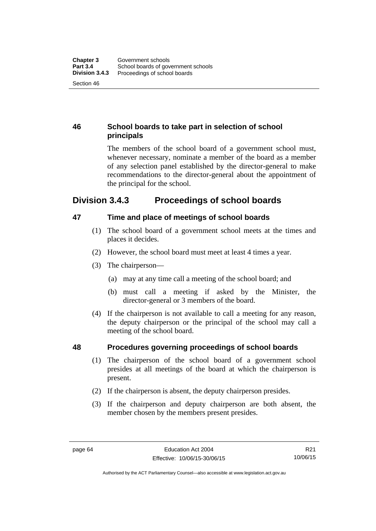## **46 School boards to take part in selection of school principals**

The members of the school board of a government school must, whenever necessary, nominate a member of the board as a member of any selection panel established by the director-general to make recommendations to the director-general about the appointment of the principal for the school.

## **Division 3.4.3 Proceedings of school boards**

## **47 Time and place of meetings of school boards**

- (1) The school board of a government school meets at the times and places it decides.
- (2) However, the school board must meet at least 4 times a year.
- (3) The chairperson—
	- (a) may at any time call a meeting of the school board; and
	- (b) must call a meeting if asked by the Minister, the director-general or 3 members of the board.
- (4) If the chairperson is not available to call a meeting for any reason, the deputy chairperson or the principal of the school may call a meeting of the school board.

## **48 Procedures governing proceedings of school boards**

- (1) The chairperson of the school board of a government school presides at all meetings of the board at which the chairperson is present.
- (2) If the chairperson is absent, the deputy chairperson presides.
- (3) If the chairperson and deputy chairperson are both absent, the member chosen by the members present presides.

Authorised by the ACT Parliamentary Counsel—also accessible at www.legislation.act.gov.au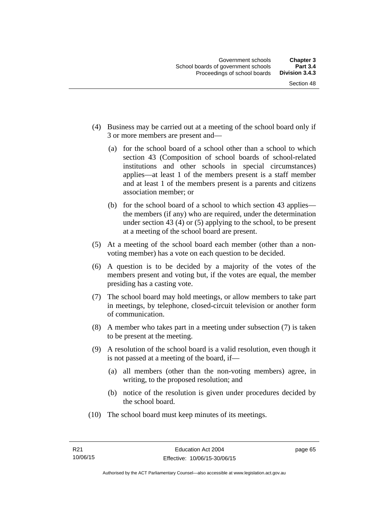- (4) Business may be carried out at a meeting of the school board only if 3 or more members are present and—
	- (a) for the school board of a school other than a school to which section 43 (Composition of school boards of school-related institutions and other schools in special circumstances) applies—at least 1 of the members present is a staff member and at least 1 of the members present is a parents and citizens association member; or
	- (b) for the school board of a school to which section 43 applies the members (if any) who are required, under the determination under section 43 (4) or (5) applying to the school, to be present at a meeting of the school board are present.
- (5) At a meeting of the school board each member (other than a nonvoting member) has a vote on each question to be decided.
- (6) A question is to be decided by a majority of the votes of the members present and voting but, if the votes are equal, the member presiding has a casting vote.
- (7) The school board may hold meetings, or allow members to take part in meetings, by telephone, closed-circuit television or another form of communication.
- (8) A member who takes part in a meeting under subsection (7) is taken to be present at the meeting.
- (9) A resolution of the school board is a valid resolution, even though it is not passed at a meeting of the board, if—
	- (a) all members (other than the non-voting members) agree, in writing, to the proposed resolution; and
	- (b) notice of the resolution is given under procedures decided by the school board.
- (10) The school board must keep minutes of its meetings.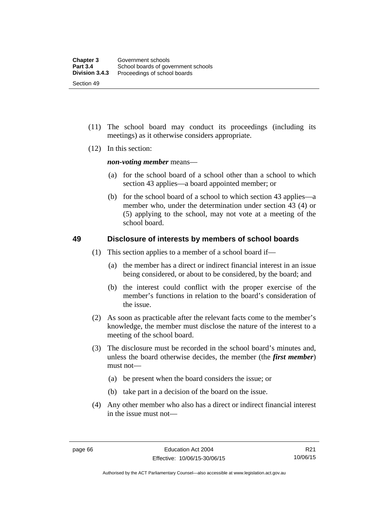- (11) The school board may conduct its proceedings (including its meetings) as it otherwise considers appropriate.
- (12) In this section:

*non-voting member* means—

- (a) for the school board of a school other than a school to which section 43 applies—a board appointed member; or
- (b) for the school board of a school to which section 43 applies—a member who, under the determination under section 43 (4) or (5) applying to the school, may not vote at a meeting of the school board.

## **49 Disclosure of interests by members of school boards**

- (1) This section applies to a member of a school board if—
	- (a) the member has a direct or indirect financial interest in an issue being considered, or about to be considered, by the board; and
	- (b) the interest could conflict with the proper exercise of the member's functions in relation to the board's consideration of the issue.
- (2) As soon as practicable after the relevant facts come to the member's knowledge, the member must disclose the nature of the interest to a meeting of the school board.
- (3) The disclosure must be recorded in the school board's minutes and, unless the board otherwise decides, the member (the *first member*) must not—
	- (a) be present when the board considers the issue; or
	- (b) take part in a decision of the board on the issue.
- (4) Any other member who also has a direct or indirect financial interest in the issue must not—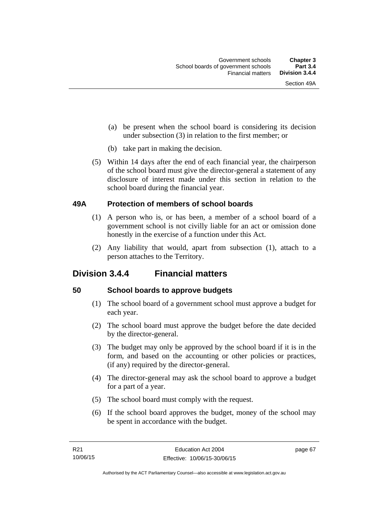- (a) be present when the school board is considering its decision under subsection (3) in relation to the first member; or
- (b) take part in making the decision.
- (5) Within 14 days after the end of each financial year, the chairperson of the school board must give the director-general a statement of any disclosure of interest made under this section in relation to the school board during the financial year.

## **49A Protection of members of school boards**

- (1) A person who is, or has been, a member of a school board of a government school is not civilly liable for an act or omission done honestly in the exercise of a function under this Act.
- (2) Any liability that would, apart from subsection (1), attach to a person attaches to the Territory.

## **Division 3.4.4 Financial matters**

## **50 School boards to approve budgets**

- (1) The school board of a government school must approve a budget for each year.
- (2) The school board must approve the budget before the date decided by the director-general.
- (3) The budget may only be approved by the school board if it is in the form, and based on the accounting or other policies or practices, (if any) required by the director-general.
- (4) The director-general may ask the school board to approve a budget for a part of a year.
- (5) The school board must comply with the request.
- (6) If the school board approves the budget, money of the school may be spent in accordance with the budget.

page 67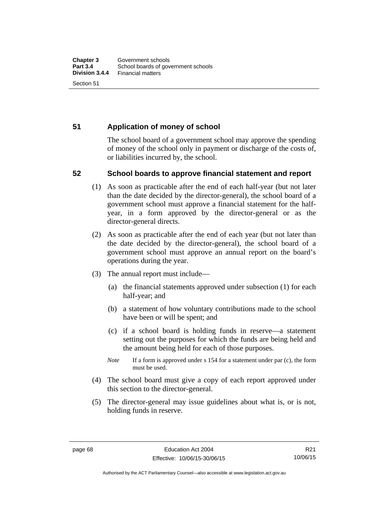## **51 Application of money of school**

The school board of a government school may approve the spending of money of the school only in payment or discharge of the costs of, or liabilities incurred by, the school.

## **52 School boards to approve financial statement and report**

- (1) As soon as practicable after the end of each half-year (but not later than the date decided by the director-general), the school board of a government school must approve a financial statement for the halfyear, in a form approved by the director-general or as the director-general directs.
- (2) As soon as practicable after the end of each year (but not later than the date decided by the director-general), the school board of a government school must approve an annual report on the board's operations during the year.
- (3) The annual report must include—
	- (a) the financial statements approved under subsection (1) for each half-year; and
	- (b) a statement of how voluntary contributions made to the school have been or will be spent; and
	- (c) if a school board is holding funds in reserve—a statement setting out the purposes for which the funds are being held and the amount being held for each of those purposes.
	- *Note* If a form is approved under s 154 for a statement under par (c), the form must be used.
- (4) The school board must give a copy of each report approved under this section to the director-general.
- (5) The director-general may issue guidelines about what is, or is not, holding funds in reserve.

Authorised by the ACT Parliamentary Counsel—also accessible at www.legislation.act.gov.au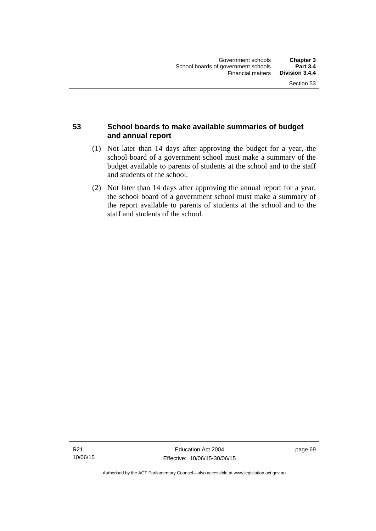## **53 School boards to make available summaries of budget and annual report**

- (1) Not later than 14 days after approving the budget for a year, the school board of a government school must make a summary of the budget available to parents of students at the school and to the staff and students of the school.
- (2) Not later than 14 days after approving the annual report for a year, the school board of a government school must make a summary of the report available to parents of students at the school and to the staff and students of the school.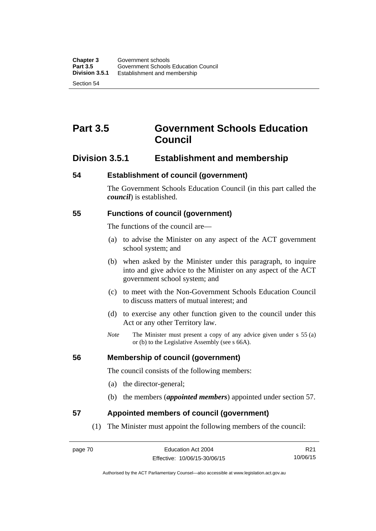# **Part 3.5 Government Schools Education Council**

## **Division 3.5.1 Establishment and membership**

## **54 Establishment of council (government)**

The Government Schools Education Council (in this part called the *council*) is established.

## **55 Functions of council (government)**

The functions of the council are—

- (a) to advise the Minister on any aspect of the ACT government school system; and
- (b) when asked by the Minister under this paragraph, to inquire into and give advice to the Minister on any aspect of the ACT government school system; and
- (c) to meet with the Non-Government Schools Education Council to discuss matters of mutual interest; and
- (d) to exercise any other function given to the council under this Act or any other Territory law.
- *Note* The Minister must present a copy of any advice given under s 55 (a) or (b) to the Legislative Assembly (see s 66A).

## **56 Membership of council (government)**

The council consists of the following members:

- (a) the director-general;
- (b) the members (*appointed members*) appointed under section 57.

## **57 Appointed members of council (government)**

(1) The Minister must appoint the following members of the council:

R21 10/06/15

Authorised by the ACT Parliamentary Counsel—also accessible at www.legislation.act.gov.au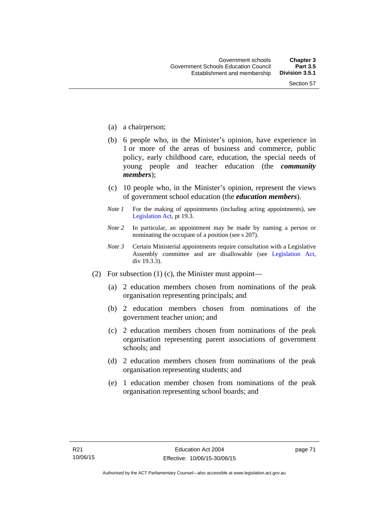- (a) a chairperson;
- (b) 6 people who, in the Minister's opinion, have experience in 1 or more of the areas of business and commerce, public policy, early childhood care, education, the special needs of young people and teacher education (the *community members*);
- (c) 10 people who, in the Minister's opinion, represent the views of government school education (the *education members*).
- *Note 1* For the making of appointments (including acting appointments), see [Legislation Act,](http://www.legislation.act.gov.au/a/2001-14) pt 19.3.
- *Note 2* In particular, an appointment may be made by naming a person or nominating the occupant of a position (see s 207).
- *Note 3* Certain Ministerial appointments require consultation with a Legislative Assembly committee and are disallowable (see [Legislation Act,](http://www.legislation.act.gov.au/a/2001-14) div 19.3.3).
- (2) For subsection (1) (c), the Minister must appoint—
	- (a) 2 education members chosen from nominations of the peak organisation representing principals; and
	- (b) 2 education members chosen from nominations of the government teacher union; and
	- (c) 2 education members chosen from nominations of the peak organisation representing parent associations of government schools; and
	- (d) 2 education members chosen from nominations of the peak organisation representing students; and
	- (e) 1 education member chosen from nominations of the peak organisation representing school boards; and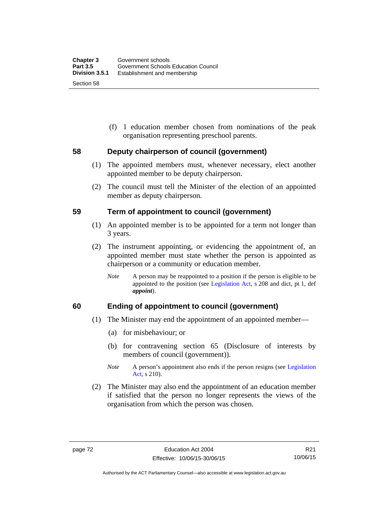(f) 1 education member chosen from nominations of the peak organisation representing preschool parents.

## **58 Deputy chairperson of council (government)**

- (1) The appointed members must, whenever necessary, elect another appointed member to be deputy chairperson.
- (2) The council must tell the Minister of the election of an appointed member as deputy chairperson.

#### **59 Term of appointment to council (government)**

- (1) An appointed member is to be appointed for a term not longer than 3 years.
- (2) The instrument appointing, or evidencing the appointment of, an appointed member must state whether the person is appointed as chairperson or a community or education member.
	- *Note* A person may be reappointed to a position if the person is eligible to be appointed to the position (see [Legislation Act](http://www.legislation.act.gov.au/a/2001-14), s 208 and dict, pt 1, def *appoint*).

## **60 Ending of appointment to council (government)**

- (1) The Minister may end the appointment of an appointed member—
	- (a) for misbehaviour; or
	- (b) for contravening section 65 (Disclosure of interests by members of council (government)).
	- *Note* A person's appointment also ends if the person resigns (see Legislation [Act](http://www.legislation.act.gov.au/a/2001-14), s 210).
- (2) The Minister may also end the appointment of an education member if satisfied that the person no longer represents the views of the organisation from which the person was chosen.

Authorised by the ACT Parliamentary Counsel—also accessible at www.legislation.act.gov.au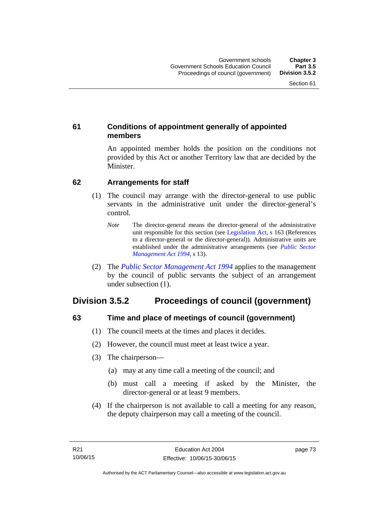## **61 Conditions of appointment generally of appointed members**

An appointed member holds the position on the conditions not provided by this Act or another Territory law that are decided by the Minister.

## **62 Arrangements for staff**

- (1) The council may arrange with the director-general to use public servants in the administrative unit under the director-general's control.
	- *Note* The director-general means the director-general of the administrative unit responsible for this section (see [Legislation Act](http://www.legislation.act.gov.au/a/2001-14), s 163 (References to a director-general or the director-general)). Administrative units are established under the administrative arrangements (see *[Public Sector](http://www.legislation.act.gov.au/a/1994-37)  [Management Act 1994](http://www.legislation.act.gov.au/a/1994-37)*, s 13).
- (2) The *[Public Sector Management Act 1994](http://www.legislation.act.gov.au/a/1994-37)* applies to the management by the council of public servants the subject of an arrangement under subsection (1).

## **Division 3.5.2 Proceedings of council (government)**

## **63 Time and place of meetings of council (government)**

- (1) The council meets at the times and places it decides.
- (2) However, the council must meet at least twice a year.
- (3) The chairperson—
	- (a) may at any time call a meeting of the council; and
	- (b) must call a meeting if asked by the Minister, the director-general or at least 9 members.
- (4) If the chairperson is not available to call a meeting for any reason, the deputy chairperson may call a meeting of the council.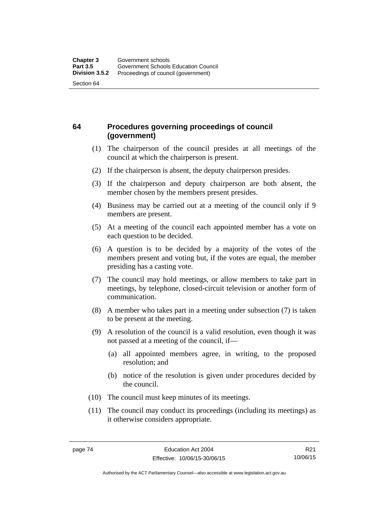## **64 Procedures governing proceedings of council (government)**

- (1) The chairperson of the council presides at all meetings of the council at which the chairperson is present.
- (2) If the chairperson is absent, the deputy chairperson presides.
- (3) If the chairperson and deputy chairperson are both absent, the member chosen by the members present presides.
- (4) Business may be carried out at a meeting of the council only if 9 members are present.
- (5) At a meeting of the council each appointed member has a vote on each question to be decided.
- (6) A question is to be decided by a majority of the votes of the members present and voting but, if the votes are equal, the member presiding has a casting vote.
- (7) The council may hold meetings, or allow members to take part in meetings, by telephone, closed-circuit television or another form of communication.
- (8) A member who takes part in a meeting under subsection (7) is taken to be present at the meeting.
- (9) A resolution of the council is a valid resolution, even though it was not passed at a meeting of the council, if—
	- (a) all appointed members agree, in writing, to the proposed resolution; and
	- (b) notice of the resolution is given under procedures decided by the council.
- (10) The council must keep minutes of its meetings.
- (11) The council may conduct its proceedings (including its meetings) as it otherwise considers appropriate.

Authorised by the ACT Parliamentary Counsel—also accessible at www.legislation.act.gov.au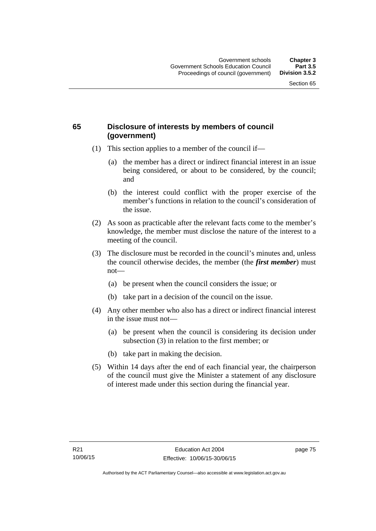## **65 Disclosure of interests by members of council (government)**

- (1) This section applies to a member of the council if—
	- (a) the member has a direct or indirect financial interest in an issue being considered, or about to be considered, by the council; and
	- (b) the interest could conflict with the proper exercise of the member's functions in relation to the council's consideration of the issue.
- (2) As soon as practicable after the relevant facts come to the member's knowledge, the member must disclose the nature of the interest to a meeting of the council.
- (3) The disclosure must be recorded in the council's minutes and, unless the council otherwise decides, the member (the *first member*) must not—
	- (a) be present when the council considers the issue; or
	- (b) take part in a decision of the council on the issue.
- (4) Any other member who also has a direct or indirect financial interest in the issue must not—
	- (a) be present when the council is considering its decision under subsection (3) in relation to the first member; or
	- (b) take part in making the decision.
- (5) Within 14 days after the end of each financial year, the chairperson of the council must give the Minister a statement of any disclosure of interest made under this section during the financial year.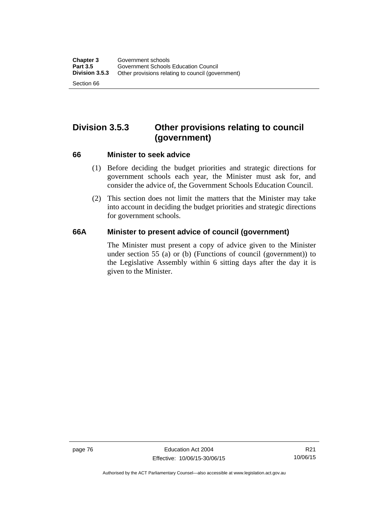# **Division 3.5.3 Other provisions relating to council (government)**

#### **66 Minister to seek advice**

- (1) Before deciding the budget priorities and strategic directions for government schools each year, the Minister must ask for, and consider the advice of, the Government Schools Education Council.
- (2) This section does not limit the matters that the Minister may take into account in deciding the budget priorities and strategic directions for government schools.

## **66A Minister to present advice of council (government)**

The Minister must present a copy of advice given to the Minister under section 55 (a) or (b) (Functions of council (government)) to the Legislative Assembly within 6 sitting days after the day it is given to the Minister.

Authorised by the ACT Parliamentary Counsel—also accessible at www.legislation.act.gov.au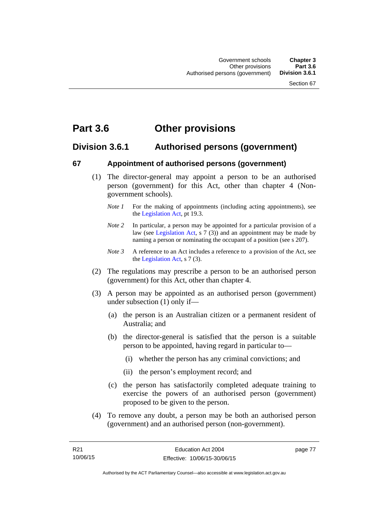# **Part 3.6 Other provisions**

## **Division 3.6.1 Authorised persons (government)**

## **67 Appointment of authorised persons (government)**

- (1) The director-general may appoint a person to be an authorised person (government) for this Act, other than chapter 4 (Nongovernment schools).
	- *Note 1* For the making of appointments (including acting appointments), see the [Legislation Act,](http://www.legislation.act.gov.au/a/2001-14) pt 19.3.
	- *Note 2* In particular, a person may be appointed for a particular provision of a law (see [Legislation Act,](http://www.legislation.act.gov.au/a/2001-14) s 7 (3)) and an appointment may be made by naming a person or nominating the occupant of a position (see s 207).
	- *Note 3* A reference to an Act includes a reference to a provision of the Act, see the [Legislation Act,](http://www.legislation.act.gov.au/a/2001-14) s 7 (3).
- (2) The regulations may prescribe a person to be an authorised person (government) for this Act, other than chapter 4.
- (3) A person may be appointed as an authorised person (government) under subsection (1) only if—
	- (a) the person is an Australian citizen or a permanent resident of Australia; and
	- (b) the director-general is satisfied that the person is a suitable person to be appointed, having regard in particular to—
		- (i) whether the person has any criminal convictions; and
		- (ii) the person's employment record; and
	- (c) the person has satisfactorily completed adequate training to exercise the powers of an authorised person (government) proposed to be given to the person.
- (4) To remove any doubt, a person may be both an authorised person (government) and an authorised person (non-government).

page 77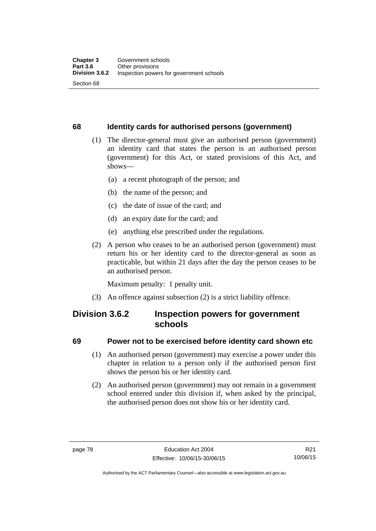## **68 Identity cards for authorised persons (government)**

- (1) The director-general must give an authorised person (government) an identity card that states the person is an authorised person (government) for this Act, or stated provisions of this Act, and shows—
	- (a) a recent photograph of the person; and
	- (b) the name of the person; and
	- (c) the date of issue of the card; and
	- (d) an expiry date for the card; and
	- (e) anything else prescribed under the regulations.
- (2) A person who ceases to be an authorised person (government) must return his or her identity card to the director-general as soon as practicable, but within 21 days after the day the person ceases to be an authorised person.

Maximum penalty: 1 penalty unit.

(3) An offence against subsection (2) is a strict liability offence.

## **Division 3.6.2 Inspection powers for government schools**

## **69 Power not to be exercised before identity card shown etc**

- (1) An authorised person (government) may exercise a power under this chapter in relation to a person only if the authorised person first shows the person his or her identity card.
- (2) An authorised person (government) may not remain in a government school entered under this division if, when asked by the principal, the authorised person does not show his or her identity card.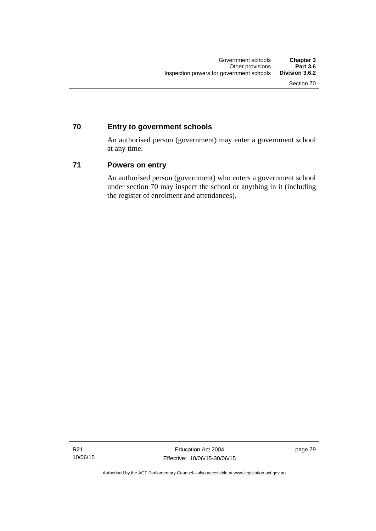## **70 Entry to government schools**

An authorised person (government) may enter a government school at any time.

## **71 Powers on entry**

An authorised person (government) who enters a government school under section 70 may inspect the school or anything in it (including the register of enrolment and attendances).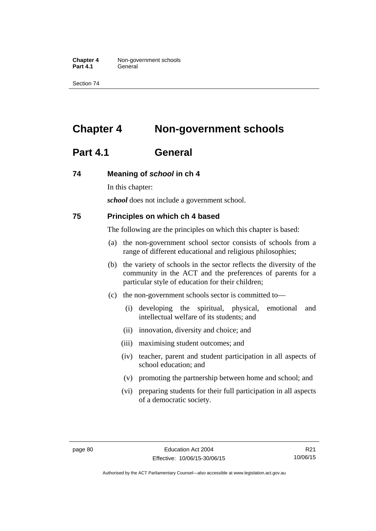**Chapter 4** Non-government schools Part 4.1 **General** 

Section 74

# **Chapter 4 Non-government schools**

## **Part 4.1 General**

#### **74 Meaning of** *school* **in ch 4**

In this chapter:

*school* does not include a government school.

#### **75 Principles on which ch 4 based**

The following are the principles on which this chapter is based:

- (a) the non-government school sector consists of schools from a range of different educational and religious philosophies;
- (b) the variety of schools in the sector reflects the diversity of the community in the ACT and the preferences of parents for a particular style of education for their children;
- (c) the non-government schools sector is committed to—
	- (i) developing the spiritual, physical, emotional and intellectual welfare of its students; and
	- (ii) innovation, diversity and choice; and
	- (iii) maximising student outcomes; and
	- (iv) teacher, parent and student participation in all aspects of school education; and
	- (v) promoting the partnership between home and school; and
	- (vi) preparing students for their full participation in all aspects of a democratic society.

Authorised by the ACT Parliamentary Counsel—also accessible at www.legislation.act.gov.au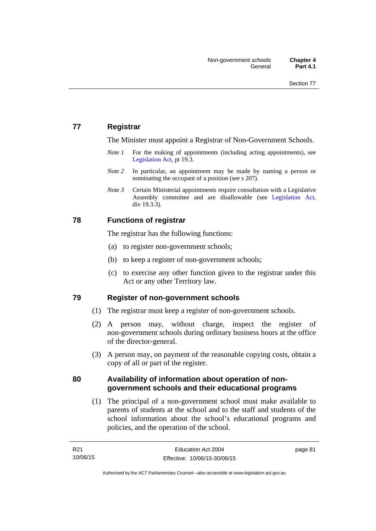## **77 Registrar**

The Minister must appoint a Registrar of Non-Government Schools.

- *Note 1* For the making of appointments (including acting appointments), see [Legislation Act,](http://www.legislation.act.gov.au/a/2001-14) pt 19.3.
- *Note* 2 In particular, an appointment may be made by naming a person or nominating the occupant of a position (see s 207).
- *Note 3* Certain Ministerial appointments require consultation with a Legislative Assembly committee and are disallowable (see [Legislation Act,](http://www.legislation.act.gov.au/a/2001-14) div 19.3.3).

## **78 Functions of registrar**

The registrar has the following functions:

- (a) to register non-government schools;
- (b) to keep a register of non-government schools;
- (c) to exercise any other function given to the registrar under this Act or any other Territory law.

## **79 Register of non-government schools**

- (1) The registrar must keep a register of non-government schools.
- (2) A person may, without charge, inspect the register of non-government schools during ordinary business hours at the office of the director-general.
- (3) A person may, on payment of the reasonable copying costs, obtain a copy of all or part of the register.

## **80 Availability of information about operation of nongovernment schools and their educational programs**

(1) The principal of a non-government school must make available to parents of students at the school and to the staff and students of the school information about the school's educational programs and policies, and the operation of the school.

page 81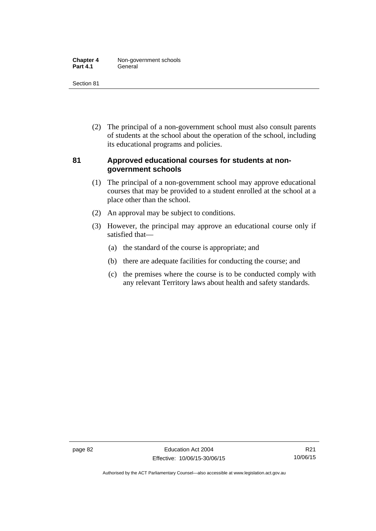| <b>Chapter 4</b> | Non-government schools |
|------------------|------------------------|
| <b>Part 4.1</b>  | General                |

 (2) The principal of a non-government school must also consult parents of students at the school about the operation of the school, including its educational programs and policies.

## **81 Approved educational courses for students at nongovernment schools**

- (1) The principal of a non-government school may approve educational courses that may be provided to a student enrolled at the school at a place other than the school.
- (2) An approval may be subject to conditions.
- (3) However, the principal may approve an educational course only if satisfied that—
	- (a) the standard of the course is appropriate; and
	- (b) there are adequate facilities for conducting the course; and
	- (c) the premises where the course is to be conducted comply with any relevant Territory laws about health and safety standards.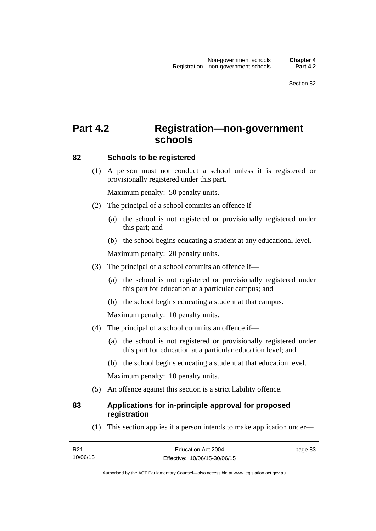# **Part 4.2 Registration—non-government schools**

## **82 Schools to be registered**

 (1) A person must not conduct a school unless it is registered or provisionally registered under this part.

Maximum penalty: 50 penalty units.

- (2) The principal of a school commits an offence if—
	- (a) the school is not registered or provisionally registered under this part; and
	- (b) the school begins educating a student at any educational level.

Maximum penalty: 20 penalty units.

- (3) The principal of a school commits an offence if—
	- (a) the school is not registered or provisionally registered under this part for education at a particular campus; and
	- (b) the school begins educating a student at that campus.

Maximum penalty: 10 penalty units.

- (4) The principal of a school commits an offence if—
	- (a) the school is not registered or provisionally registered under this part for education at a particular education level; and
	- (b) the school begins educating a student at that education level.

Maximum penalty: 10 penalty units.

(5) An offence against this section is a strict liability offence.

## **83 Applications for in-principle approval for proposed registration**

(1) This section applies if a person intends to make application under—

page 83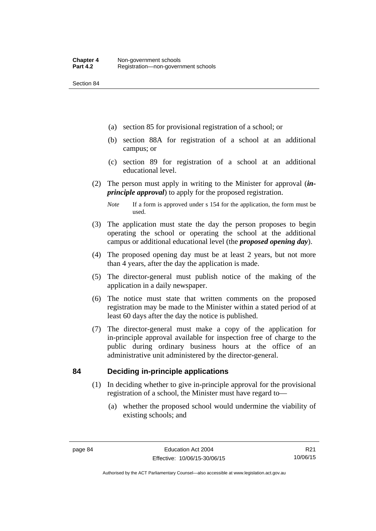- (a) section 85 for provisional registration of a school; or
- (b) section 88A for registration of a school at an additional campus; or
- (c) section 89 for registration of a school at an additional educational level.
- (2) The person must apply in writing to the Minister for approval (*inprinciple approval*) to apply for the proposed registration.
	- *Note* If a form is approved under s 154 for the application, the form must be used.
- (3) The application must state the day the person proposes to begin operating the school or operating the school at the additional campus or additional educational level (the *proposed opening day*).
- (4) The proposed opening day must be at least 2 years, but not more than 4 years, after the day the application is made.
- (5) The director-general must publish notice of the making of the application in a daily newspaper.
- (6) The notice must state that written comments on the proposed registration may be made to the Minister within a stated period of at least 60 days after the day the notice is published.
- (7) The director-general must make a copy of the application for in-principle approval available for inspection free of charge to the public during ordinary business hours at the office of an administrative unit administered by the director-general.

## **84 Deciding in-principle applications**

- (1) In deciding whether to give in-principle approval for the provisional registration of a school, the Minister must have regard to—
	- (a) whether the proposed school would undermine the viability of existing schools; and

R21 10/06/15

Authorised by the ACT Parliamentary Counsel—also accessible at www.legislation.act.gov.au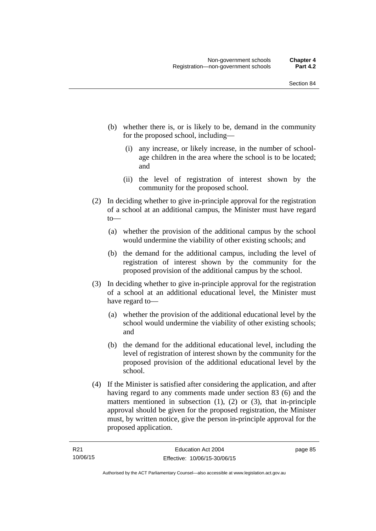- (b) whether there is, or is likely to be, demand in the community for the proposed school, including—
	- (i) any increase, or likely increase, in the number of schoolage children in the area where the school is to be located; and
	- (ii) the level of registration of interest shown by the community for the proposed school.
- (2) In deciding whether to give in-principle approval for the registration of a school at an additional campus, the Minister must have regard to—
	- (a) whether the provision of the additional campus by the school would undermine the viability of other existing schools; and
	- (b) the demand for the additional campus, including the level of registration of interest shown by the community for the proposed provision of the additional campus by the school.
- (3) In deciding whether to give in-principle approval for the registration of a school at an additional educational level, the Minister must have regard to—
	- (a) whether the provision of the additional educational level by the school would undermine the viability of other existing schools; and
	- (b) the demand for the additional educational level, including the level of registration of interest shown by the community for the proposed provision of the additional educational level by the school.
- (4) If the Minister is satisfied after considering the application, and after having regard to any comments made under section 83 (6) and the matters mentioned in subsection (1), (2) or (3), that in-principle approval should be given for the proposed registration, the Minister must, by written notice, give the person in-principle approval for the proposed application.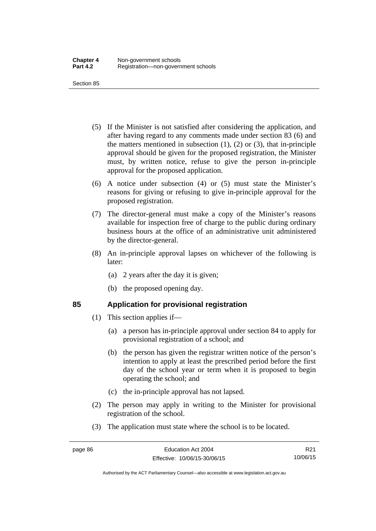- (5) If the Minister is not satisfied after considering the application, and after having regard to any comments made under section 83 (6) and the matters mentioned in subsection  $(1)$ ,  $(2)$  or  $(3)$ , that in-principle approval should be given for the proposed registration, the Minister must, by written notice, refuse to give the person in-principle approval for the proposed application.
- (6) A notice under subsection (4) or (5) must state the Minister's reasons for giving or refusing to give in-principle approval for the proposed registration.
- (7) The director-general must make a copy of the Minister's reasons available for inspection free of charge to the public during ordinary business hours at the office of an administrative unit administered by the director-general.
- (8) An in-principle approval lapses on whichever of the following is later:
	- (a) 2 years after the day it is given;
	- (b) the proposed opening day.

## **85 Application for provisional registration**

- (1) This section applies if—
	- (a) a person has in-principle approval under section 84 to apply for provisional registration of a school; and
	- (b) the person has given the registrar written notice of the person's intention to apply at least the prescribed period before the first day of the school year or term when it is proposed to begin operating the school; and
	- (c) the in-principle approval has not lapsed.
- (2) The person may apply in writing to the Minister for provisional registration of the school.
- (3) The application must state where the school is to be located.

R21 10/06/15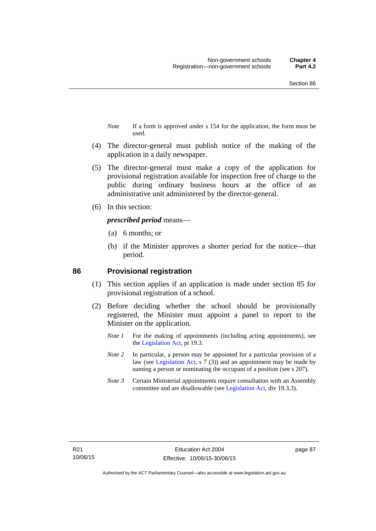- *Note* If a form is approved under s 154 for the application, the form must be used.
- (4) The director-general must publish notice of the making of the application in a daily newspaper.
- (5) The director-general must make a copy of the application for provisional registration available for inspection free of charge to the public during ordinary business hours at the office of an administrative unit administered by the director-general.
- (6) In this section:

#### *prescribed period* means—

- (a) 6 months; or
- (b) if the Minister approves a shorter period for the notice—that period.

#### **86 Provisional registration**

- (1) This section applies if an application is made under section 85 for provisional registration of a school.
- (2) Before deciding whether the school should be provisionally registered, the Minister must appoint a panel to report to the Minister on the application.
	- *Note 1* For the making of appointments (including acting appointments), see the [Legislation Act,](http://www.legislation.act.gov.au/a/2001-14) pt 19.3.
	- *Note 2* In particular, a person may be appointed for a particular provision of a law (see [Legislation Act,](http://www.legislation.act.gov.au/a/2001-14) s 7 (3)) and an appointment may be made by naming a person or nominating the occupant of a position (see s 207).
	- *Note 3* Certain Ministerial appointments require consultation with an Assembly committee and are disallowable (see [Legislation Act](http://www.legislation.act.gov.au/a/2001-14), div 19.3.3).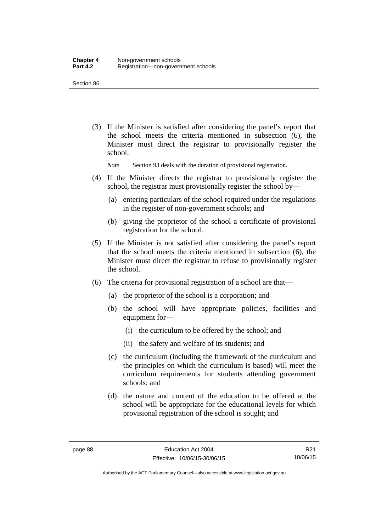(3) If the Minister is satisfied after considering the panel's report that the school meets the criteria mentioned in subsection (6), the Minister must direct the registrar to provisionally register the school.

*Note* Section 93 deals with the duration of provisional registration.

- (4) If the Minister directs the registrar to provisionally register the school, the registrar must provisionally register the school by—
	- (a) entering particulars of the school required under the regulations in the register of non-government schools; and
	- (b) giving the proprietor of the school a certificate of provisional registration for the school.
- (5) If the Minister is not satisfied after considering the panel's report that the school meets the criteria mentioned in subsection (6), the Minister must direct the registrar to refuse to provisionally register the school.
- (6) The criteria for provisional registration of a school are that—
	- (a) the proprietor of the school is a corporation; and
	- (b) the school will have appropriate policies, facilities and equipment for-
		- (i) the curriculum to be offered by the school; and
		- (ii) the safety and welfare of its students; and
	- (c) the curriculum (including the framework of the curriculum and the principles on which the curriculum is based) will meet the curriculum requirements for students attending government schools; and
	- (d) the nature and content of the education to be offered at the school will be appropriate for the educational levels for which provisional registration of the school is sought; and

R21 10/06/15

Authorised by the ACT Parliamentary Counsel—also accessible at www.legislation.act.gov.au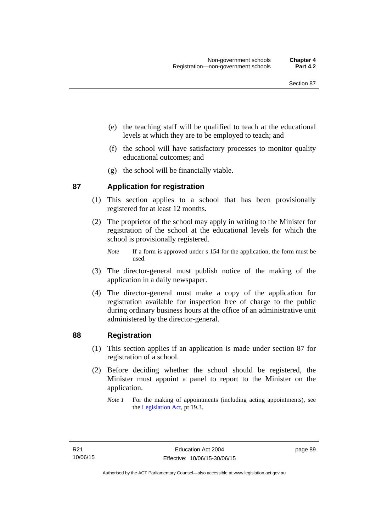- (e) the teaching staff will be qualified to teach at the educational levels at which they are to be employed to teach; and
- (f) the school will have satisfactory processes to monitor quality educational outcomes; and
- (g) the school will be financially viable.

## **87 Application for registration**

- (1) This section applies to a school that has been provisionally registered for at least 12 months.
- (2) The proprietor of the school may apply in writing to the Minister for registration of the school at the educational levels for which the school is provisionally registered.
	- *Note* If a form is approved under s 154 for the application, the form must be used.
- (3) The director-general must publish notice of the making of the application in a daily newspaper.
- (4) The director-general must make a copy of the application for registration available for inspection free of charge to the public during ordinary business hours at the office of an administrative unit administered by the director-general.

## **88 Registration**

- (1) This section applies if an application is made under section 87 for registration of a school.
- (2) Before deciding whether the school should be registered, the Minister must appoint a panel to report to the Minister on the application.
	- *Note 1* For the making of appointments (including acting appointments), see the [Legislation Act,](http://www.legislation.act.gov.au/a/2001-14) pt 19.3.

page 89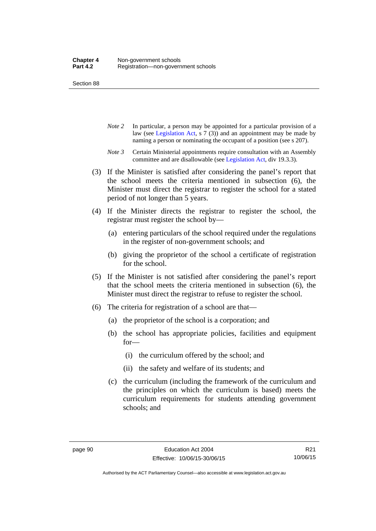- *Note 2* In particular, a person may be appointed for a particular provision of a law (see [Legislation Act,](http://www.legislation.act.gov.au/a/2001-14) s 7 (3)) and an appointment may be made by naming a person or nominating the occupant of a position (see s 207).
- *Note 3* Certain Ministerial appointments require consultation with an Assembly committee and are disallowable (see [Legislation Act](http://www.legislation.act.gov.au/a/2001-14), div 19.3.3).
- (3) If the Minister is satisfied after considering the panel's report that the school meets the criteria mentioned in subsection (6), the Minister must direct the registrar to register the school for a stated period of not longer than 5 years.
- (4) If the Minister directs the registrar to register the school, the registrar must register the school by—
	- (a) entering particulars of the school required under the regulations in the register of non-government schools; and
	- (b) giving the proprietor of the school a certificate of registration for the school.
- (5) If the Minister is not satisfied after considering the panel's report that the school meets the criteria mentioned in subsection (6), the Minister must direct the registrar to refuse to register the school.
- (6) The criteria for registration of a school are that—
	- (a) the proprietor of the school is a corporation; and
	- (b) the school has appropriate policies, facilities and equipment for—
		- (i) the curriculum offered by the school; and
		- (ii) the safety and welfare of its students; and
	- (c) the curriculum (including the framework of the curriculum and the principles on which the curriculum is based) meets the curriculum requirements for students attending government schools; and

Authorised by the ACT Parliamentary Counsel—also accessible at www.legislation.act.gov.au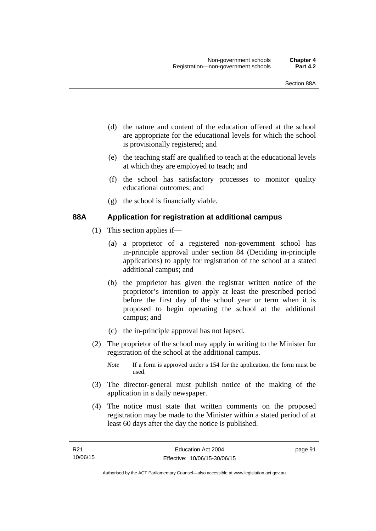- (d) the nature and content of the education offered at the school are appropriate for the educational levels for which the school is provisionally registered; and
- (e) the teaching staff are qualified to teach at the educational levels at which they are employed to teach; and
- (f) the school has satisfactory processes to monitor quality educational outcomes; and
- (g) the school is financially viable.

## **88A Application for registration at additional campus**

- (1) This section applies if—
	- (a) a proprietor of a registered non-government school has in-principle approval under section 84 (Deciding in-principle applications) to apply for registration of the school at a stated additional campus; and
	- (b) the proprietor has given the registrar written notice of the proprietor's intention to apply at least the prescribed period before the first day of the school year or term when it is proposed to begin operating the school at the additional campus; and
	- (c) the in-principle approval has not lapsed.
- (2) The proprietor of the school may apply in writing to the Minister for registration of the school at the additional campus.
	- *Note* If a form is approved under s 154 for the application, the form must be used.
- (3) The director-general must publish notice of the making of the application in a daily newspaper.
- (4) The notice must state that written comments on the proposed registration may be made to the Minister within a stated period of at least 60 days after the day the notice is published.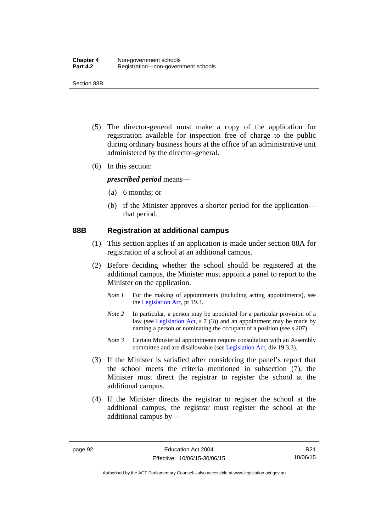Section 88B

- (5) The director-general must make a copy of the application for registration available for inspection free of charge to the public during ordinary business hours at the office of an administrative unit administered by the director-general.
- (6) In this section:

*prescribed period* means—

- (a) 6 months; or
- (b) if the Minister approves a shorter period for the application that period.

#### **88B Registration at additional campus**

- (1) This section applies if an application is made under section 88A for registration of a school at an additional campus.
- (2) Before deciding whether the school should be registered at the additional campus, the Minister must appoint a panel to report to the Minister on the application.
	- *Note 1* For the making of appointments (including acting appointments), see the [Legislation Act,](http://www.legislation.act.gov.au/a/2001-14) pt 19.3.
	- *Note 2* In particular, a person may be appointed for a particular provision of a law (see [Legislation Act,](http://www.legislation.act.gov.au/a/2001-14) s 7 (3)) and an appointment may be made by naming a person or nominating the occupant of a position (see s 207).
	- *Note 3* Certain Ministerial appointments require consultation with an Assembly committee and are disallowable (see [Legislation Act](http://www.legislation.act.gov.au/a/2001-14), div 19.3.3).
- (3) If the Minister is satisfied after considering the panel's report that the school meets the criteria mentioned in subsection (7), the Minister must direct the registrar to register the school at the additional campus.
- (4) If the Minister directs the registrar to register the school at the additional campus, the registrar must register the school at the additional campus by—

R21 10/06/15

Authorised by the ACT Parliamentary Counsel—also accessible at www.legislation.act.gov.au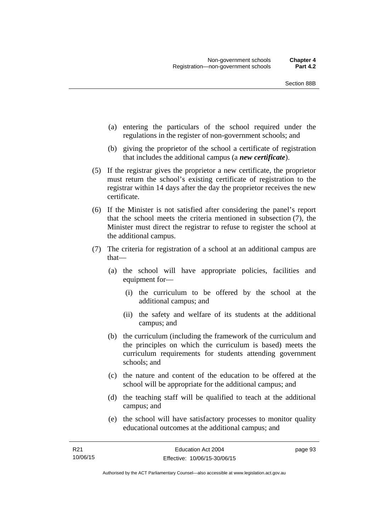- (a) entering the particulars of the school required under the regulations in the register of non-government schools; and
- (b) giving the proprietor of the school a certificate of registration that includes the additional campus (a *new certificate*).
- (5) If the registrar gives the proprietor a new certificate, the proprietor must return the school's existing certificate of registration to the registrar within 14 days after the day the proprietor receives the new certificate.
- (6) If the Minister is not satisfied after considering the panel's report that the school meets the criteria mentioned in subsection (7), the Minister must direct the registrar to refuse to register the school at the additional campus.
- (7) The criteria for registration of a school at an additional campus are that—
	- (a) the school will have appropriate policies, facilities and equipment for—
		- (i) the curriculum to be offered by the school at the additional campus; and
		- (ii) the safety and welfare of its students at the additional campus; and
	- (b) the curriculum (including the framework of the curriculum and the principles on which the curriculum is based) meets the curriculum requirements for students attending government schools; and
	- (c) the nature and content of the education to be offered at the school will be appropriate for the additional campus; and
	- (d) the teaching staff will be qualified to teach at the additional campus; and
	- (e) the school will have satisfactory processes to monitor quality educational outcomes at the additional campus; and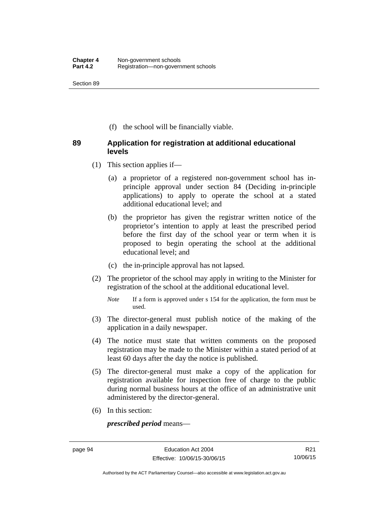(f) the school will be financially viable.

## **89 Application for registration at additional educational levels**

- (1) This section applies if—
	- (a) a proprietor of a registered non-government school has inprinciple approval under section 84 (Deciding in-principle applications) to apply to operate the school at a stated additional educational level; and
	- (b) the proprietor has given the registrar written notice of the proprietor's intention to apply at least the prescribed period before the first day of the school year or term when it is proposed to begin operating the school at the additional educational level; and
	- (c) the in-principle approval has not lapsed.
- (2) The proprietor of the school may apply in writing to the Minister for registration of the school at the additional educational level.
	- *Note* If a form is approved under s 154 for the application, the form must be used.
- (3) The director-general must publish notice of the making of the application in a daily newspaper.
- (4) The notice must state that written comments on the proposed registration may be made to the Minister within a stated period of at least 60 days after the day the notice is published.
- (5) The director-general must make a copy of the application for registration available for inspection free of charge to the public during normal business hours at the office of an administrative unit administered by the director-general.
- (6) In this section:

*prescribed period* means—

Authorised by the ACT Parliamentary Counsel—also accessible at www.legislation.act.gov.au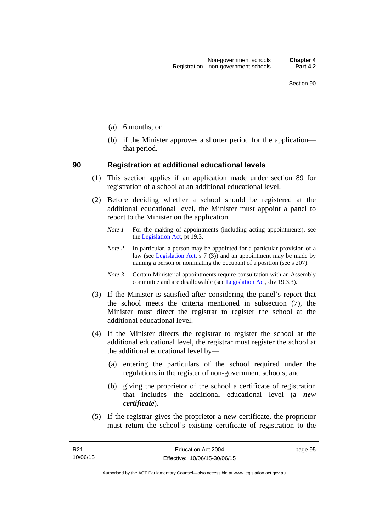- (a) 6 months; or
- (b) if the Minister approves a shorter period for the application that period.

#### **90 Registration at additional educational levels**

- (1) This section applies if an application made under section 89 for registration of a school at an additional educational level.
- (2) Before deciding whether a school should be registered at the additional educational level, the Minister must appoint a panel to report to the Minister on the application.
	- *Note 1* For the making of appointments (including acting appointments), see the [Legislation Act,](http://www.legislation.act.gov.au/a/2001-14) pt 19.3.
	- *Note 2* In particular, a person may be appointed for a particular provision of a law (see [Legislation Act,](http://www.legislation.act.gov.au/a/2001-14) s  $7(3)$ ) and an appointment may be made by naming a person or nominating the occupant of a position (see s 207).
	- *Note 3* Certain Ministerial appointments require consultation with an Assembly committee and are disallowable (see [Legislation Act](http://www.legislation.act.gov.au/a/2001-14), div 19.3.3).
- (3) If the Minister is satisfied after considering the panel's report that the school meets the criteria mentioned in subsection (7), the Minister must direct the registrar to register the school at the additional educational level.
- (4) If the Minister directs the registrar to register the school at the additional educational level, the registrar must register the school at the additional educational level by—
	- (a) entering the particulars of the school required under the regulations in the register of non-government schools; and
	- (b) giving the proprietor of the school a certificate of registration that includes the additional educational level (a *new certificate*).
- (5) If the registrar gives the proprietor a new certificate, the proprietor must return the school's existing certificate of registration to the

page 95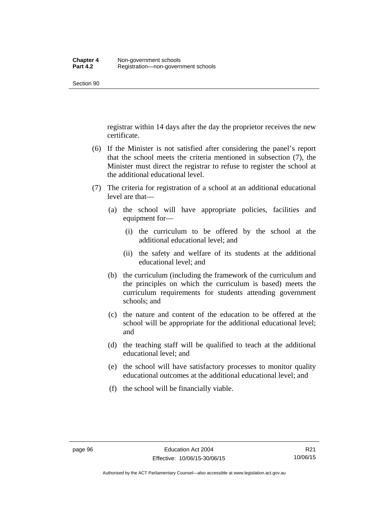registrar within 14 days after the day the proprietor receives the new certificate.

- (6) If the Minister is not satisfied after considering the panel's report that the school meets the criteria mentioned in subsection (7), the Minister must direct the registrar to refuse to register the school at the additional educational level.
- (7) The criteria for registration of a school at an additional educational level are that—
	- (a) the school will have appropriate policies, facilities and equipment for—
		- (i) the curriculum to be offered by the school at the additional educational level; and
		- (ii) the safety and welfare of its students at the additional educational level; and
	- (b) the curriculum (including the framework of the curriculum and the principles on which the curriculum is based) meets the curriculum requirements for students attending government schools; and
	- (c) the nature and content of the education to be offered at the school will be appropriate for the additional educational level; and
	- (d) the teaching staff will be qualified to teach at the additional educational level; and
	- (e) the school will have satisfactory processes to monitor quality educational outcomes at the additional educational level; and
	- (f) the school will be financially viable.

Authorised by the ACT Parliamentary Counsel—also accessible at www.legislation.act.gov.au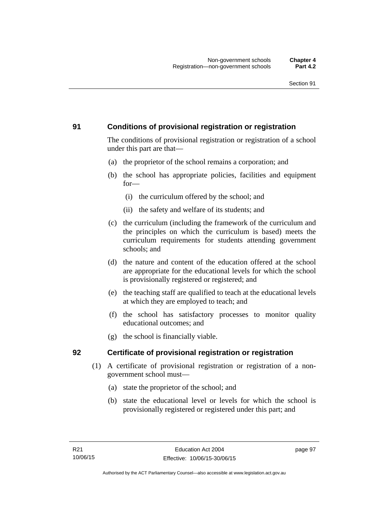## **91 Conditions of provisional registration or registration**

The conditions of provisional registration or registration of a school under this part are that—

- (a) the proprietor of the school remains a corporation; and
- (b) the school has appropriate policies, facilities and equipment for—
	- (i) the curriculum offered by the school; and
	- (ii) the safety and welfare of its students; and
- (c) the curriculum (including the framework of the curriculum and the principles on which the curriculum is based) meets the curriculum requirements for students attending government schools; and
- (d) the nature and content of the education offered at the school are appropriate for the educational levels for which the school is provisionally registered or registered; and
- (e) the teaching staff are qualified to teach at the educational levels at which they are employed to teach; and
- (f) the school has satisfactory processes to monitor quality educational outcomes; and
- (g) the school is financially viable.

## **92 Certificate of provisional registration or registration**

- (1) A certificate of provisional registration or registration of a nongovernment school must—
	- (a) state the proprietor of the school; and
	- (b) state the educational level or levels for which the school is provisionally registered or registered under this part; and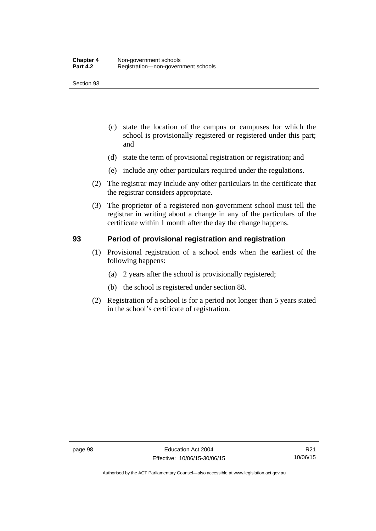- (c) state the location of the campus or campuses for which the school is provisionally registered or registered under this part; and
- (d) state the term of provisional registration or registration; and
- (e) include any other particulars required under the regulations.
- (2) The registrar may include any other particulars in the certificate that the registrar considers appropriate.
- (3) The proprietor of a registered non-government school must tell the registrar in writing about a change in any of the particulars of the certificate within 1 month after the day the change happens.

### **93 Period of provisional registration and registration**

- (1) Provisional registration of a school ends when the earliest of the following happens:
	- (a) 2 years after the school is provisionally registered;
	- (b) the school is registered under section 88.
- (2) Registration of a school is for a period not longer than 5 years stated in the school's certificate of registration.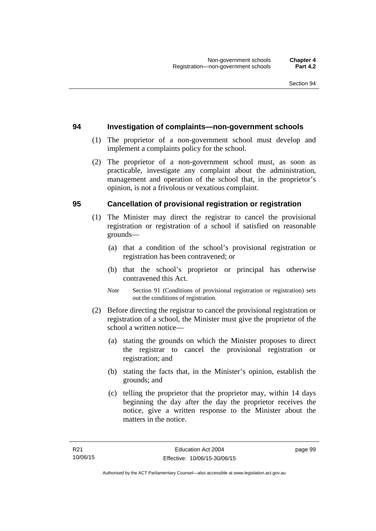#### **94 Investigation of complaints—non-government schools**

- (1) The proprietor of a non-government school must develop and implement a complaints policy for the school.
- (2) The proprietor of a non-government school must, as soon as practicable, investigate any complaint about the administration, management and operation of the school that, in the proprietor's opinion, is not a frivolous or vexatious complaint.

#### **95 Cancellation of provisional registration or registration**

- (1) The Minister may direct the registrar to cancel the provisional registration or registration of a school if satisfied on reasonable grounds—
	- (a) that a condition of the school's provisional registration or registration has been contravened; or
	- (b) that the school's proprietor or principal has otherwise contravened this Act.
	- *Note* Section 91 (Conditions of provisional registration or registration) sets out the conditions of registration.
- (2) Before directing the registrar to cancel the provisional registration or registration of a school, the Minister must give the proprietor of the school a written notice—
	- (a) stating the grounds on which the Minister proposes to direct the registrar to cancel the provisional registration or registration; and
	- (b) stating the facts that, in the Minister's opinion, establish the grounds; and
	- (c) telling the proprietor that the proprietor may, within 14 days beginning the day after the day the proprietor receives the notice, give a written response to the Minister about the matters in the notice.

page 99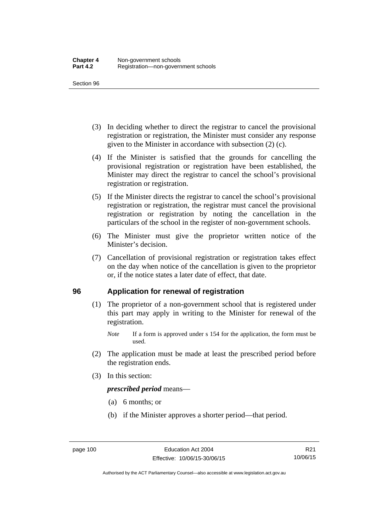- (3) In deciding whether to direct the registrar to cancel the provisional registration or registration, the Minister must consider any response given to the Minister in accordance with subsection (2) (c).
- (4) If the Minister is satisfied that the grounds for cancelling the provisional registration or registration have been established, the Minister may direct the registrar to cancel the school's provisional registration or registration.
- (5) If the Minister directs the registrar to cancel the school's provisional registration or registration, the registrar must cancel the provisional registration or registration by noting the cancellation in the particulars of the school in the register of non-government schools.
- (6) The Minister must give the proprietor written notice of the Minister's decision.
- (7) Cancellation of provisional registration or registration takes effect on the day when notice of the cancellation is given to the proprietor or, if the notice states a later date of effect, that date.

#### **96 Application for renewal of registration**

- (1) The proprietor of a non-government school that is registered under this part may apply in writing to the Minister for renewal of the registration.
	- *Note* If a form is approved under s 154 for the application, the form must be used.
- (2) The application must be made at least the prescribed period before the registration ends.
- (3) In this section:

*prescribed period* means—

- (a) 6 months; or
- (b) if the Minister approves a shorter period—that period.

Authorised by the ACT Parliamentary Counsel—also accessible at www.legislation.act.gov.au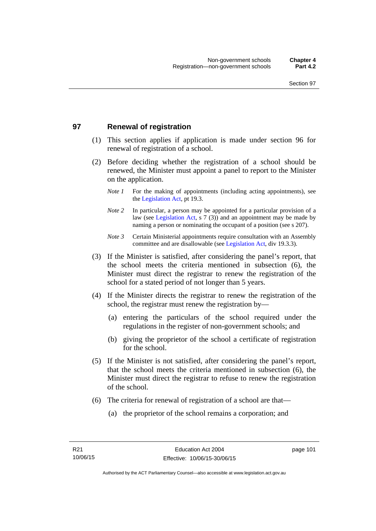## **97 Renewal of registration**

- (1) This section applies if application is made under section 96 for renewal of registration of a school.
- (2) Before deciding whether the registration of a school should be renewed, the Minister must appoint a panel to report to the Minister on the application.
	- *Note 1* For the making of appointments (including acting appointments), see the [Legislation Act,](http://www.legislation.act.gov.au/a/2001-14) pt 19.3.
	- *Note 2* In particular, a person may be appointed for a particular provision of a law (see [Legislation Act,](http://www.legislation.act.gov.au/a/2001-14) s 7 (3)) and an appointment may be made by naming a person or nominating the occupant of a position (see s 207).
	- *Note 3* Certain Ministerial appointments require consultation with an Assembly committee and are disallowable (see [Legislation Act](http://www.legislation.act.gov.au/a/2001-14), div 19.3.3).
- (3) If the Minister is satisfied, after considering the panel's report, that the school meets the criteria mentioned in subsection (6), the Minister must direct the registrar to renew the registration of the school for a stated period of not longer than 5 years.
- (4) If the Minister directs the registrar to renew the registration of the school, the registrar must renew the registration by—
	- (a) entering the particulars of the school required under the regulations in the register of non-government schools; and
	- (b) giving the proprietor of the school a certificate of registration for the school.
- (5) If the Minister is not satisfied, after considering the panel's report, that the school meets the criteria mentioned in subsection (6), the Minister must direct the registrar to refuse to renew the registration of the school.
- (6) The criteria for renewal of registration of a school are that—
	- (a) the proprietor of the school remains a corporation; and

page 101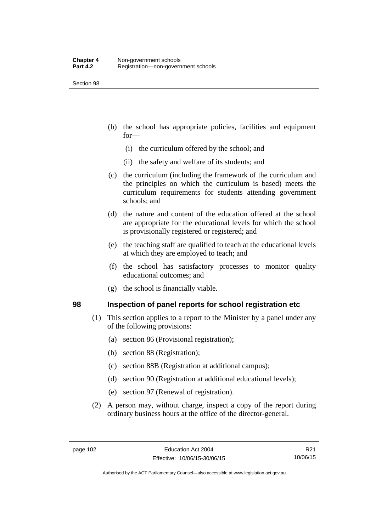- (b) the school has appropriate policies, facilities and equipment for—
	- (i) the curriculum offered by the school; and
	- (ii) the safety and welfare of its students; and
- (c) the curriculum (including the framework of the curriculum and the principles on which the curriculum is based) meets the curriculum requirements for students attending government schools; and
- (d) the nature and content of the education offered at the school are appropriate for the educational levels for which the school is provisionally registered or registered; and
- (e) the teaching staff are qualified to teach at the educational levels at which they are employed to teach; and
- (f) the school has satisfactory processes to monitor quality educational outcomes; and
- (g) the school is financially viable.

#### **98 Inspection of panel reports for school registration etc**

- (1) This section applies to a report to the Minister by a panel under any of the following provisions:
	- (a) section 86 (Provisional registration);
	- (b) section 88 (Registration);
	- (c) section 88B (Registration at additional campus);
	- (d) section 90 (Registration at additional educational levels);
	- (e) section 97 (Renewal of registration).
- (2) A person may, without charge, inspect a copy of the report during ordinary business hours at the office of the director-general.

R21 10/06/15

Authorised by the ACT Parliamentary Counsel—also accessible at www.legislation.act.gov.au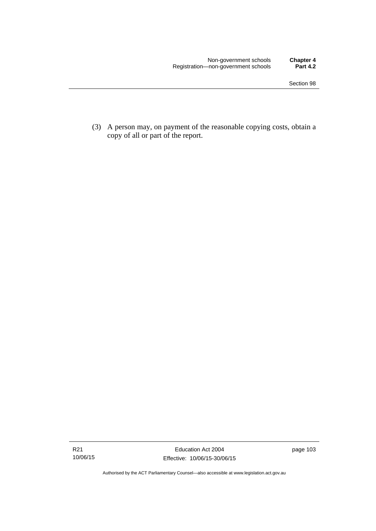(3) A person may, on payment of the reasonable copying costs, obtain a copy of all or part of the report.

Authorised by the ACT Parliamentary Counsel—also accessible at www.legislation.act.gov.au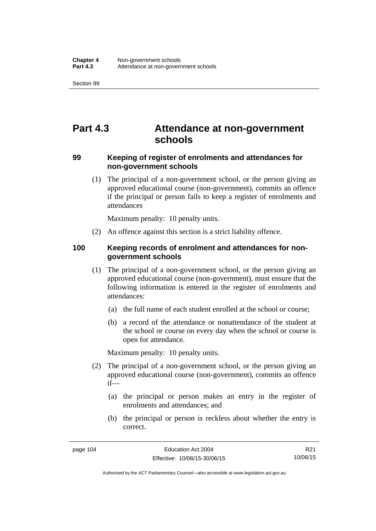# **Part 4.3 Attendance at non-government schools**

### **99 Keeping of register of enrolments and attendances for non-government schools**

 (1) The principal of a non-government school, or the person giving an approved educational course (non-government), commits an offence if the principal or person fails to keep a register of enrolments and attendances

Maximum penalty: 10 penalty units.

(2) An offence against this section is a strict liability offence.

### **100 Keeping records of enrolment and attendances for nongovernment schools**

- (1) The principal of a non-government school, or the person giving an approved educational course (non-government), must ensure that the following information is entered in the register of enrolments and attendances:
	- (a) the full name of each student enrolled at the school or course;
	- (b) a record of the attendance or nonattendance of the student at the school or course on every day when the school or course is open for attendance.

Maximum penalty: 10 penalty units.

- (2) The principal of a non-government school, or the person giving an approved educational course (non-government), commits an offence if—
	- (a) the principal or person makes an entry in the register of enrolments and attendances; and
	- (b) the principal or person is reckless about whether the entry is correct.

R21 10/06/15

Authorised by the ACT Parliamentary Counsel—also accessible at www.legislation.act.gov.au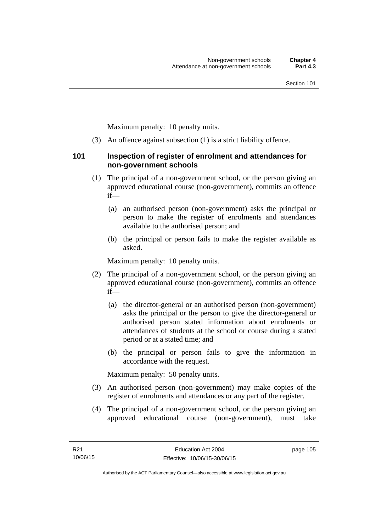Maximum penalty: 10 penalty units.

(3) An offence against subsection (1) is a strict liability offence.

#### **101 Inspection of register of enrolment and attendances for non-government schools**

- (1) The principal of a non-government school, or the person giving an approved educational course (non-government), commits an offence if—
	- (a) an authorised person (non-government) asks the principal or person to make the register of enrolments and attendances available to the authorised person; and
	- (b) the principal or person fails to make the register available as asked.

Maximum penalty: 10 penalty units.

- (2) The principal of a non-government school, or the person giving an approved educational course (non-government), commits an offence if—
	- (a) the director-general or an authorised person (non-government) asks the principal or the person to give the director-general or authorised person stated information about enrolments or attendances of students at the school or course during a stated period or at a stated time; and
	- (b) the principal or person fails to give the information in accordance with the request.

Maximum penalty: 50 penalty units.

- (3) An authorised person (non-government) may make copies of the register of enrolments and attendances or any part of the register.
- (4) The principal of a non-government school, or the person giving an approved educational course (non-government), must take

page 105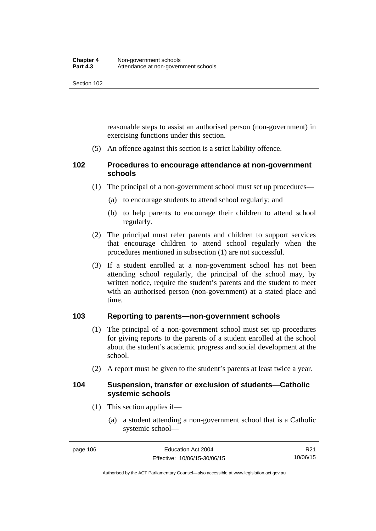reasonable steps to assist an authorised person (non-government) in exercising functions under this section.

(5) An offence against this section is a strict liability offence.

## **102 Procedures to encourage attendance at non-government schools**

- (1) The principal of a non-government school must set up procedures—
	- (a) to encourage students to attend school regularly; and
	- (b) to help parents to encourage their children to attend school regularly.
- (2) The principal must refer parents and children to support services that encourage children to attend school regularly when the procedures mentioned in subsection (1) are not successful.
- (3) If a student enrolled at a non-government school has not been attending school regularly, the principal of the school may, by written notice, require the student's parents and the student to meet with an authorised person (non-government) at a stated place and time.

## **103 Reporting to parents—non-government schools**

- (1) The principal of a non-government school must set up procedures for giving reports to the parents of a student enrolled at the school about the student's academic progress and social development at the school.
- (2) A report must be given to the student's parents at least twice a year.

#### **104 Suspension, transfer or exclusion of students—Catholic systemic schools**

- (1) This section applies if—
	- (a) a student attending a non-government school that is a Catholic systemic school—

R21 10/06/15

Authorised by the ACT Parliamentary Counsel—also accessible at www.legislation.act.gov.au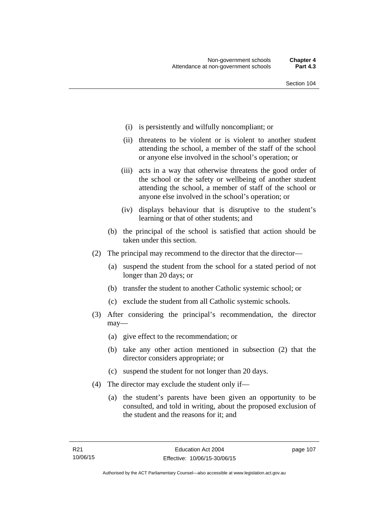- (i) is persistently and wilfully noncompliant; or
- (ii) threatens to be violent or is violent to another student attending the school, a member of the staff of the school or anyone else involved in the school's operation; or
- (iii) acts in a way that otherwise threatens the good order of the school or the safety or wellbeing of another student attending the school, a member of staff of the school or anyone else involved in the school's operation; or
- (iv) displays behaviour that is disruptive to the student's learning or that of other students; and
- (b) the principal of the school is satisfied that action should be taken under this section.
- (2) The principal may recommend to the director that the director—
	- (a) suspend the student from the school for a stated period of not longer than 20 days; or
	- (b) transfer the student to another Catholic systemic school; or
	- (c) exclude the student from all Catholic systemic schools.
- (3) After considering the principal's recommendation, the director may—
	- (a) give effect to the recommendation; or
	- (b) take any other action mentioned in subsection (2) that the director considers appropriate; or
	- (c) suspend the student for not longer than 20 days.
- (4) The director may exclude the student only if—
	- (a) the student's parents have been given an opportunity to be consulted, and told in writing, about the proposed exclusion of the student and the reasons for it; and

page 107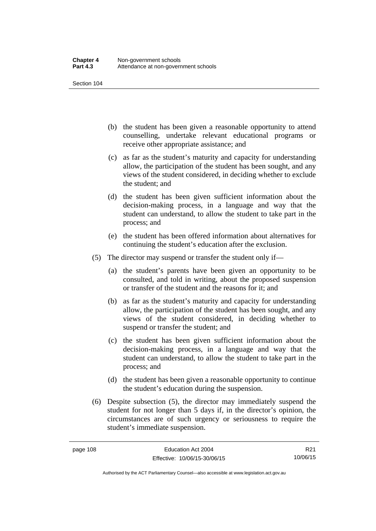- (b) the student has been given a reasonable opportunity to attend counselling, undertake relevant educational programs or receive other appropriate assistance; and
- (c) as far as the student's maturity and capacity for understanding allow, the participation of the student has been sought, and any views of the student considered, in deciding whether to exclude the student; and
- (d) the student has been given sufficient information about the decision-making process, in a language and way that the student can understand, to allow the student to take part in the process; and
- (e) the student has been offered information about alternatives for continuing the student's education after the exclusion.
- (5) The director may suspend or transfer the student only if—
	- (a) the student's parents have been given an opportunity to be consulted, and told in writing, about the proposed suspension or transfer of the student and the reasons for it; and
	- (b) as far as the student's maturity and capacity for understanding allow, the participation of the student has been sought, and any views of the student considered, in deciding whether to suspend or transfer the student; and
	- (c) the student has been given sufficient information about the decision-making process, in a language and way that the student can understand, to allow the student to take part in the process; and
	- (d) the student has been given a reasonable opportunity to continue the student's education during the suspension.
- (6) Despite subsection (5), the director may immediately suspend the student for not longer than 5 days if, in the director's opinion, the circumstances are of such urgency or seriousness to require the student's immediate suspension.

R21 10/06/15

Authorised by the ACT Parliamentary Counsel—also accessible at www.legislation.act.gov.au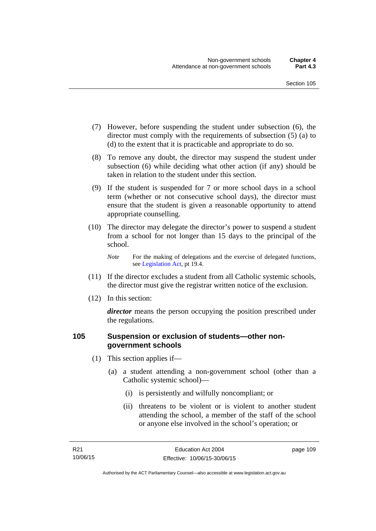- (7) However, before suspending the student under subsection (6), the director must comply with the requirements of subsection (5) (a) to (d) to the extent that it is practicable and appropriate to do so.
- (8) To remove any doubt, the director may suspend the student under subsection (6) while deciding what other action (if any) should be taken in relation to the student under this section.
- (9) If the student is suspended for 7 or more school days in a school term (whether or not consecutive school days), the director must ensure that the student is given a reasonable opportunity to attend appropriate counselling.
- (10) The director may delegate the director's power to suspend a student from a school for not longer than 15 days to the principal of the school.

*Note* For the making of delegations and the exercise of delegated functions, see [Legislation Act](http://www.legislation.act.gov.au/a/2001-14), pt 19.4.

- (11) If the director excludes a student from all Catholic systemic schools, the director must give the registrar written notice of the exclusion.
- (12) In this section:

*director* means the person occupying the position prescribed under the regulations.

### **105 Suspension or exclusion of students—other nongovernment schools**

- (1) This section applies if—
	- (a) a student attending a non-government school (other than a Catholic systemic school)—
		- (i) is persistently and wilfully noncompliant; or
		- (ii) threatens to be violent or is violent to another student attending the school, a member of the staff of the school or anyone else involved in the school's operation; or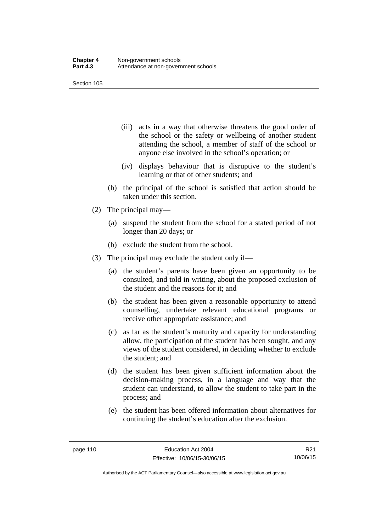- (iii) acts in a way that otherwise threatens the good order of the school or the safety or wellbeing of another student attending the school, a member of staff of the school or anyone else involved in the school's operation; or
- (iv) displays behaviour that is disruptive to the student's learning or that of other students; and
- (b) the principal of the school is satisfied that action should be taken under this section.
- (2) The principal may—
	- (a) suspend the student from the school for a stated period of not longer than 20 days; or
	- (b) exclude the student from the school.
- (3) The principal may exclude the student only if—
	- (a) the student's parents have been given an opportunity to be consulted, and told in writing, about the proposed exclusion of the student and the reasons for it; and
	- (b) the student has been given a reasonable opportunity to attend counselling, undertake relevant educational programs or receive other appropriate assistance; and
	- (c) as far as the student's maturity and capacity for understanding allow, the participation of the student has been sought, and any views of the student considered, in deciding whether to exclude the student; and
	- (d) the student has been given sufficient information about the decision-making process, in a language and way that the student can understand, to allow the student to take part in the process; and
	- (e) the student has been offered information about alternatives for continuing the student's education after the exclusion.

Authorised by the ACT Parliamentary Counsel—also accessible at www.legislation.act.gov.au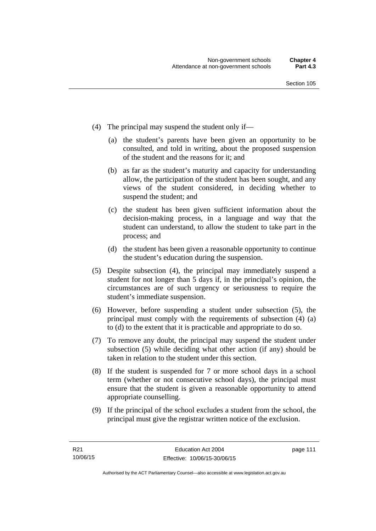- (4) The principal may suspend the student only if—
	- (a) the student's parents have been given an opportunity to be consulted, and told in writing, about the proposed suspension of the student and the reasons for it; and
	- (b) as far as the student's maturity and capacity for understanding allow, the participation of the student has been sought, and any views of the student considered, in deciding whether to suspend the student; and
	- (c) the student has been given sufficient information about the decision-making process, in a language and way that the student can understand, to allow the student to take part in the process; and
	- (d) the student has been given a reasonable opportunity to continue the student's education during the suspension.
- (5) Despite subsection (4), the principal may immediately suspend a student for not longer than 5 days if, in the principal's opinion, the circumstances are of such urgency or seriousness to require the student's immediate suspension.
- (6) However, before suspending a student under subsection (5), the principal must comply with the requirements of subsection (4) (a) to (d) to the extent that it is practicable and appropriate to do so.
- (7) To remove any doubt, the principal may suspend the student under subsection (5) while deciding what other action (if any) should be taken in relation to the student under this section.
- (8) If the student is suspended for 7 or more school days in a school term (whether or not consecutive school days), the principal must ensure that the student is given a reasonable opportunity to attend appropriate counselling.
- (9) If the principal of the school excludes a student from the school, the principal must give the registrar written notice of the exclusion.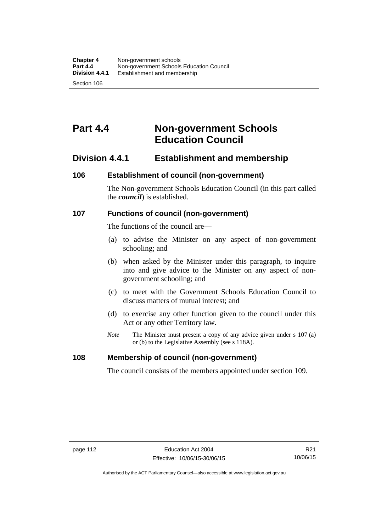# **Part 4.4 Non-government Schools Education Council**

## **Division 4.4.1 Establishment and membership**

#### **106 Establishment of council (non-government)**

The Non-government Schools Education Council (in this part called the *council*) is established.

#### **107 Functions of council (non-government)**

The functions of the council are—

- (a) to advise the Minister on any aspect of non-government schooling; and
- (b) when asked by the Minister under this paragraph, to inquire into and give advice to the Minister on any aspect of nongovernment schooling; and
- (c) to meet with the Government Schools Education Council to discuss matters of mutual interest; and
- (d) to exercise any other function given to the council under this Act or any other Territory law.
- *Note* The Minister must present a copy of any advice given under s 107 (a) or (b) to the Legislative Assembly (see s 118A).

#### **108 Membership of council (non-government)**

The council consists of the members appointed under section 109.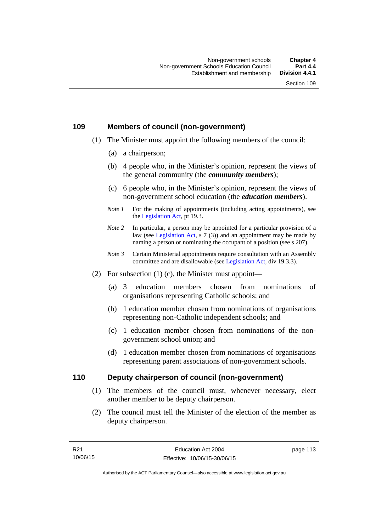## **109 Members of council (non-government)**

- (1) The Minister must appoint the following members of the council:
	- (a) a chairperson;
	- (b) 4 people who, in the Minister's opinion, represent the views of the general community (the *community members*);
	- (c) 6 people who, in the Minister's opinion, represent the views of non-government school education (the *education members*).
	- *Note 1* For the making of appointments (including acting appointments), see the [Legislation Act,](http://www.legislation.act.gov.au/a/2001-14) pt 19.3.
	- *Note 2* In particular, a person may be appointed for a particular provision of a law (see [Legislation Act,](http://www.legislation.act.gov.au/a/2001-14) s 7 (3)) and an appointment may be made by naming a person or nominating the occupant of a position (see s 207).
	- *Note 3* Certain Ministerial appointments require consultation with an Assembly committee and are disallowable (see [Legislation Act](http://www.legislation.act.gov.au/a/2001-14), div 19.3.3).
- (2) For subsection  $(1)$  (c), the Minister must appoint—
	- (a) 3 education members chosen from nominations of organisations representing Catholic schools; and
	- (b) 1 education member chosen from nominations of organisations representing non-Catholic independent schools; and
	- (c) 1 education member chosen from nominations of the nongovernment school union; and
	- (d) 1 education member chosen from nominations of organisations representing parent associations of non-government schools.

#### **110 Deputy chairperson of council (non-government)**

- (1) The members of the council must, whenever necessary, elect another member to be deputy chairperson.
- (2) The council must tell the Minister of the election of the member as deputy chairperson.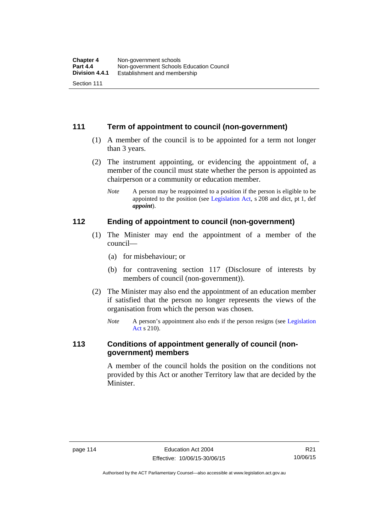## **111 Term of appointment to council (non-government)**

- (1) A member of the council is to be appointed for a term not longer than 3 years.
- (2) The instrument appointing, or evidencing the appointment of, a member of the council must state whether the person is appointed as chairperson or a community or education member.
	- *Note* A person may be reappointed to a position if the person is eligible to be appointed to the position (see [Legislation Act](http://www.legislation.act.gov.au/a/2001-14), s 208 and dict, pt 1, def *appoint*).

#### **112 Ending of appointment to council (non-government)**

- (1) The Minister may end the appointment of a member of the council—
	- (a) for misbehaviour; or
	- (b) for contravening section 117 (Disclosure of interests by members of council (non-government)).
- (2) The Minister may also end the appointment of an education member if satisfied that the person no longer represents the views of the organisation from which the person was chosen.
	- *Note* A person's appointment also ends if the person resigns (see Legislation [Act](http://www.legislation.act.gov.au/a/2001-14) s 210).

## **113 Conditions of appointment generally of council (nongovernment) members**

A member of the council holds the position on the conditions not provided by this Act or another Territory law that are decided by the Minister.

R21 10/06/15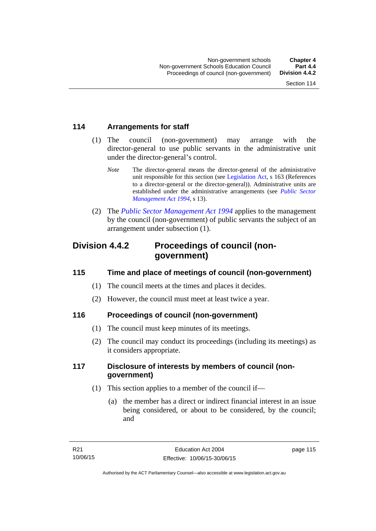## **114 Arrangements for staff**

- (1) The council (non-government) may arrange with the director-general to use public servants in the administrative unit under the director-general's control.
	- *Note* The director-general means the director-general of the administrative unit responsible for this section (see [Legislation Act](http://www.legislation.act.gov.au/a/2001-14), s 163 (References to a director-general or the director-general)). Administrative units are established under the administrative arrangements (see *[Public Sector](http://www.legislation.act.gov.au/a/1994-37)  [Management Act 1994](http://www.legislation.act.gov.au/a/1994-37)*, s 13).
- (2) The *[Public Sector Management Act 1994](http://www.legislation.act.gov.au/a/1994-37)* applies to the management by the council (non-government) of public servants the subject of an arrangement under subsection (1).

## **Division 4.4.2 Proceedings of council (nongovernment)**

## **115 Time and place of meetings of council (non-government)**

- (1) The council meets at the times and places it decides.
- (2) However, the council must meet at least twice a year.

## **116 Proceedings of council (non-government)**

- (1) The council must keep minutes of its meetings.
- (2) The council may conduct its proceedings (including its meetings) as it considers appropriate.

## **117 Disclosure of interests by members of council (nongovernment)**

- (1) This section applies to a member of the council if—
	- (a) the member has a direct or indirect financial interest in an issue being considered, or about to be considered, by the council; and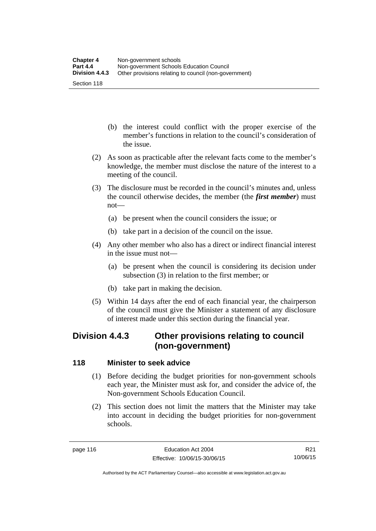- (b) the interest could conflict with the proper exercise of the member's functions in relation to the council's consideration of the issue.
- (2) As soon as practicable after the relevant facts come to the member's knowledge, the member must disclose the nature of the interest to a meeting of the council.
- (3) The disclosure must be recorded in the council's minutes and, unless the council otherwise decides, the member (the *first member*) must not—
	- (a) be present when the council considers the issue; or
	- (b) take part in a decision of the council on the issue.
- (4) Any other member who also has a direct or indirect financial interest in the issue must not—
	- (a) be present when the council is considering its decision under subsection (3) in relation to the first member; or
	- (b) take part in making the decision.
- (5) Within 14 days after the end of each financial year, the chairperson of the council must give the Minister a statement of any disclosure of interest made under this section during the financial year.

## **Division 4.4.3 Other provisions relating to council (non-government)**

## **118 Minister to seek advice**

- (1) Before deciding the budget priorities for non-government schools each year, the Minister must ask for, and consider the advice of, the Non-government Schools Education Council.
- (2) This section does not limit the matters that the Minister may take into account in deciding the budget priorities for non-government schools.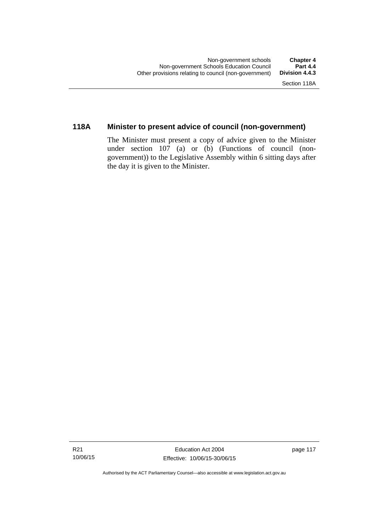## **118A Minister to present advice of council (non-government)**

The Minister must present a copy of advice given to the Minister under section 107 (a) or (b) (Functions of council (nongovernment)) to the Legislative Assembly within 6 sitting days after the day it is given to the Minister.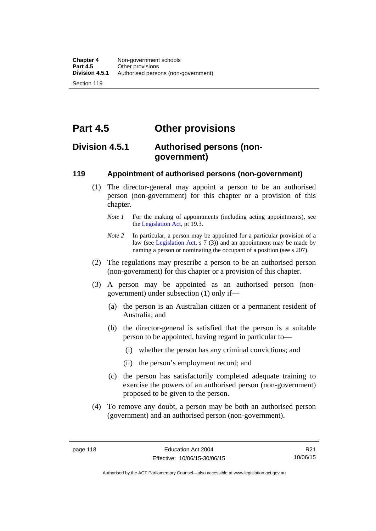**Part 4.5 Other provisions** 

## **Division 4.5.1 Authorised persons (nongovernment)**

### **119 Appointment of authorised persons (non-government)**

- (1) The director-general may appoint a person to be an authorised person (non-government) for this chapter or a provision of this chapter.
	- *Note 1* For the making of appointments (including acting appointments), see the [Legislation Act,](http://www.legislation.act.gov.au/a/2001-14) pt 19.3.
	- *Note* 2 In particular, a person may be appointed for a particular provision of a law (see [Legislation Act,](http://www.legislation.act.gov.au/a/2001-14) s 7 (3)) and an appointment may be made by naming a person or nominating the occupant of a position (see s 207).
- (2) The regulations may prescribe a person to be an authorised person (non-government) for this chapter or a provision of this chapter.
- (3) A person may be appointed as an authorised person (nongovernment) under subsection (1) only if—
	- (a) the person is an Australian citizen or a permanent resident of Australia; and
	- (b) the director-general is satisfied that the person is a suitable person to be appointed, having regard in particular to—
		- (i) whether the person has any criminal convictions; and
		- (ii) the person's employment record; and
	- (c) the person has satisfactorily completed adequate training to exercise the powers of an authorised person (non-government) proposed to be given to the person.
- (4) To remove any doubt, a person may be both an authorised person (government) and an authorised person (non-government).

Authorised by the ACT Parliamentary Counsel—also accessible at www.legislation.act.gov.au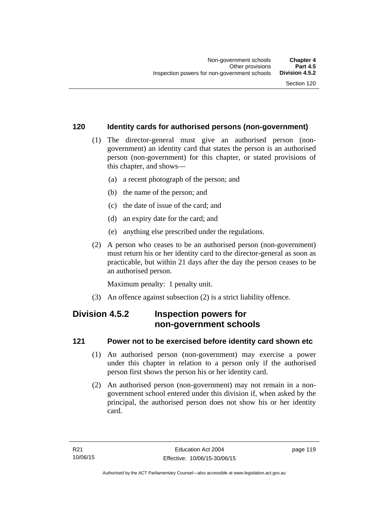## **120 Identity cards for authorised persons (non-government)**

- (1) The director-general must give an authorised person (nongovernment) an identity card that states the person is an authorised person (non-government) for this chapter, or stated provisions of this chapter, and shows—
	- (a) a recent photograph of the person; and
	- (b) the name of the person; and
	- (c) the date of issue of the card; and
	- (d) an expiry date for the card; and
	- (e) anything else prescribed under the regulations.
- (2) A person who ceases to be an authorised person (non-government) must return his or her identity card to the director-general as soon as practicable, but within 21 days after the day the person ceases to be an authorised person.

Maximum penalty: 1 penalty unit.

(3) An offence against subsection (2) is a strict liability offence.

## **Division 4.5.2 Inspection powers for non-government schools**

## **121 Power not to be exercised before identity card shown etc**

- (1) An authorised person (non-government) may exercise a power under this chapter in relation to a person only if the authorised person first shows the person his or her identity card.
- (2) An authorised person (non-government) may not remain in a nongovernment school entered under this division if, when asked by the principal, the authorised person does not show his or her identity card.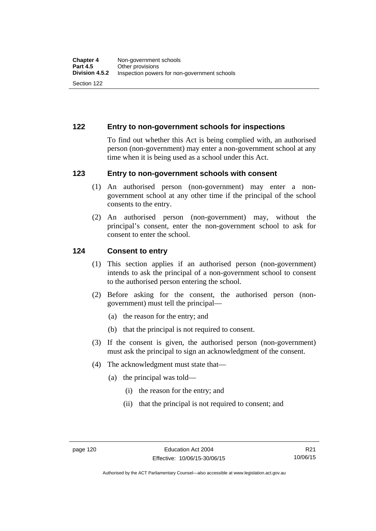## **122 Entry to non-government schools for inspections**

To find out whether this Act is being complied with, an authorised person (non-government) may enter a non-government school at any time when it is being used as a school under this Act.

#### **123 Entry to non-government schools with consent**

- (1) An authorised person (non-government) may enter a nongovernment school at any other time if the principal of the school consents to the entry.
- (2) An authorised person (non-government) may, without the principal's consent, enter the non-government school to ask for consent to enter the school.

#### **124 Consent to entry**

- (1) This section applies if an authorised person (non-government) intends to ask the principal of a non-government school to consent to the authorised person entering the school.
- (2) Before asking for the consent, the authorised person (nongovernment) must tell the principal—
	- (a) the reason for the entry; and
	- (b) that the principal is not required to consent.
- (3) If the consent is given, the authorised person (non-government) must ask the principal to sign an acknowledgment of the consent.
- (4) The acknowledgment must state that—
	- (a) the principal was told—
		- (i) the reason for the entry; and
		- (ii) that the principal is not required to consent; and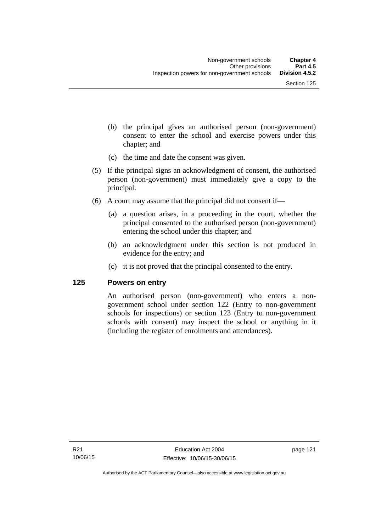- (b) the principal gives an authorised person (non-government) consent to enter the school and exercise powers under this chapter; and
- (c) the time and date the consent was given.
- (5) If the principal signs an acknowledgment of consent, the authorised person (non-government) must immediately give a copy to the principal.
- (6) A court may assume that the principal did not consent if—
	- (a) a question arises, in a proceeding in the court, whether the principal consented to the authorised person (non-government) entering the school under this chapter; and
	- (b) an acknowledgment under this section is not produced in evidence for the entry; and
	- (c) it is not proved that the principal consented to the entry.

#### **125 Powers on entry**

An authorised person (non-government) who enters a nongovernment school under section 122 (Entry to non-government schools for inspections) or section 123 (Entry to non-government schools with consent) may inspect the school or anything in it (including the register of enrolments and attendances).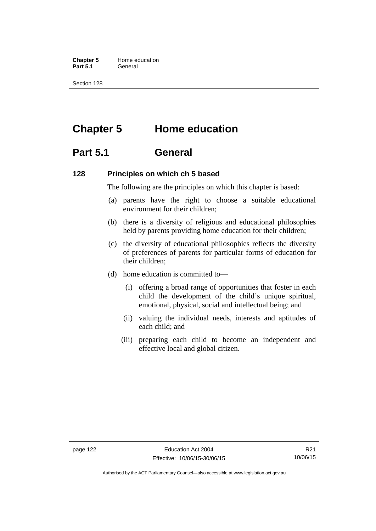**Chapter 5** Home education Part 5.1 **General** 

Section 128

# **Chapter 5 Home education**

## **Part 5.1 General**

#### **128 Principles on which ch 5 based**

The following are the principles on which this chapter is based:

- (a) parents have the right to choose a suitable educational environment for their children;
- (b) there is a diversity of religious and educational philosophies held by parents providing home education for their children;
- (c) the diversity of educational philosophies reflects the diversity of preferences of parents for particular forms of education for their children;
- (d) home education is committed to—
	- (i) offering a broad range of opportunities that foster in each child the development of the child's unique spiritual, emotional, physical, social and intellectual being; and
	- (ii) valuing the individual needs, interests and aptitudes of each child; and
	- (iii) preparing each child to become an independent and effective local and global citizen.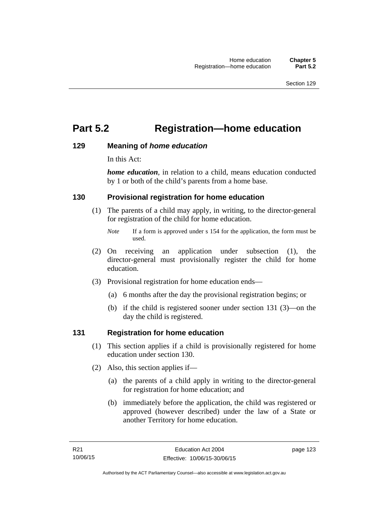# **Part 5.2 Registration—home education**

#### **129 Meaning of** *home education*

In this Act:

*home education*, in relation to a child, means education conducted by 1 or both of the child's parents from a home base.

### **130 Provisional registration for home education**

(1) The parents of a child may apply, in writing, to the director-general for registration of the child for home education.

- (2) On receiving an application under subsection (1), the director-general must provisionally register the child for home education.
- (3) Provisional registration for home education ends—
	- (a) 6 months after the day the provisional registration begins; or
	- (b) if the child is registered sooner under section 131 (3)—on the day the child is registered.

#### **131 Registration for home education**

- (1) This section applies if a child is provisionally registered for home education under section 130.
- (2) Also, this section applies if—
	- (a) the parents of a child apply in writing to the director-general for registration for home education; and
	- (b) immediately before the application, the child was registered or approved (however described) under the law of a State or another Territory for home education.

*Note* If a form is approved under s 154 for the application, the form must be used.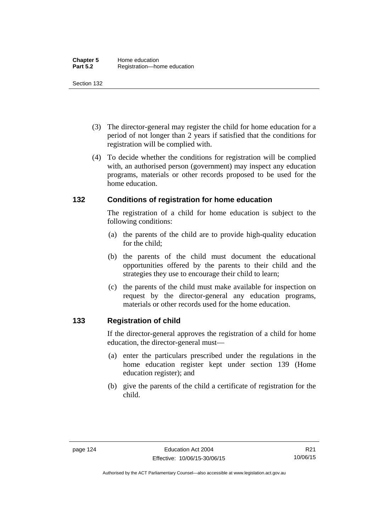- (3) The director-general may register the child for home education for a period of not longer than 2 years if satisfied that the conditions for registration will be complied with.
- (4) To decide whether the conditions for registration will be complied with, an authorised person (government) may inspect any education programs, materials or other records proposed to be used for the home education.

### **132 Conditions of registration for home education**

The registration of a child for home education is subject to the following conditions:

- (a) the parents of the child are to provide high-quality education for the child;
- (b) the parents of the child must document the educational opportunities offered by the parents to their child and the strategies they use to encourage their child to learn;
- (c) the parents of the child must make available for inspection on request by the director-general any education programs, materials or other records used for the home education.

## **133 Registration of child**

If the director-general approves the registration of a child for home education, the director-general must—

- (a) enter the particulars prescribed under the regulations in the home education register kept under section 139 (Home education register); and
- (b) give the parents of the child a certificate of registration for the child.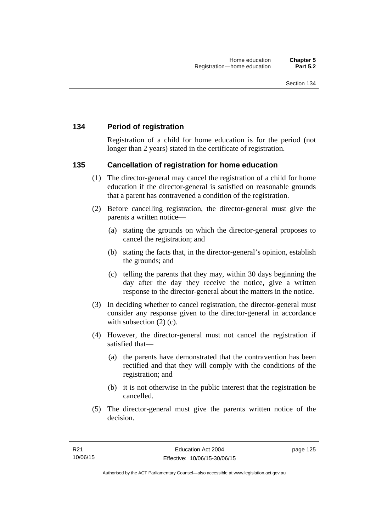## **134 Period of registration**

Registration of a child for home education is for the period (not longer than 2 years) stated in the certificate of registration.

#### **135 Cancellation of registration for home education**

- (1) The director-general may cancel the registration of a child for home education if the director-general is satisfied on reasonable grounds that a parent has contravened a condition of the registration.
- (2) Before cancelling registration, the director-general must give the parents a written notice—
	- (a) stating the grounds on which the director-general proposes to cancel the registration; and
	- (b) stating the facts that, in the director-general's opinion, establish the grounds; and
	- (c) telling the parents that they may, within 30 days beginning the day after the day they receive the notice, give a written response to the director-general about the matters in the notice.
- (3) In deciding whether to cancel registration, the director-general must consider any response given to the director-general in accordance with subsection  $(2)$  (c).
- (4) However, the director-general must not cancel the registration if satisfied that—
	- (a) the parents have demonstrated that the contravention has been rectified and that they will comply with the conditions of the registration; and
	- (b) it is not otherwise in the public interest that the registration be cancelled.
- (5) The director-general must give the parents written notice of the decision.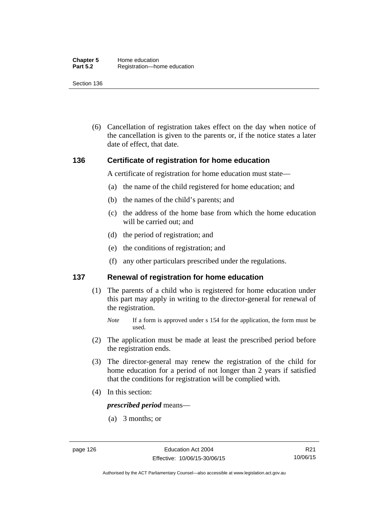(6) Cancellation of registration takes effect on the day when notice of the cancellation is given to the parents or, if the notice states a later date of effect, that date.

#### **136 Certificate of registration for home education**

A certificate of registration for home education must state—

- (a) the name of the child registered for home education; and
- (b) the names of the child's parents; and
- (c) the address of the home base from which the home education will be carried out; and
- (d) the period of registration; and
- (e) the conditions of registration; and
- (f) any other particulars prescribed under the regulations.

#### **137 Renewal of registration for home education**

(1) The parents of a child who is registered for home education under this part may apply in writing to the director-general for renewal of the registration.

- (2) The application must be made at least the prescribed period before the registration ends.
- (3) The director-general may renew the registration of the child for home education for a period of not longer than 2 years if satisfied that the conditions for registration will be complied with.
- (4) In this section:

*prescribed period* means—

(a) 3 months; or

*Note* If a form is approved under s 154 for the application, the form must be used.

R21 10/06/15

Authorised by the ACT Parliamentary Counsel—also accessible at www.legislation.act.gov.au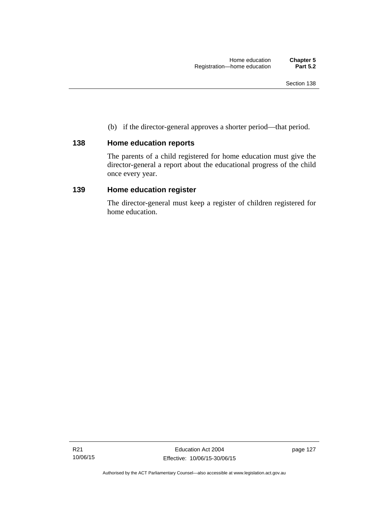(b) if the director-general approves a shorter period—that period.

## **138 Home education reports**

The parents of a child registered for home education must give the director-general a report about the educational progress of the child once every year.

### **139 Home education register**

The director-general must keep a register of children registered for home education.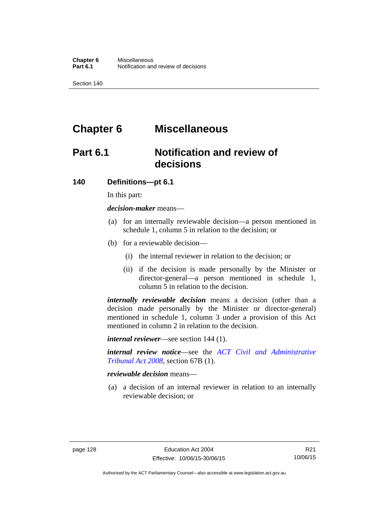# **Chapter 6 Miscellaneous**

# **Part 6.1 Notification and review of decisions**

#### **140 Definitions***—***pt 6.1**

In this part:

*decision-maker* means—

- (a) for an internally reviewable decision—a person mentioned in schedule 1, column 5 in relation to the decision; or
- (b) for a reviewable decision—
	- (i) the internal reviewer in relation to the decision; or
	- (ii) if the decision is made personally by the Minister or director-general—a person mentioned in schedule 1, column 5 in relation to the decision.

*internally reviewable decision* means a decision (other than a decision made personally by the Minister or director-general) mentioned in schedule 1, column 3 under a provision of this Act mentioned in column 2 in relation to the decision.

*internal reviewer*—see section 144 (1).

*internal review notice*—see the *[ACT Civil and Administrative](http://www.legislation.act.gov.au/a/2008-35)  [Tribunal Act 2008](http://www.legislation.act.gov.au/a/2008-35)*, section 67B (1).

*reviewable decision* means—

 (a) a decision of an internal reviewer in relation to an internally reviewable decision; or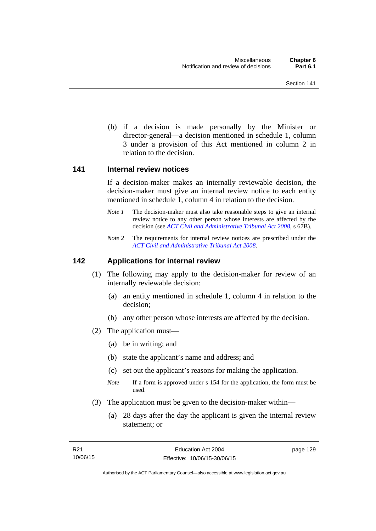(b) if a decision is made personally by the Minister or director-general—a decision mentioned in schedule 1, column 3 under a provision of this Act mentioned in column 2 in relation to the decision.

#### **141 Internal review notices**

If a decision-maker makes an internally reviewable decision, the decision-maker must give an internal review notice to each entity mentioned in schedule 1, column 4 in relation to the decision.

- *Note 1* The decision-maker must also take reasonable steps to give an internal review notice to any other person whose interests are affected by the decision (see *[ACT Civil and Administrative Tribunal Act 2008](http://www.legislation.act.gov.au/a/2008-35)*, s 67B).
- *Note 2* The requirements for internal review notices are prescribed under the *[ACT Civil and Administrative Tribunal Act 2008](http://www.legislation.act.gov.au/a/2008-35)*.

#### **142 Applications for internal review**

- (1) The following may apply to the decision-maker for review of an internally reviewable decision:
	- (a) an entity mentioned in schedule 1, column 4 in relation to the decision;
	- (b) any other person whose interests are affected by the decision.
- (2) The application must—
	- (a) be in writing; and
	- (b) state the applicant's name and address; and
	- (c) set out the applicant's reasons for making the application.
	- *Note* If a form is approved under s 154 for the application, the form must be used.
- (3) The application must be given to the decision-maker within—
	- (a) 28 days after the day the applicant is given the internal review statement; or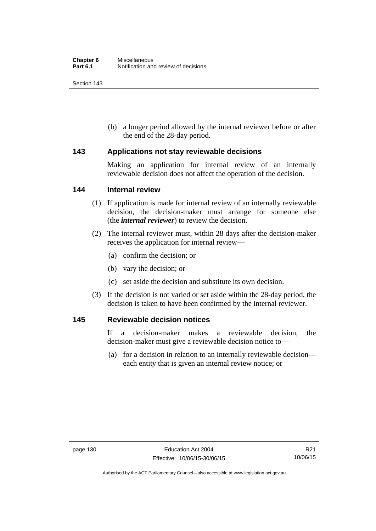(b) a longer period allowed by the internal reviewer before or after the end of the 28-day period.

#### **143 Applications not stay reviewable decisions**

Making an application for internal review of an internally reviewable decision does not affect the operation of the decision.

#### **144 Internal review**

- (1) If application is made for internal review of an internally reviewable decision, the decision-maker must arrange for someone else (the *internal reviewer*) to review the decision.
- (2) The internal reviewer must, within 28 days after the decision-maker receives the application for internal review—
	- (a) confirm the decision; or
	- (b) vary the decision; or
	- (c) set aside the decision and substitute its own decision.
- (3) If the decision is not varied or set aside within the 28-day period, the decision is taken to have been confirmed by the internal reviewer.

#### **145 Reviewable decision notices**

If a decision-maker makes a reviewable decision, the decision-maker must give a reviewable decision notice to—

 (a) for a decision in relation to an internally reviewable decision each entity that is given an internal review notice; or

Authorised by the ACT Parliamentary Counsel—also accessible at www.legislation.act.gov.au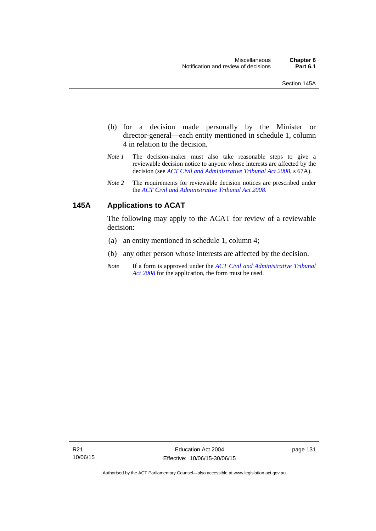- (b) for a decision made personally by the Minister or director-general—each entity mentioned in schedule 1, column 4 in relation to the decision.
- *Note 1* The decision-maker must also take reasonable steps to give a reviewable decision notice to anyone whose interests are affected by the decision (see *[ACT Civil and Administrative Tribunal Act 2008](http://www.legislation.act.gov.au/a/2008-35)*, s 67A).
- *Note 2* The requirements for reviewable decision notices are prescribed under the *[ACT Civil and Administrative Tribunal Act 2008](http://www.legislation.act.gov.au/a/2008-35)*.

## **145A Applications to ACAT**

The following may apply to the ACAT for review of a reviewable decision:

- (a) an entity mentioned in schedule 1, column 4;
- (b) any other person whose interests are affected by the decision.
- *Note* If a form is approved under the *[ACT Civil and Administrative Tribunal](http://www.legislation.act.gov.au/a/2008-35)  [Act 2008](http://www.legislation.act.gov.au/a/2008-35)* for the application, the form must be used.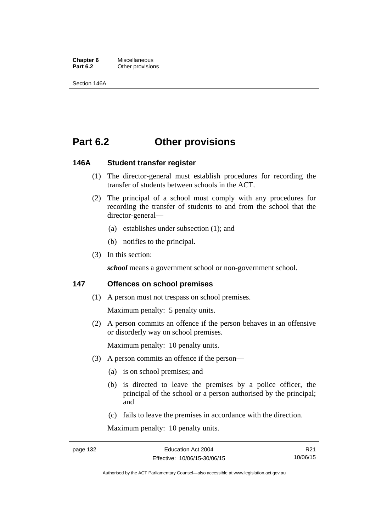**Chapter 6** Miscellaneous<br>**Part 6.2** Other provision **Other provisions** 

Section 146A

## **Part 6.2 Other provisions**

#### **146A Student transfer register**

- (1) The director-general must establish procedures for recording the transfer of students between schools in the ACT.
- (2) The principal of a school must comply with any procedures for recording the transfer of students to and from the school that the director-general—
	- (a) establishes under subsection (1); and
	- (b) notifies to the principal.
- (3) In this section:

school means a government school or non-government school.

#### **147 Offences on school premises**

(1) A person must not trespass on school premises.

Maximum penalty: 5 penalty units.

 (2) A person commits an offence if the person behaves in an offensive or disorderly way on school premises.

Maximum penalty: 10 penalty units.

- (3) A person commits an offence if the person—
	- (a) is on school premises; and
	- (b) is directed to leave the premises by a police officer, the principal of the school or a person authorised by the principal; and
	- (c) fails to leave the premises in accordance with the direction.

Maximum penalty: 10 penalty units.

R21 10/06/15

Authorised by the ACT Parliamentary Counsel—also accessible at www.legislation.act.gov.au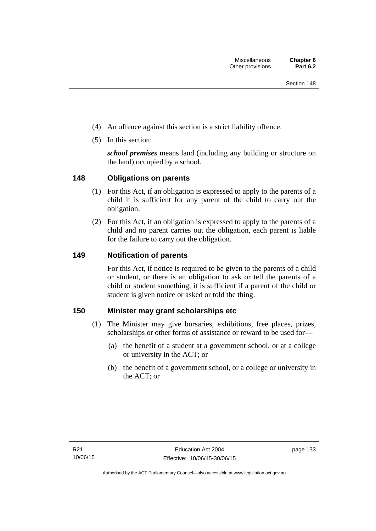- (4) An offence against this section is a strict liability offence.
- (5) In this section:

*school premises* means land (including any building or structure on the land) occupied by a school.

# **148 Obligations on parents**

- (1) For this Act, if an obligation is expressed to apply to the parents of a child it is sufficient for any parent of the child to carry out the obligation.
- (2) For this Act, if an obligation is expressed to apply to the parents of a child and no parent carries out the obligation, each parent is liable for the failure to carry out the obligation.

# **149 Notification of parents**

For this Act, if notice is required to be given to the parents of a child or student, or there is an obligation to ask or tell the parents of a child or student something, it is sufficient if a parent of the child or student is given notice or asked or told the thing.

# **150 Minister may grant scholarships etc**

- (1) The Minister may give bursaries, exhibitions, free places, prizes, scholarships or other forms of assistance or reward to be used for—
	- (a) the benefit of a student at a government school, or at a college or university in the ACT; or
	- (b) the benefit of a government school, or a college or university in the ACT; or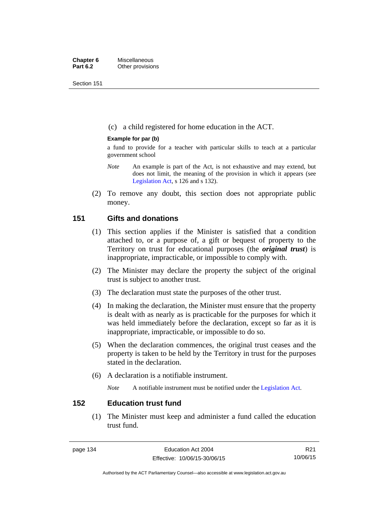Section 151

(c) a child registered for home education in the ACT.

## **Example for par (b)**

a fund to provide for a teacher with particular skills to teach at a particular government school

- *Note* An example is part of the Act, is not exhaustive and may extend, but does not limit, the meaning of the provision in which it appears (see [Legislation Act,](http://www.legislation.act.gov.au/a/2001-14) s 126 and s 132).
- (2) To remove any doubt, this section does not appropriate public money.

# **151 Gifts and donations**

- (1) This section applies if the Minister is satisfied that a condition attached to, or a purpose of, a gift or bequest of property to the Territory on trust for educational purposes (the *original trust*) is inappropriate, impracticable, or impossible to comply with.
- (2) The Minister may declare the property the subject of the original trust is subject to another trust.
- (3) The declaration must state the purposes of the other trust.
- (4) In making the declaration, the Minister must ensure that the property is dealt with as nearly as is practicable for the purposes for which it was held immediately before the declaration, except so far as it is inappropriate, impracticable, or impossible to do so.
- (5) When the declaration commences, the original trust ceases and the property is taken to be held by the Territory in trust for the purposes stated in the declaration.
- (6) A declaration is a notifiable instrument.

*Note* A notifiable instrument must be notified under the [Legislation Act](http://www.legislation.act.gov.au/a/2001-14).

# **152 Education trust fund**

 (1) The Minister must keep and administer a fund called the education trust fund.

R21 10/06/15

Authorised by the ACT Parliamentary Counsel—also accessible at www.legislation.act.gov.au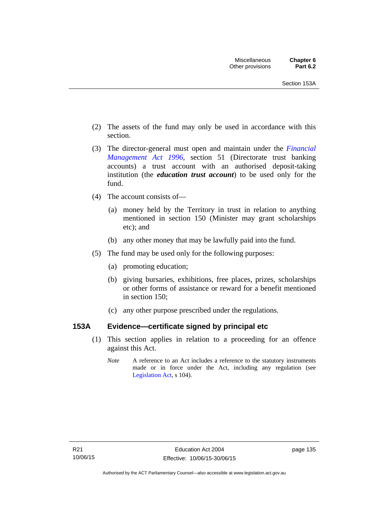- (2) The assets of the fund may only be used in accordance with this section.
- (3) The director-general must open and maintain under the *[Financial](http://www.legislation.act.gov.au/a/1996-22)  [Management Act 1996](http://www.legislation.act.gov.au/a/1996-22)*, section 51 (Directorate trust banking accounts) a trust account with an authorised deposit-taking institution (the *education trust account*) to be used only for the fund.
- (4) The account consists of—
	- (a) money held by the Territory in trust in relation to anything mentioned in section 150 (Minister may grant scholarships etc); and
	- (b) any other money that may be lawfully paid into the fund.
- (5) The fund may be used only for the following purposes:
	- (a) promoting education;
	- (b) giving bursaries, exhibitions, free places, prizes, scholarships or other forms of assistance or reward for a benefit mentioned in section 150;
	- (c) any other purpose prescribed under the regulations.

# **153A Evidence—certificate signed by principal etc**

- (1) This section applies in relation to a proceeding for an offence against this Act.
	- *Note* A reference to an Act includes a reference to the statutory instruments made or in force under the Act, including any regulation (see [Legislation Act,](http://www.legislation.act.gov.au/a/2001-14) s 104).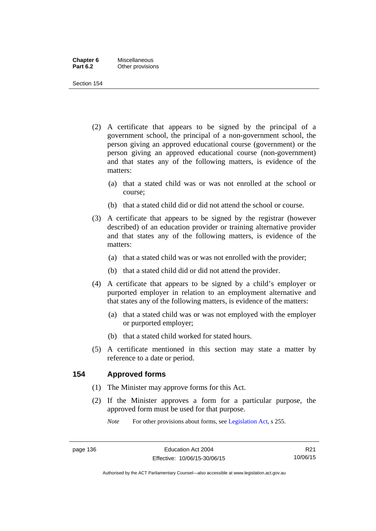| Chapter 6       | Miscellaneous    |
|-----------------|------------------|
| <b>Part 6.2</b> | Other provisions |

Section 154

- (2) A certificate that appears to be signed by the principal of a government school, the principal of a non-government school, the person giving an approved educational course (government) or the person giving an approved educational course (non-government) and that states any of the following matters, is evidence of the matters:
	- (a) that a stated child was or was not enrolled at the school or course;
	- (b) that a stated child did or did not attend the school or course.
- (3) A certificate that appears to be signed by the registrar (however described) of an education provider or training alternative provider and that states any of the following matters, is evidence of the matters:
	- (a) that a stated child was or was not enrolled with the provider;
	- (b) that a stated child did or did not attend the provider.
- (4) A certificate that appears to be signed by a child's employer or purported employer in relation to an employment alternative and that states any of the following matters, is evidence of the matters:
	- (a) that a stated child was or was not employed with the employer or purported employer;
	- (b) that a stated child worked for stated hours.
- (5) A certificate mentioned in this section may state a matter by reference to a date or period.

# **154 Approved forms**

- (1) The Minister may approve forms for this Act.
- (2) If the Minister approves a form for a particular purpose, the approved form must be used for that purpose.

*Note* For other provisions about forms, see [Legislation Act,](http://www.legislation.act.gov.au/a/2001-14) s 255.

R21 10/06/15

Authorised by the ACT Parliamentary Counsel—also accessible at www.legislation.act.gov.au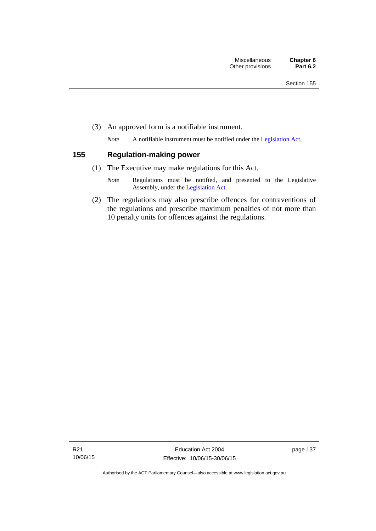(3) An approved form is a notifiable instrument.

*Note* A notifiable instrument must be notified under the [Legislation Act](http://www.legislation.act.gov.au/a/2001-14).

# **155 Regulation-making power**

- (1) The Executive may make regulations for this Act.
	- *Note* Regulations must be notified, and presented to the Legislative Assembly, under the [Legislation Act](http://www.legislation.act.gov.au/a/2001-14).
- (2) The regulations may also prescribe offences for contraventions of the regulations and prescribe maximum penalties of not more than 10 penalty units for offences against the regulations.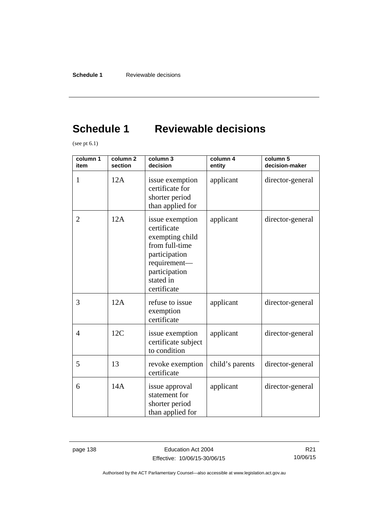# **Schedule 1 Reviewable decisions**

(see pt 6.1)

| column 1<br>item | column <sub>2</sub><br>section | column 3<br>decision                                                                                                                              | column 4<br>entity | column 5<br>decision-maker |
|------------------|--------------------------------|---------------------------------------------------------------------------------------------------------------------------------------------------|--------------------|----------------------------|
| 1                | 12A                            | issue exemption<br>certificate for<br>shorter period<br>than applied for                                                                          | applicant          | director-general           |
| 2                | 12A                            | issue exemption<br>certificate<br>exempting child<br>from full-time<br>participation<br>requirement-<br>participation<br>stated in<br>certificate | applicant          | director-general           |
| 3                | 12A                            | refuse to issue<br>exemption<br>certificate                                                                                                       | applicant          | director-general           |
| $\overline{4}$   | 12C                            | issue exemption<br>certificate subject<br>to condition                                                                                            | applicant          | director-general           |
| 5                | 13                             | revoke exemption<br>certificate                                                                                                                   | child's parents    | director-general           |
| 6                | 14A                            | issue approval<br>statement for<br>shorter period<br>than applied for                                                                             | applicant          | director-general           |

page 138 **Education Act 2004** Effective: 10/06/15-30/06/15

R21 10/06/15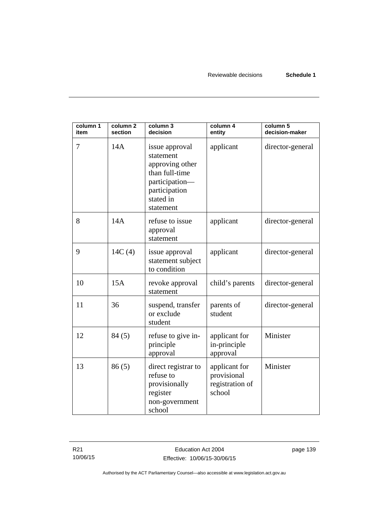| column 1<br>item | column <sub>2</sub><br>section | column 3<br>decision                                                                                                          | column 4<br>entity                                        | column 5<br>decision-maker |
|------------------|--------------------------------|-------------------------------------------------------------------------------------------------------------------------------|-----------------------------------------------------------|----------------------------|
| 7                | 14A                            | issue approval<br>statement<br>approving other<br>than full-time<br>participation-<br>participation<br>stated in<br>statement | applicant                                                 | director-general           |
| 8                | 14A                            | refuse to issue<br>approval<br>statement                                                                                      | applicant                                                 | director-general           |
| 9                | 14C(4)                         | issue approval<br>statement subject<br>to condition                                                                           | applicant                                                 | director-general           |
| 10               | 15A                            | revoke approval<br>statement                                                                                                  | child's parents                                           | director-general           |
| 11               | 36                             | suspend, transfer<br>or exclude<br>student                                                                                    | parents of<br>student                                     | director-general           |
| 12               | 84(5)                          | refuse to give in-<br>principle<br>approval                                                                                   | applicant for<br>in-principle<br>approval                 | Minister                   |
| 13               | 86(5)                          | direct registrar to<br>refuse to<br>provisionally<br>register<br>non-government<br>school                                     | applicant for<br>provisional<br>registration of<br>school | Minister                   |

R21 10/06/15 page 139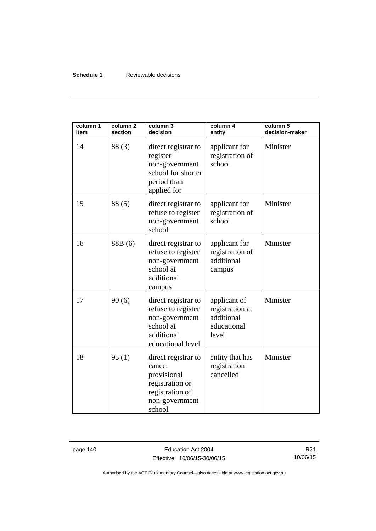## **Schedule 1** Reviewable decisions

| column 1<br>item | column <sub>2</sub><br>section | column 3<br>decision                                                                                           | column 4<br>entity                                                    | column 5<br>decision-maker |
|------------------|--------------------------------|----------------------------------------------------------------------------------------------------------------|-----------------------------------------------------------------------|----------------------------|
| 14               | 88(3)                          | direct registrar to<br>register<br>non-government<br>school for shorter<br>period than<br>applied for          | applicant for<br>registration of<br>school                            | Minister                   |
| 15               | 88(5)                          | direct registrar to<br>refuse to register<br>non-government<br>school                                          | applicant for<br>registration of<br>school                            | Minister                   |
| 16               | 88B (6)                        | direct registrar to<br>refuse to register<br>non-government<br>school at<br>additional<br>campus               | applicant for<br>registration of<br>additional<br>campus              | Minister                   |
| 17               | 90(6)                          | direct registrar to<br>refuse to register<br>non-government<br>school at<br>additional<br>educational level    | applicant of<br>registration at<br>additional<br>educational<br>level | Minister                   |
| 18               | 95(1)                          | direct registrar to<br>cancel<br>provisional<br>registration or<br>registration of<br>non-government<br>school | entity that has<br>registration<br>cancelled                          | Minister                   |

page 140 **Education Act 2004** Effective: 10/06/15-30/06/15

R21 10/06/15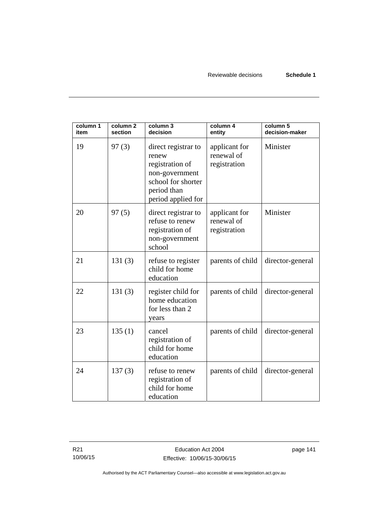| column 1<br>item | column <sub>2</sub><br>section | column 3<br>decision                                                                                                         | column 4<br>entity                          | column 5<br>decision-maker |
|------------------|--------------------------------|------------------------------------------------------------------------------------------------------------------------------|---------------------------------------------|----------------------------|
| 19               | 97(3)                          | direct registrar to<br>renew<br>registration of<br>non-government<br>school for shorter<br>period than<br>period applied for | applicant for<br>renewal of<br>registration | Minister                   |
| 20               | 97(5)                          | direct registrar to<br>refuse to renew<br>registration of<br>non-government<br>school                                        | applicant for<br>renewal of<br>registration | Minister                   |
| 21               | 131(3)                         | refuse to register<br>child for home<br>education                                                                            | parents of child                            | director-general           |
| 22               | 131(3)                         | register child for<br>home education<br>for less than 2<br>years                                                             | parents of child                            | director-general           |
| 23               | 135(1)                         | cancel<br>registration of<br>child for home<br>education                                                                     | parents of child                            | director-general           |
| 24               | 137(3)                         | refuse to renew<br>registration of<br>child for home<br>education                                                            | parents of child                            | director-general           |

page 141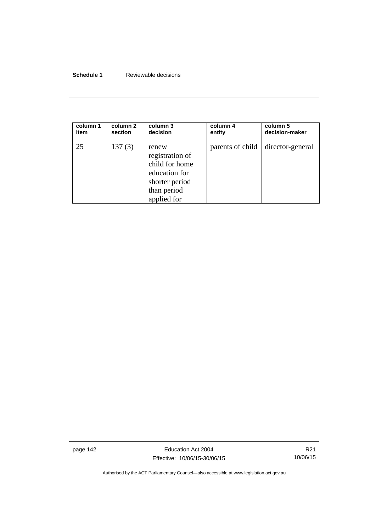## **Schedule 1** Reviewable decisions

| column 1 | column 2 | column 3                                                                                                    | column 4         | column 5         |
|----------|----------|-------------------------------------------------------------------------------------------------------------|------------------|------------------|
| item     | section  | decision                                                                                                    | entity           | decision-maker   |
| 25       | 137(3)   | renew<br>registration of<br>child for home<br>education for<br>shorter period<br>than period<br>applied for | parents of child | director-general |

page 142 **Education Act 2004** Effective: 10/06/15-30/06/15

R21 10/06/15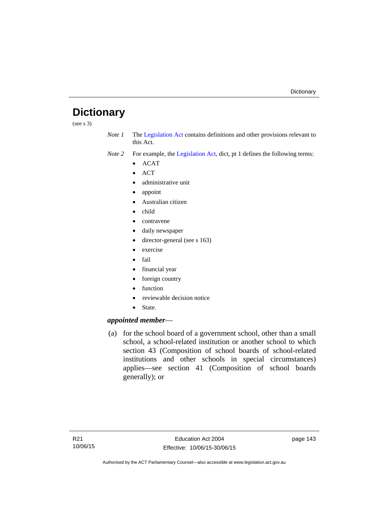# **Dictionary**

(see s 3)

*Note 1* The [Legislation Act](http://www.legislation.act.gov.au/a/2001-14) contains definitions and other provisions relevant to this Act.

*Note 2* For example, the [Legislation Act,](http://www.legislation.act.gov.au/a/2001-14) dict, pt 1 defines the following terms:

- $\bullet$  ACAT
- $\bullet$  ACT
- administrative unit
- appoint
- Australian citizen
- child
- contravene
- daily newspaper
- director-general (see s 163)
- exercise
- $\bullet$  fail
- financial year
- foreign country
- function
- reviewable decision notice
- State.

## *appointed member*—

 (a) for the school board of a government school, other than a small school, a school-related institution or another school to which section 43 (Composition of school boards of school-related institutions and other schools in special circumstances) applies—see section 41 (Composition of school boards generally); or

page 143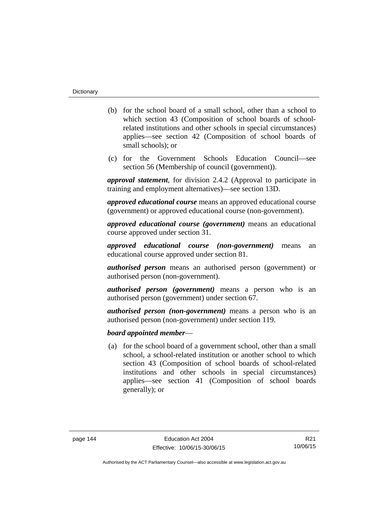- (b) for the school board of a small school, other than a school to which section 43 (Composition of school boards of schoolrelated institutions and other schools in special circumstances) applies—see section 42 (Composition of school boards of small schools); or
- (c) for the Government Schools Education Council—see section 56 (Membership of council (government)).

*approval statement*, for division 2.4.2 (Approval to participate in training and employment alternatives)—see section 13D.

*approved educational course* means an approved educational course (government) or approved educational course (non-government).

*approved educational course (government)* means an educational course approved under section 31.

*approved educational course (non-government)* means an educational course approved under section 81.

*authorised person* means an authorised person (government) or authorised person (non-government).

*authorised person (government)* means a person who is an authorised person (government) under section 67.

*authorised person (non-government)* means a person who is an authorised person (non-government) under section 119.

## *board appointed member*—

 (a) for the school board of a government school, other than a small school, a school-related institution or another school to which section 43 (Composition of school boards of school-related institutions and other schools in special circumstances) applies—see section 41 (Composition of school boards generally); or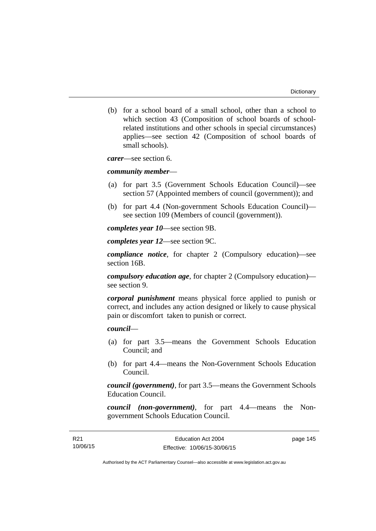(b) for a school board of a small school, other than a school to which section 43 (Composition of school boards of schoolrelated institutions and other schools in special circumstances) applies—see section 42 (Composition of school boards of small schools).

*carer*—see section 6.

## *community member*—

- (a) for part 3.5 (Government Schools Education Council)—see section 57 (Appointed members of council (government)); and
- (b) for part 4.4 (Non-government Schools Education Council) see section 109 (Members of council (government)).

*completes year 10*—see section 9B.

*completes year 12*—see section 9C.

*compliance notice*, for chapter 2 (Compulsory education)—see section 16B.

*compulsory education age*, for chapter 2 (Compulsory education) see section 9.

*corporal punishment* means physical force applied to punish or correct, and includes any action designed or likely to cause physical pain or discomfort taken to punish or correct.

# *council*—

- (a) for part 3.5—means the Government Schools Education Council; and
- (b) for part 4.4—means the Non-Government Schools Education Council.

*council (government)*, for part 3.5—means the Government Schools Education Council.

*council (non-government)*, for part 4.4—means the Nongovernment Schools Education Council.

page 145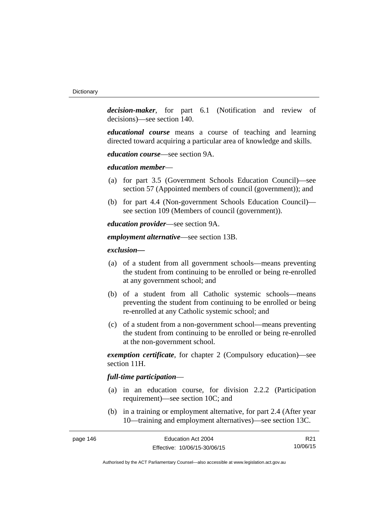*decision-maker*, for part 6.1 (Notification and review of decisions)—see section 140.

*educational course* means a course of teaching and learning directed toward acquiring a particular area of knowledge and skills.

*education course*—see section 9A.

*education member*—

- (a) for part 3.5 (Government Schools Education Council)—see section 57 (Appointed members of council (government)); and
- (b) for part 4.4 (Non-government Schools Education Council) see section 109 (Members of council (government)).

*education provider*—see section 9A.

*employment alternative*—see section 13B.

*exclusion***—**

- (a) of a student from all government schools—means preventing the student from continuing to be enrolled or being re-enrolled at any government school; and
- (b) of a student from all Catholic systemic schools—means preventing the student from continuing to be enrolled or being re-enrolled at any Catholic systemic school; and
- (c) of a student from a non-government school—means preventing the student from continuing to be enrolled or being re-enrolled at the non-government school.

*exemption certificate*, for chapter 2 (Compulsory education)—see section 11H.

## *full-time participation*—

- (a) in an education course, for division 2.2.2 (Participation requirement)—see section 10C; and
- (b) in a training or employment alternative, for part 2.4 (After year 10—training and employment alternatives)—see section 13C.

| page 146 | Education Act 2004           | R <sub>21</sub> |
|----------|------------------------------|-----------------|
|          | Effective: 10/06/15-30/06/15 | 10/06/15        |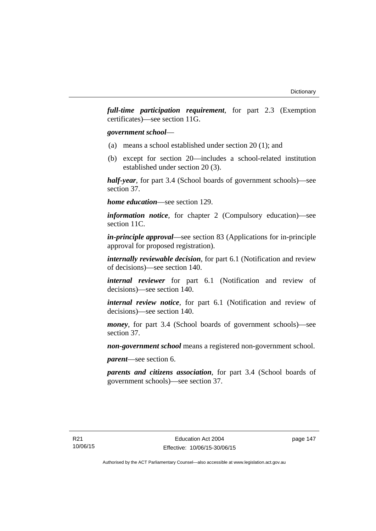*full-time participation requirement*, for part 2.3 (Exemption certificates)—see section 11G.

## *government school*—

- (a) means a school established under section 20 (1); and
- (b) except for section 20—includes a school-related institution established under section 20 (3).

*half-year*, for part 3.4 (School boards of government schools)—see section 37.

*home education*—see section 129.

*information notice*, for chapter 2 (Compulsory education)—see section 11C.

*in-principle approval*—see section 83 (Applications for in-principle approval for proposed registration).

*internally reviewable decision*, for part 6.1 (Notification and review of decisions)—see section 140.

*internal reviewer* for part 6.1 (Notification and review of decisions)—see section 140.

*internal review notice*, for part 6.1 (Notification and review of decisions)—see section 140.

*money*, for part 3.4 (School boards of government schools)—see section 37.

*non-government school* means a registered non-government school.

*parent*—see section 6.

*parents and citizens association*, for part 3.4 (School boards of government schools)—see section 37.

page 147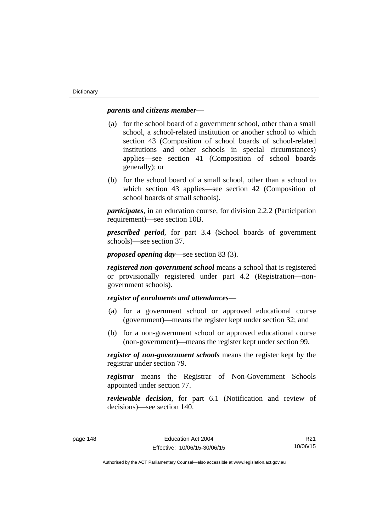## *parents and citizens member*—

- (a) for the school board of a government school, other than a small school, a school-related institution or another school to which section 43 (Composition of school boards of school-related institutions and other schools in special circumstances) applies—see section 41 (Composition of school boards generally); or
- (b) for the school board of a small school, other than a school to which section 43 applies—see section 42 (Composition of school boards of small schools).

*participates*, in an education course, for division 2.2.2 (Participation requirement)—see section 10B.

*prescribed period*, for part 3.4 (School boards of government schools)—see section 37.

*proposed opening day*—see section 83 (3).

*registered non-government school* means a school that is registered or provisionally registered under part 4.2 (Registration—nongovernment schools).

# *register of enrolments and attendances*—

- (a) for a government school or approved educational course (government)—means the register kept under section 32; and
- (b) for a non-government school or approved educational course (non-government)—means the register kept under section 99.

*register of non-government schools* means the register kept by the registrar under section 79.

*registrar* means the Registrar of Non-Government Schools appointed under section 77.

*reviewable decision*, for part 6.1 (Notification and review of decisions)—see section 140.

R21 10/06/15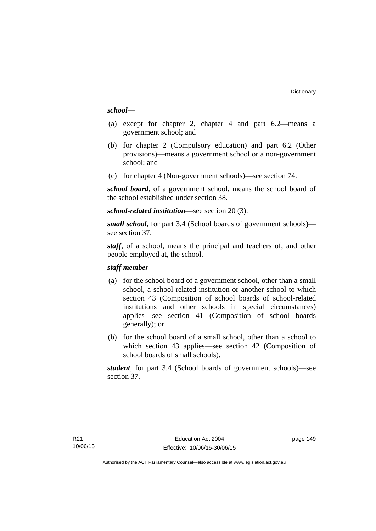## *school*—

- (a) except for chapter 2, chapter 4 and part 6.2—means a government school; and
- (b) for chapter 2 (Compulsory education) and part 6.2 (Other provisions)—means a government school or a non-government school; and
- (c) for chapter 4 (Non-government schools)—see section 74.

*school board*, of a government school, means the school board of the school established under section 38.

*school-related institution*—see section 20 (3).

*small school*, for part 3.4 (School boards of government schools) see section 37.

*staff*, of a school, means the principal and teachers of, and other people employed at, the school.

# *staff member*—

- (a) for the school board of a government school, other than a small school, a school-related institution or another school to which section 43 (Composition of school boards of school-related institutions and other schools in special circumstances) applies—see section 41 (Composition of school boards generally); or
- (b) for the school board of a small school, other than a school to which section 43 applies—see section 42 (Composition of school boards of small schools).

*student*, for part 3.4 (School boards of government schools)—see section 37.

page 149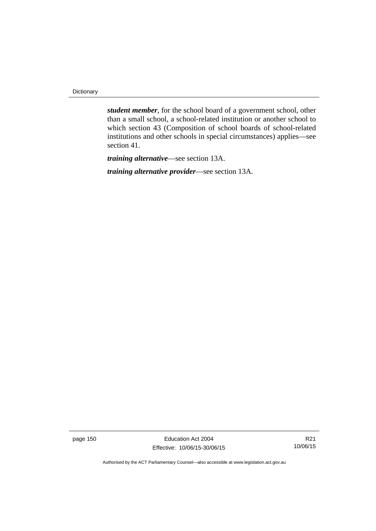**Dictionary** 

*student member*, for the school board of a government school, other than a small school, a school-related institution or another school to which section 43 (Composition of school boards of school-related institutions and other schools in special circumstances) applies—see section 41.

*training alternative*—see section 13A.

*training alternative provider*—see section 13A.

page 150 **Education Act 2004** Effective: 10/06/15-30/06/15

R21 10/06/15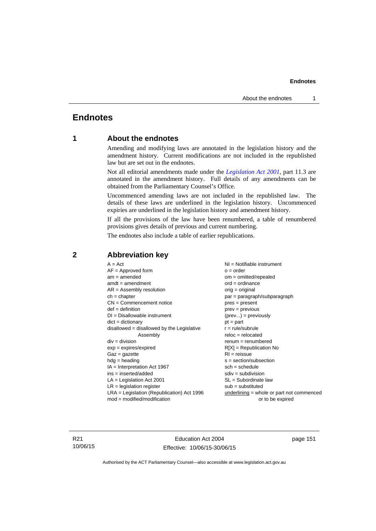# **Endnotes**

# **1 About the endnotes**

Amending and modifying laws are annotated in the legislation history and the amendment history. Current modifications are not included in the republished law but are set out in the endnotes.

Not all editorial amendments made under the *[Legislation Act 2001](http://www.legislation.act.gov.au/a/2001-14)*, part 11.3 are annotated in the amendment history. Full details of any amendments can be obtained from the Parliamentary Counsel's Office.

Uncommenced amending laws are not included in the republished law. The details of these laws are underlined in the legislation history. Uncommenced expiries are underlined in the legislation history and amendment history.

If all the provisions of the law have been renumbered, a table of renumbered provisions gives details of previous and current numbering.

The endnotes also include a table of earlier republications.

| $A = Act$                                    | NI = Notifiable instrument                  |
|----------------------------------------------|---------------------------------------------|
| $AF =$ Approved form                         | $o = order$                                 |
| $am = amended$                               | $om = omitted/repealed$                     |
| $amdt = amendment$                           | $ord = ordinance$                           |
| $AR = Assembly resolution$                   | $orig = original$                           |
| $ch = chapter$                               | par = paragraph/subparagraph                |
| $CN =$ Commencement notice                   | $pres = present$                            |
| $def = definition$                           | $prev = previous$                           |
| $DI = Disallowable instrument$               | $(\text{prev}) = \text{previously}$         |
| $dict = dictionary$                          | $pt = part$                                 |
| $disallowed = disallowed by the Legislative$ | $r = rule/subrule$                          |
| Assembly                                     | $reloc = relocated$                         |
| $div = division$                             | $renum = renumbered$                        |
| $exp = expires/expired$                      | $R[X]$ = Republication No                   |
| $Gaz = gazette$                              | $RI = reissue$                              |
| $hdg = heading$                              | $s = section/subsection$                    |
| $IA = Interpretation Act 1967$               | $sch = schedule$                            |
| ins = inserted/added                         | $sdiv = subdivision$                        |
| $LA =$ Legislation Act 2001                  | $SL = Subordinate$ law                      |
| $LR =$ legislation register                  | $sub =$ substituted                         |
| $LRA =$ Legislation (Republication) Act 1996 | $underlining = whole or part not commenced$ |
| $mod = modified/modification$                | or to be expired                            |
|                                              |                                             |

# **2 Abbreviation key**

R21 10/06/15

Education Act 2004 Effective: 10/06/15-30/06/15 page 151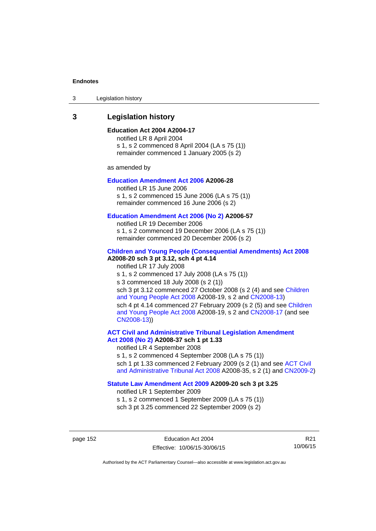3 Legislation history

# **3 Legislation history**

## **Education Act 2004 A2004-17**

notified LR 8 April 2004 s 1, s 2 commenced 8 April 2004 (LA s 75 (1)) remainder commenced 1 January 2005 (s 2)

as amended by

## **[Education Amendment Act 2006](http://www.legislation.act.gov.au/a/2006-28) A2006-28**

notified LR 15 June 2006 s 1, s 2 commenced 15 June 2006 (LA s 75 (1)) remainder commenced 16 June 2006 (s 2)

#### **[Education Amendment Act 2006 \(No 2\)](http://www.legislation.act.gov.au/a/2006-57) A2006-57**

notified LR 19 December 2006 s 1, s 2 commenced 19 December 2006 (LA s 75 (1)) remainder commenced 20 December 2006 (s 2)

## **[Children and Young People \(Consequential Amendments\) Act 2008](http://www.legislation.act.gov.au/a/2008-20) A2008-20 sch 3 pt 3.12, sch 4 pt 4.14**

notified LR 17 July 2008 s 1, s 2 commenced 17 July 2008 (LA s 75 (1)) s 3 commenced 18 July 2008 (s 2 (1)) sch 3 pt 3.12 commenced 27 October 2008 (s 2 (4) and see Children [and Young People Act 2008](http://www.legislation.act.gov.au/a/2008-19) A2008-19, s 2 and [CN2008-13](http://www.legislation.act.gov.au/cn/2008-13/default.asp)) sch 4 pt 4.14 commenced 27 February 2009 (s 2 (5) and see [Children](http://www.legislation.act.gov.au/a/2008-19)  [and Young People Act 2008](http://www.legislation.act.gov.au/a/2008-19) A2008-19, s 2 and [CN2008-17 \(](http://www.legislation.act.gov.au/cn/2008-17/default.asp)and see [CN2008-13](http://www.legislation.act.gov.au/cn/2008-13/default.asp)))

**[ACT Civil and Administrative Tribunal Legislation Amendment](http://www.legislation.act.gov.au/a/2008-37)  [Act 2008 \(No 2\)](http://www.legislation.act.gov.au/a/2008-37) A2008-37 sch 1 pt 1.33** 

notified LR 4 September 2008

s 1, s 2 commenced 4 September 2008 (LA s 75 (1)) sch 1 pt 1.33 commenced 2 February 2009 (s 2 (1) and see ACT Civil [and Administrative Tribunal Act 2008](http://www.legislation.act.gov.au/a/2008-35) A2008-35, s 2 (1) and [CN2009-2](http://www.legislation.act.gov.au/cn/2009-2/default.asp))

## **[Statute Law Amendment Act 2009](http://www.legislation.act.gov.au/a/2009-20) A2009-20 sch 3 pt 3.25**

notified LR 1 September 2009 s 1, s 2 commenced 1 September 2009 (LA s 75 (1)) sch 3 pt 3.25 commenced 22 September 2009 (s 2)

page 152 Education Act 2004 Effective: 10/06/15-30/06/15

R21 10/06/15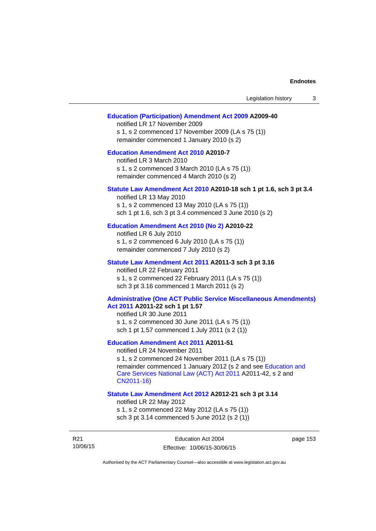| Legislation history<br>3                                                                                                                                                                                                                                                        |
|---------------------------------------------------------------------------------------------------------------------------------------------------------------------------------------------------------------------------------------------------------------------------------|
| <b>Education (Participation) Amendment Act 2009 A2009-40</b><br>notified LR 17 November 2009<br>s 1, s 2 commenced 17 November 2009 (LA s 75 (1))<br>remainder commenced 1 January 2010 (s 2)                                                                                   |
| <b>Education Amendment Act 2010 A2010-7</b><br>notified LR 3 March 2010<br>s 1, s 2 commenced 3 March 2010 (LA s 75 (1))<br>remainder commenced 4 March 2010 (s 2)                                                                                                              |
| Statute Law Amendment Act 2010 A2010-18 sch 1 pt 1.6, sch 3 pt 3.4<br>notified LR 13 May 2010<br>s 1, s 2 commenced 13 May 2010 (LA s 75 (1))<br>sch 1 pt 1.6, sch 3 pt 3.4 commenced 3 June 2010 (s 2)                                                                         |
| Education Amendment Act 2010 (No 2) A2010-22<br>notified LR 6 July 2010<br>s 1, s 2 commenced 6 July 2010 (LA s 75 (1))<br>remainder commenced 7 July 2010 (s 2)                                                                                                                |
| Statute Law Amendment Act 2011 A2011-3 sch 3 pt 3.16<br>notified LR 22 February 2011<br>s 1, s 2 commenced 22 February 2011 (LA s 75 (1))<br>sch 3 pt 3.16 commenced 1 March 2011 (s 2)                                                                                         |
| <b>Administrative (One ACT Public Service Miscellaneous Amendments)</b><br>Act 2011 A2011-22 sch 1 pt 1.57<br>notified LR 30 June 2011<br>s 1, s 2 commenced 30 June 2011 (LA s 75 (1))<br>sch 1 pt 1.57 commenced 1 July 2011 (s 2 (1))                                        |
| <b>Education Amendment Act 2011 A2011-51</b><br>notified LR 24 November 2011<br>s 1, s 2 commenced 24 November 2011 (LA s 75 (1))<br>remainder commenced 1 January 2012 (s 2 and see Education and<br>Care Services National Law (ACT) Act 2011 A2011-42, s 2 and<br>CN2011-16) |
| Statute Law Amendment Act 2012 A2012-21 sch 3 pt 3.14<br>notified LR 22 May 2012<br>s 1, s 2 commenced 22 May 2012 (LA s 75 (1))<br>sch 3 pt 3.14 commenced 5 June 2012 (s 2 (1))                                                                                               |

R21 10/06/15 page 153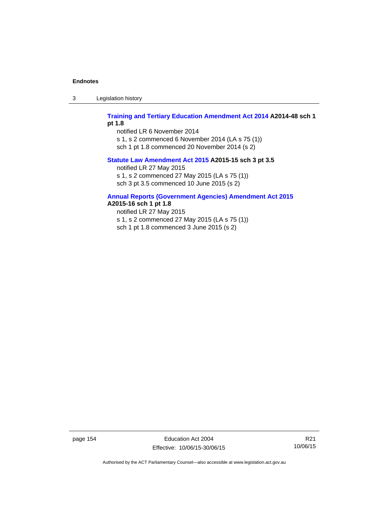3 Legislation history

## **[Training and Tertiary Education Amendment Act 2014](http://www.legislation.act.gov.au/a/2014-48) A2014-48 sch 1 pt 1.8**

notified LR 6 November 2014 s 1, s 2 commenced 6 November 2014 (LA s 75 (1))

sch 1 pt 1.8 commenced 20 November 2014 (s 2)

## **[Statute Law Amendment Act 2015](http://www.legislation.act.gov.au/a/2015-15/default.asp) A2015-15 sch 3 pt 3.5**

notified LR 27 May 2015

s 1, s 2 commenced 27 May 2015 (LA s 75 (1))

sch 3 pt 3.5 commenced 10 June 2015 (s 2)

# **[Annual Reports \(Government Agencies\) Amendment Act 2015](http://www.legislation.act.gov.au/a/2015-16)**

**A2015-16 sch 1 pt 1.8** 

notified LR 27 May 2015 s 1, s 2 commenced 27 May 2015 (LA s 75 (1)) sch 1 pt 1.8 commenced 3 June 2015 (s 2)

page 154 Education Act 2004 Effective: 10/06/15-30/06/15

R21 10/06/15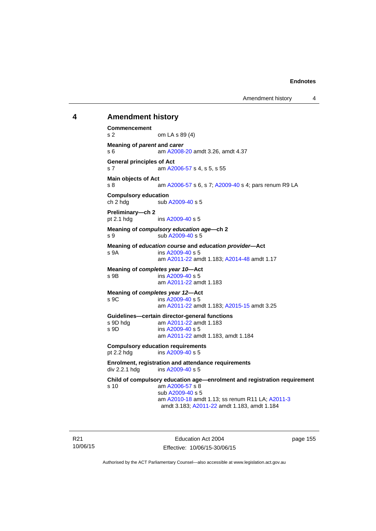## **4 Amendment history**

**Commencement**  s 2 om LA s 89 (4) **Meaning of** *parent* **and** *carer*  s 6 am [A2008-20](http://www.legislation.act.gov.au/a/2008-20) amdt 3.26, amdt 4.37 **General principles of Act**  s 7 am [A2006-57](http://www.legislation.act.gov.au/a/2006-57) s 4, s 5, s 55 **Main objects of Act**  s 8 am [A2006-57](http://www.legislation.act.gov.au/a/2006-57) s 6, s 7; [A2009-40](http://www.legislation.act.gov.au/a/2009-40) s 4; pars renum R9 LA **Compulsory education**  ch 2 hdg sub [A2009-40](http://www.legislation.act.gov.au/a/2009-40) s 5 **Preliminary—ch 2**  pt 2.1 hdg ins [A2009-40](http://www.legislation.act.gov.au/a/2009-40) s 5 **Meaning of** *compulsory education age***—ch 2**  s 9 sub [A2009-40](http://www.legislation.act.gov.au/a/2009-40) s 5 **Meaning of** *education course* **and** *education provider***—Act**  s 9A ins [A2009-40](http://www.legislation.act.gov.au/a/2009-40) s 5 am [A2011-22](http://www.legislation.act.gov.au/a/2011-22) amdt 1.183; [A2014-48](http://www.legislation.act.gov.au/a/2014-48) amdt 1.17 **Meaning of** *completes year 10***—Act**  s 9B ins [A2009-40](http://www.legislation.act.gov.au/a/2009-40) s 5 am [A2011-22](http://www.legislation.act.gov.au/a/2011-22) amdt 1.183 **Meaning of** *completes year 12***—Act**  s 9C ins [A2009-40](http://www.legislation.act.gov.au/a/2009-40) s 5 am [A2011-22](http://www.legislation.act.gov.au/a/2011-22) amdt 1.183; [A2015-15](http://www.legislation.act.gov.au/a/2015-15/default.asp) amdt 3.25 **Guidelines—certain director-general functions**  am [A2011-22](http://www.legislation.act.gov.au/a/2011-22) amdt 1.183 s 9D ins [A2009-40](http://www.legislation.act.gov.au/a/2009-40) s 5 am [A2011-22](http://www.legislation.act.gov.au/a/2011-22) amdt 1.183, amdt 1.184 **Compulsory education requirements**  pt 2.2 hdg ins [A2009-40](http://www.legislation.act.gov.au/a/2009-40) s 5 **Enrolment, registration and attendance requirements**  div 2.2.1 hdg ins [A2009-40](http://www.legislation.act.gov.au/a/2009-40) s 5 **Child of compulsory education age—enrolment and registration requirement**  s 10 am [A2006-57](http://www.legislation.act.gov.au/a/2006-57) s 8 sub [A2009-40](http://www.legislation.act.gov.au/a/2009-40) s 5 am [A2010-18](http://www.legislation.act.gov.au/a/2010-18) amdt 1.13; ss renum R11 LA; [A2011-3](http://www.legislation.act.gov.au/a/2011-3) amdt 3.183; [A2011-22](http://www.legislation.act.gov.au/a/2011-22) amdt 1.183, amdt 1.184

R21 10/06/15

Education Act 2004 Effective: 10/06/15-30/06/15 page 155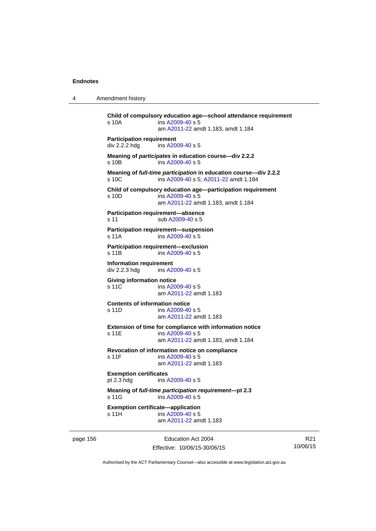4 Amendment history

```
Child of compulsory education age—school attendance requirement 
s 10A ins A2009-40 s 5
                am A2011-22 amdt 1.183, amdt 1.184 
Participation requirement 
div 2.2.2 hdg ins A2009-40 s 5
Meaning of participates in education course—div 2.2.2 
s 10B ins A2009-40 s 5
Meaning of full-time participation in education course—div 2.2.2 
A2009-40 A2011-22 amdt 1.184
Child of compulsory education age—participation requirement 
s 10D ins A2009-40 s 5
                am A2011-22 amdt 1.183, amdt 1.184 
Participation requirement—absence 
A2009-40 s 5
Participation requirement—suspension 
s 11A ins A2009-40 s 5
Participation requirement—exclusion 
s 11B ins A2009-40 s 5
Information requirement 
div 2.2.3 hdg ins A2009-40 s 5
Giving information notice 
A2009-40 s 5
                am A2011-22 amdt 1.183
Contents of information notice 
s 11D ins A2009-40 s 5
                am A2011-22 amdt 1.183
Extension of time for compliance with information notice 
A2009-40 s 5
                am A2011-22 amdt 1.183, amdt 1.184 
Revocation of information notice on compliance 
A2009-40 s 5
                am A2011-22 amdt 1.183
Exemption certificates 
pt 2.3 hdg ins A2009-40 s 5
Meaning of full-time participation requirement—pt 2.3 
 A2009-40 s 5
Exemption certificate—application 
A2009-40 s 5
                am A2011-22 amdt 1.183
```
page 156 **Education Act 2004** Effective: 10/06/15-30/06/15

R21 10/06/15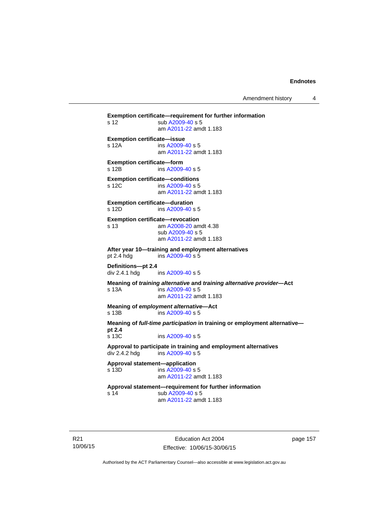Amendment history 4

**Exemption certificate—requirement for further information**  s 12 sub [A2009-40](http://www.legislation.act.gov.au/a/2009-40) s 5 am [A2011-22](http://www.legislation.act.gov.au/a/2011-22) amdt 1.183 **Exemption certificate—issue**  s 12A ins [A2009-40](http://www.legislation.act.gov.au/a/2009-40) s 5 am [A2011-22](http://www.legislation.act.gov.au/a/2011-22) amdt 1.183 **Exemption certificate—form**  s 12B ins [A2009-40](http://www.legislation.act.gov.au/a/2009-40) s 5 **Exemption certificate—conditions**  s 12C ins [A2009-40](http://www.legislation.act.gov.au/a/2009-40) s 5 am [A2011-22](http://www.legislation.act.gov.au/a/2011-22) amdt 1.183 **Exemption certificate—duration**  s 12D ins [A2009-40](http://www.legislation.act.gov.au/a/2009-40) s 5 **Exemption certificate—revocation**  s 13 am [A2008-20](http://www.legislation.act.gov.au/a/2008-20) amdt 4.38 sub [A2009-40](http://www.legislation.act.gov.au/a/2009-40) s 5 am [A2011-22](http://www.legislation.act.gov.au/a/2011-22) amdt 1.183 **After year 10—training and employment alternatives**  pt 2.4 hdg ins [A2009-40](http://www.legislation.act.gov.au/a/2009-40) s 5 **Definitions—pt 2.4**  ins [A2009-40](http://www.legislation.act.gov.au/a/2009-40) s 5 **Meaning of** *training alternative* **and** *training alternative provider***—Act**  s 13A ins [A2009-40](http://www.legislation.act.gov.au/a/2009-40) s 5 am [A2011-22](http://www.legislation.act.gov.au/a/2011-22) amdt 1.183 **Meaning of** *employment alternative***—Act**  s 13B ins [A2009-40](http://www.legislation.act.gov.au/a/2009-40) s 5 **Meaning of** *full-time participation* **in training or employment alternative pt 2.4**  s 13C ins [A2009-40](http://www.legislation.act.gov.au/a/2009-40) s 5 **Approval to participate in training and employment alternatives**  div 2.4.2 hdg ins [A2009-40](http://www.legislation.act.gov.au/a/2009-40) s 5 **Approval statement—application**   $ins A2009-40 s 5$  $ins A2009-40 s 5$  $ins A2009-40 s 5$  am [A2011-22](http://www.legislation.act.gov.au/a/2011-22) amdt 1.183 **Approval statement—requirement for further information**  s 14 sub [A2009-40](http://www.legislation.act.gov.au/a/2009-40) s 5 am [A2011-22](http://www.legislation.act.gov.au/a/2011-22) amdt 1.183

R21 10/06/15

Education Act 2004 Effective: 10/06/15-30/06/15 page 157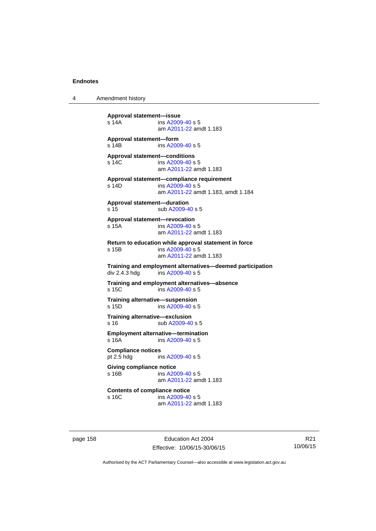4 Amendment history

**Approval statement—issue**  ins [A2009-40](http://www.legislation.act.gov.au/a/2009-40) s 5 am [A2011-22](http://www.legislation.act.gov.au/a/2011-22) amdt 1.183 **Approval statement—form**  s 14B ins [A2009-40](http://www.legislation.act.gov.au/a/2009-40) s 5 **Approval statement—conditions**  s 14C ins [A2009-40](http://www.legislation.act.gov.au/a/2009-40) s 5 am [A2011-22](http://www.legislation.act.gov.au/a/2011-22) amdt 1.183 **Approval statement—compliance requirement**  s 14D ins [A2009-40](http://www.legislation.act.gov.au/a/2009-40) s 5 am [A2011-22](http://www.legislation.act.gov.au/a/2011-22) amdt 1.183, amdt 1.184 **Approval statement—duration**  s 15 sub [A2009-40](http://www.legislation.act.gov.au/a/2009-40) s 5 **Approval statement—revocation**  s 15A ins [A2009-40](http://www.legislation.act.gov.au/a/2009-40) s 5 am [A2011-22](http://www.legislation.act.gov.au/a/2011-22) amdt 1.183 **Return to education while approval statement in force**  s 15B ins [A2009-40](http://www.legislation.act.gov.au/a/2009-40) s 5 am [A2011-22](http://www.legislation.act.gov.au/a/2011-22) amdt 1.183 **Training and employment alternatives—deemed participation**   $ins$  [A2009-40](http://www.legislation.act.gov.au/a/2009-40) s 5 **Training and employment alternatives—absence**  s 15C ins [A2009-40](http://www.legislation.act.gov.au/a/2009-40) s 5 **Training alternative—suspension**<br>s 15D **ins A2009-40 s** 5  $ins A2009-40 s 5$  $ins A2009-40 s 5$  $ins A2009-40 s 5$ **Training alternative—exclusion**  s 16 sub [A2009-40](http://www.legislation.act.gov.au/a/2009-40) s 5 **Employment alternative—termination**  s 16A ins [A2009-40](http://www.legislation.act.gov.au/a/2009-40) s 5 **Compliance notices**  pt 2.5 hdg ins [A2009-40](http://www.legislation.act.gov.au/a/2009-40) s 5 **Giving compliance notice**  s 16B ins [A2009-40](http://www.legislation.act.gov.au/a/2009-40) s 5 am [A2011-22](http://www.legislation.act.gov.au/a/2011-22) amdt 1.183 **Contents of compliance notice**<br>s 16C ins A2009-40 ins [A2009-40](http://www.legislation.act.gov.au/a/2009-40) s 5 am [A2011-22](http://www.legislation.act.gov.au/a/2011-22) amdt 1.183

page 158 Education Act 2004 Effective: 10/06/15-30/06/15

R21 10/06/15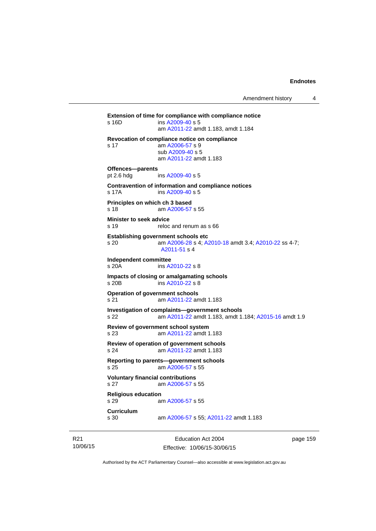**Extension of time for compliance with compliance notice**  s 16D ins [A2009-40](http://www.legislation.act.gov.au/a/2009-40) s 5 am [A2011-22](http://www.legislation.act.gov.au/a/2011-22) amdt 1.183, amdt 1.184 **Revocation of compliance notice on compliance**  s 17 am [A2006-57](http://www.legislation.act.gov.au/a/2006-57) s 9 sub [A2009-40](http://www.legislation.act.gov.au/a/2009-40) s 5 am [A2011-22](http://www.legislation.act.gov.au/a/2011-22) amdt 1.183 **Offences—parents**  pt 2.6 hdg ins [A2009-40](http://www.legislation.act.gov.au/a/2009-40) s 5 **Contravention of information and compliance notices**  s 17A ins [A2009-40](http://www.legislation.act.gov.au/a/2009-40) s 5 **Principles on which ch 3 based**  s 18 am [A2006-57](http://www.legislation.act.gov.au/a/2006-57) s 55 **Minister to seek advice**  s 19 reloc and renum as s 66 **Establishing government schools etc**  s 20 am [A2006-28](http://www.legislation.act.gov.au/a/2006-28) s 4; [A2010-18](http://www.legislation.act.gov.au/a/2010-18) amdt 3.4; [A2010-22](http://www.legislation.act.gov.au/a/2010-22) ss 4-7; [A2011-51](http://www.legislation.act.gov.au/a/2011-51) s 4 **Independent committee**  ins [A2010-22](http://www.legislation.act.gov.au/a/2010-22) s 8 **Impacts of closing or amalgamating schools**  s 20B ins [A2010-22](http://www.legislation.act.gov.au/a/2010-22) s 8 **Operation of government schools**  s 21 am [A2011-22](http://www.legislation.act.gov.au/a/2011-22) amdt 1.183 **Investigation of complaints—government schools**  s 22 am [A2011-22](http://www.legislation.act.gov.au/a/2011-22) amdt 1.183, amdt 1.184; [A2015-16](http://www.legislation.act.gov.au/a/2015-16) amdt 1.9 **Review of government school system**  s 23 am [A2011-22](http://www.legislation.act.gov.au/a/2011-22) amdt 1.183 **Review of operation of government schools**  s 24 am [A2011-22](http://www.legislation.act.gov.au/a/2011-22) amdt 1.183 **Reporting to parents—government schools**  s 25 am [A2006-57](http://www.legislation.act.gov.au/a/2006-57) s 55 **Voluntary financial contributions**  s 27 am [A2006-57](http://www.legislation.act.gov.au/a/2006-57) s 55 **Religious education**  s 29 am [A2006-57](http://www.legislation.act.gov.au/a/2006-57) s 55 **Curriculum**  am [A2006-57](http://www.legislation.act.gov.au/a/2006-57) s 55; [A2011-22](http://www.legislation.act.gov.au/a/2011-22) amdt 1.183

R21 10/06/15

Education Act 2004 Effective: 10/06/15-30/06/15 page 159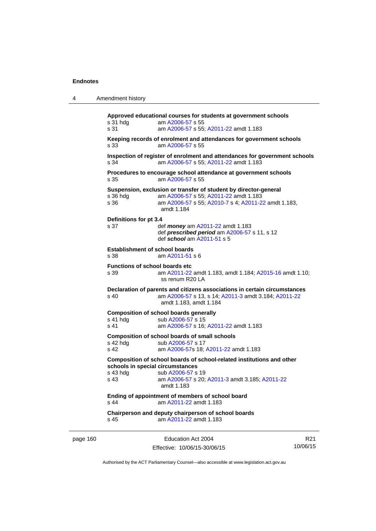| Amendment history |
|-------------------|
|                   |

**Approved educational courses for students at government schools**  s 31 hdg am [A2006-57](http://www.legislation.act.gov.au/a/2006-57) s 55 s 31 am [A2006-57](http://www.legislation.act.gov.au/a/2006-57) s 55; [A2011-22](http://www.legislation.act.gov.au/a/2011-22) amdt 1.183 **Keeping records of enrolment and attendances for government schools**  s 33 am [A2006-57](http://www.legislation.act.gov.au/a/2006-57) s 55 **Inspection of register of enrolment and attendances for government schools**  s 34 am [A2006-57](http://www.legislation.act.gov.au/a/2006-57) s 55; [A2011-22](http://www.legislation.act.gov.au/a/2011-22) amdt 1.183 **Procedures to encourage school attendance at government schools**  s 35 am [A2006-57](http://www.legislation.act.gov.au/a/2006-57) s 55 **Suspension, exclusion or transfer of student by director-general**  s 36 hdg am [A2006-57](http://www.legislation.act.gov.au/a/2006-57) s 55; [A2011-22](http://www.legislation.act.gov.au/a/2011-22) amdt 1.183 am [A2006-57](http://www.legislation.act.gov.au/a/2006-57) s 55; [A2010-7](http://www.legislation.act.gov.au/a/2010-7) s 4; [A2011-22](http://www.legislation.act.gov.au/a/2011-22) amdt 1.183, amdt 1.184 **Definitions for pt 3.4**  s 37 def *money* am [A2011-22](http://www.legislation.act.gov.au/a/2011-22) amdt 1.183 def *prescribed period* am [A2006-57](http://www.legislation.act.gov.au/a/2006-57) s 11, s 12 def *school* am [A2011-51](http://www.legislation.act.gov.au/a/2011-51) s 5 **Establishment of school boards**  s 38 am [A2011-51](http://www.legislation.act.gov.au/a/2011-51) s 6 **Functions of school boards etc**  s 39 am [A2011-22](http://www.legislation.act.gov.au/a/2011-22) amdt 1.183, amdt 1.184; [A2015-16](http://www.legislation.act.gov.au/a/2015-16) amdt 1.10; ss renum R20 LA **Declaration of parents and citizens associations in certain circumstances**  s 40 am [A2006-57](http://www.legislation.act.gov.au/a/2006-57) s 13, s 14; [A2011-3](http://www.legislation.act.gov.au/a/2011-3) amdt 3.184; [A2011-22](http://www.legislation.act.gov.au/a/2011-22) amdt 1.183, amdt 1.184 **Composition of school boards generally**  s 41 hdg sub [A2006-57](http://www.legislation.act.gov.au/a/2006-57) s 15 s 41 am [A2006-57](http://www.legislation.act.gov.au/a/2006-57) s 16; [A2011-22](http://www.legislation.act.gov.au/a/2011-22) amdt 1.183 **Composition of school boards of small schools**  s 42 hdg sub [A2006-57](http://www.legislation.act.gov.au/a/2006-57) s 17<br>s 42 am A2006-57 s 18: am [A2006-57](http://www.legislation.act.gov.au/a/2006-57)s 18; [A2011-22](http://www.legislation.act.gov.au/a/2011-22) amdt 1.183 **Composition of school boards of school-related institutions and other schools in special circumstances**  s 43 hdg sub [A2006-57](http://www.legislation.act.gov.au/a/2006-57) s 19 s 43 am [A2006-57](http://www.legislation.act.gov.au/a/2006-57) s 20; [A2011-3](http://www.legislation.act.gov.au/a/2011-3) amdt 3.185; [A2011-22](http://www.legislation.act.gov.au/a/2011-22) amdt 1.183 **Ending of appointment of members of school board**  s 44 am [A2011-22](http://www.legislation.act.gov.au/a/2011-22) amdt 1.183 **Chairperson and deputy chairperson of school boards**  s 45 am [A2011-22](http://www.legislation.act.gov.au/a/2011-22) amdt 1.183

page 160 Education Act 2004 Effective: 10/06/15-30/06/15

R21 10/06/15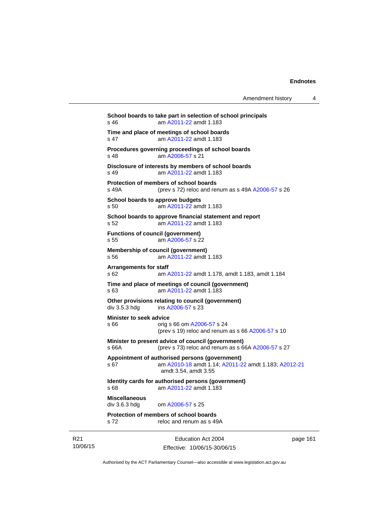| Amendment history |  |
|-------------------|--|
|-------------------|--|

Education Act 2004 **School boards to take part in selection of school principals**  s 46 am [A2011-22](http://www.legislation.act.gov.au/a/2011-22) amdt 1.183 **Time and place of meetings of school boards**  s 47 am [A2011-22](http://www.legislation.act.gov.au/a/2011-22) amdt 1.183 **Procedures governing proceedings of school boards**  s 48 am [A2006-57](http://www.legislation.act.gov.au/a/2006-57) s 21 **Disclosure of interests by members of school boards**  s 49 am [A2011-22](http://www.legislation.act.gov.au/a/2011-22) amdt 1.183 **Protection of members of school boards**  s 49A (prev s 72) reloc and renum as s 49A [A2006-57](http://www.legislation.act.gov.au/a/2006-57) s 26 **School boards to approve budgets**  s 50 am [A2011-22](http://www.legislation.act.gov.au/a/2011-22) amdt 1.183 **School boards to approve financial statement and report**  s 52 am [A2011-22](http://www.legislation.act.gov.au/a/2011-22) amdt 1.183 **Functions of council (government)**  s 55 am [A2006-57](http://www.legislation.act.gov.au/a/2006-57) s 22 **Membership of council (government)**  s 56 am [A2011-22](http://www.legislation.act.gov.au/a/2011-22) amdt 1.183 **Arrangements for staff**  s 62 am [A2011-22](http://www.legislation.act.gov.au/a/2011-22) amdt 1.178, amdt 1.183, amdt 1.184 **Time and place of meetings of council (government)**  s 63 am [A2011-22](http://www.legislation.act.gov.au/a/2011-22) amdt 1.183 **Other provisions relating to council (government)**  div 3.5.3 hdg ins [A2006-57](http://www.legislation.act.gov.au/a/2006-57) s 23 **Minister to seek advice**  s 66 orig s 66 om [A2006-57](http://www.legislation.act.gov.au/a/2006-57) s 24 (prev s 19) reloc and renum as s 66 [A2006-57](http://www.legislation.act.gov.au/a/2006-57) s 10 **Minister to present advice of council (government)**  s 66A (prev s 73) reloc and renum as s 66A [A2006-57](http://www.legislation.act.gov.au/a/2006-57) s 27 **Appointment of authorised persons (government)**  s 67 am [A2010-18](http://www.legislation.act.gov.au/a/2010-18) amdt 1.14; [A2011-22](http://www.legislation.act.gov.au/a/2011-22) amdt 1.183; [A2012-21](http://www.legislation.act.gov.au/a/2012-21) amdt 3.54, amdt 3.55 **Identity cards for authorised persons (government)**  s 68 am [A2011-22](http://www.legislation.act.gov.au/a/2011-22) amdt 1.183 **Miscellaneous**  div 3.6.3 hdg om [A2006-57](http://www.legislation.act.gov.au/a/2006-57) s 25 **Protection of members of school boards**  s 72 reloc and renum as s 49A

R21 10/06/15

Effective: 10/06/15-30/06/15

page 161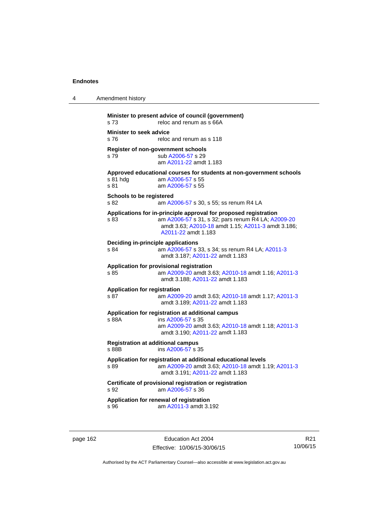| 4 | Amendment history                                                                                                                                                                                           |
|---|-------------------------------------------------------------------------------------------------------------------------------------------------------------------------------------------------------------|
|   | Minister to present advice of council (government)<br>s 73<br>reloc and renum as s 66A                                                                                                                      |
|   | <b>Minister to seek advice</b><br>reloc and renum as s 118<br>s 76                                                                                                                                          |
|   | Register of non-government schools<br>sub A2006-57 s 29<br>s 79<br>am A2011-22 amdt 1.183                                                                                                                   |
|   | Approved educational courses for students at non-government schools<br>s 81 hdg<br>am A2006-57 s 55<br>s 81<br>am A2006-57 s 55                                                                             |
|   | <b>Schools to be registered</b><br>s 82<br>am A2006-57 s 30, s 55; ss renum R4 LA                                                                                                                           |
|   | Applications for in-principle approval for proposed registration<br>am A2006-57 s 31, s 32; pars renum R4 LA; A2009-20<br>s 83<br>amdt 3.63; A2010-18 amdt 1.15; A2011-3 amdt 3.186;<br>A2011-22 amdt 1.183 |
|   | <b>Deciding in-principle applications</b><br>s 84<br>am A2006-57 s 33, s 34; ss renum R4 LA; A2011-3<br>amdt 3.187; A2011-22 amdt 1.183                                                                     |
|   | Application for provisional registration<br>s 85<br>am A2009-20 amdt 3.63; A2010-18 amdt 1.16; A2011-3<br>amdt 3.188; A2011-22 amdt 1.183                                                                   |
|   | <b>Application for registration</b><br>s 87<br>am A2009-20 amdt 3.63; A2010-18 amdt 1.17; A2011-3<br>amdt 3.189; A2011-22 amdt 1.183                                                                        |
|   | Application for registration at additional campus<br>s 88A<br>ins A2006-57 s 35<br>am A2009-20 amdt 3.63; A2010-18 amdt 1.18; A2011-3<br>amdt 3.190; A2011-22 amdt 1.183                                    |
|   | <b>Registration at additional campus</b><br>s 88B<br>ins A2006-57 s 35                                                                                                                                      |
|   | Application for registration at additional educational levels<br>am A2009-20 amdt 3.63; A2010-18 amdt 1.19; A2011-3<br>s 89<br>amdt 3.191, A2011-22 amdt 1.183                                              |
|   | Certificate of provisional registration or registration<br>am A2006-57 s 36<br>s 92                                                                                                                         |
|   | Application for renewal of registration<br>s 96<br>am A2011-3 amdt 3.192                                                                                                                                    |

page 162 **Education Act 2004** Effective: 10/06/15-30/06/15

R21 10/06/15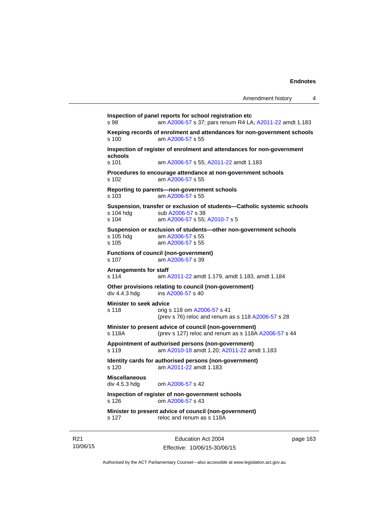```
Inspection of panel reports for school registration etc 
s 98 am A2006-57 s 37; pars renum R4 LA; A2011-22 amdt 1.183 
Keeping records of enrolment and attendances for non-government schools <br>s 100 am A2006-57 s 55
                 A2006-57 s 55
Inspection of register of enrolment and attendances for non-government 
schools 
s 101 am A2006-57 s 55; A2011-22 amdt 1.183 
Procedures to encourage attendance at non-government schools 
s 102 am A2006-57 s 55 
Reporting to parents—non-government schools 
s 103 am A2006-57 s 55 
Suspension, transfer or exclusion of students—Catholic systemic schools 
                A2006-57 s 38
s 104 am A2006-57 s 55; A2010-7 s 5 
Suspension or exclusion of students—other non-government schools 
                 A2006-57 s 55
s 105 am A2006-57 s 55 
Functions of council (non-government) 
s 107 am A2006-57 s 39 
Arrangements for staff 
s 114 am A2011-22 amdt 1.179, amdt 1.183, amdt 1.184 
Other provisions relating to council (non-government) 
A2006-57 s 40
Minister to seek advice 
s 118 orig s 118 om A2006-57 s 41 
                (prev s 76) reloc and renum as s 118 A2006-57 s 28 
Minister to present advice of council (non-government) 
s 118A (prev s 127) reloc and renum as s 118A A2006-57 s 44 
Appointment of authorised persons (non-government) 
s 119 am A2010-18 amdt 1.20; A2011-22 amdt 1.183 
Identity cards for authorised persons (non-government) 
s 120 am A2011-22 amdt 1.183
Miscellaneous 
div 4.5.3 hdg om A2006-57 s 42 
Inspection of register of non-government schools 
s 126 om A2006-57 s 43 
Minister to present advice of council (non-government) 
s 127 reloc and renum as s 118A
```
R21 10/06/15

Education Act 2004 Effective: 10/06/15-30/06/15 page 163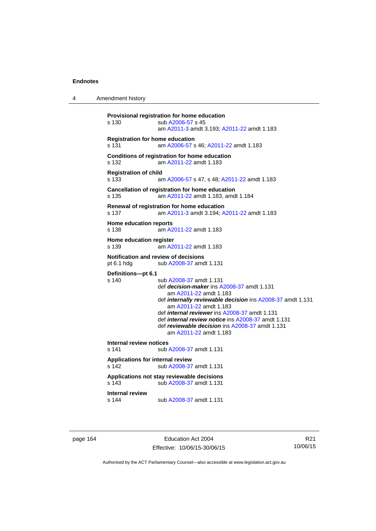4 Amendment history

```
Provisional registration for home education 
s 130 sub A2006-57 s 45 
                  am A2011-3 amdt 3.193; A2011-22 amdt 1.183 
Registration for home education 
s 131 am A2006-57 s 46; A2011-22 amdt 1.183 
Conditions of registration for home education 
s 132 am A2011-22 amdt 1.183
Registration of child 
s 133 am A2006-57 s 47, s 48; A2011-22 amdt 1.183 
Cancellation of registration for home education 
s 135 am A2011-22 amdt 1.183, amdt 1.184 
Renewal of registration for home education 
s 137 am A2011-3 amdt 3.194; A2011-22 amdt 1.183 
Home education reports 
s 138 am A2011-22 amdt 1.183
Home education register 
s 139 am A2011-22 amdt 1.183
Notification and review of decisions 
pt 6.1 hdg sub A2008-37 amdt 1.131 
Definitions—pt 6.1 
                 A2008-37 amdt 1.131
                  def decision-maker ins A2008-37 amdt 1.131 
                     am A2011-22 amdt 1.183
                  def internally reviewable decision ins A2008-37 amdt 1.131 
                     am A2011-22 amdt 1.183
                  def internal reviewer ins A2008-37 amdt 1.131 
                  def internal review notice ins A2008-37 amdt 1.131 
                  def reviewable decision ins A2008-37 amdt 1.131 
                     am A2011-22 amdt 1.183
Internal review notices 
                A2008-37 amdt 1.131
Applications for internal review 
s 142 sub A2008-37 amdt 1.131 
Applications not stay reviewable decisions 
s 143 sub A2008-37 amdt 1.131 
Internal review 
s 144 sub A2008-37 amdt 1.131
```
page 164 Education Act 2004 Effective: 10/06/15-30/06/15

R21 10/06/15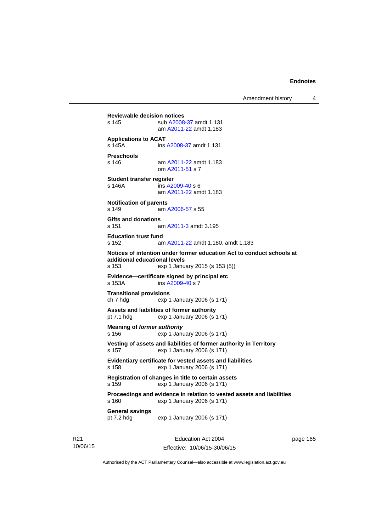Amendment history 4

**Reviewable decision notices**  s 145 sub [A2008-37](http://www.legislation.act.gov.au/a/2008-37) amdt 1.131 am [A2011-22](http://www.legislation.act.gov.au/a/2011-22) amdt 1.183 **Applications to ACAT**  s 145A ins [A2008-37](http://www.legislation.act.gov.au/a/2008-37) amdt 1.131 **Preschools**  s 146 am [A2011-22](http://www.legislation.act.gov.au/a/2011-22) amdt 1.183 om [A2011-51](http://www.legislation.act.gov.au/a/2011-51) s 7 **Student transfer register**  s 146A ins [A2009-40](http://www.legislation.act.gov.au/a/2009-40) s 6 am [A2011-22](http://www.legislation.act.gov.au/a/2011-22) amdt 1.183 **Notification of parents**  s 149 am [A2006-57](http://www.legislation.act.gov.au/a/2006-57) s 55 **Gifts and donations**  s 151 am [A2011-3](http://www.legislation.act.gov.au/a/2011-3) amdt 3.195 **Education trust fund**  s 152 am [A2011-22](http://www.legislation.act.gov.au/a/2011-22) amdt 1.180, amdt 1.183 **Notices of intention under former education Act to conduct schools at additional educational levels**  exp 1 January 2015 (s 153 (5)) **Evidence—certificate signed by principal etc**  s 153A ins [A2009-40](http://www.legislation.act.gov.au/a/2009-40) s 7 **Transitional provisions**  ch 7 hdg exp 1 January 2006 (s 171) **Assets and liabilities of former authority**  pt 7.1 hdg exp 1 January 2006 (s 171) **Meaning of** *former authority* s 156 exp 1 January 2006 (s 171) **Vesting of assets and liabilities of former authority in Territory**  s 157 exp 1 January 2006 (s 171) **Evidentiary certificate for vested assets and liabilities**  s 158 exp 1 January 2006 (s 171) **Registration of changes in title to certain assets**  s 159 exp 1 January 2006 (s 171) **Proceedings and evidence in relation to vested assets and liabilities**  s 160 exp 1 January 2006 (s 171) **General savings**  exp 1 January 2006 (s 171)

R21 10/06/15

Education Act 2004 Effective: 10/06/15-30/06/15 page 165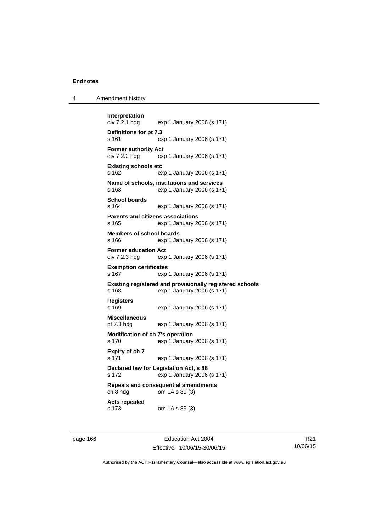| 4 | Amendment history |
|---|-------------------|
|---|-------------------|

```
Interpretation 
                exp 1 January 2006 (s 171)
Definitions for pt 7.3 
s 161 exp 1 January 2006 (s 171) 
Former authority Act 
div 7.2.2 hdg exp 1 January 2006 (s 171) 
Existing schools etc 
s 162 exp 1 January 2006 (s 171) 
Name of schools, institutions and services 
s 163 exp 1 January 2006 (s 171) 
School boards 
s 164 exp 1 January 2006 (s 171) 
Parents and citizens associations 
s 165 exp 1 January 2006 (s 171) 
Members of school boards 
s 166 exp 1 January 2006 (s 171) 
Former education Act 
div 7.2.3 hdg exp 1 January 2006 (s 171) 
Exemption certificates 
s 167 exp 1 January 2006 (s 171) 
Existing registered and provisionally registered schools 
s 168 exp 1 January 2006 (s 171) 
Registers 
s 169 exp 1 January 2006 (s 171) 
Miscellaneous 
pt 7.3 hdg exp 1 January 2006 (s 171) 
Modification of ch 7's operation 
s 170 exp 1 January 2006 (s 171) 
Expiry of ch 7 
s 171 exp 1 January 2006 (s 171) 
Declared law for Legislation Act, s 88 
s 172 exp 1 January 2006 (s 171) 
Repeals and consequential amendments 
ch 8 hdg om LA s 89 (3) 
Acts repealed 
s 173 om LA s 89 (3)
```
page 166 Education Act 2004 Effective: 10/06/15-30/06/15

R21 10/06/15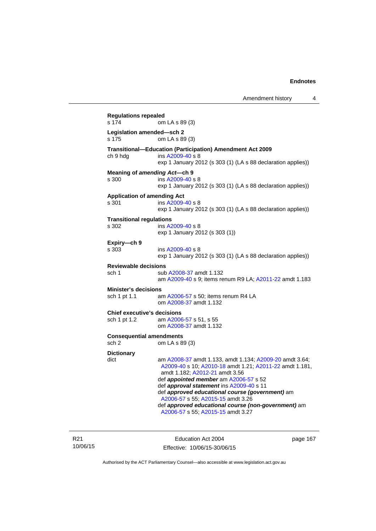**Regulations repealed**  om LA s 89 (3) **Legislation amended—sch 2**  om LA s 89 (3) **Transitional—Education (Participation) Amendment Act 2009**  ch 9 hdg ins [A2009-40](http://www.legislation.act.gov.au/a/2009-40) s 8 exp 1 January 2012 (s 303 (1) (LA s 88 declaration applies)) **Meaning of** *amending Act***—ch 9**  s 300 ins [A2009-40](http://www.legislation.act.gov.au/a/2009-40) s 8 exp 1 January 2012 (s 303 (1) (LA s 88 declaration applies)) **Application of amending Act**  s 301 ins [A2009-40](http://www.legislation.act.gov.au/a/2009-40) s 8 exp 1 January 2012 (s 303 (1) (LA s 88 declaration applies)) **Transitional regulations**  s 302 ins [A2009-40](http://www.legislation.act.gov.au/a/2009-40) s 8 exp 1 January 2012 (s 303 (1)) **Expiry—ch 9**  s 303 ins [A2009-40](http://www.legislation.act.gov.au/a/2009-40) s 8 exp 1 January 2012 (s 303 (1) (LA s 88 declaration applies)) **Reviewable decisions**  sub [A2008-37](http://www.legislation.act.gov.au/a/2008-37) amdt 1.132 am [A2009-40](http://www.legislation.act.gov.au/a/2009-40) s 9; items renum R9 LA; [A2011-22](http://www.legislation.act.gov.au/a/2011-22) amdt 1.183 **Minister's decisions**  sch 1 pt 1.1 am [A2006-57](http://www.legislation.act.gov.au/a/2006-57) s 50; items renum R4 LA om [A2008-37](http://www.legislation.act.gov.au/a/2008-37) amdt 1.132 **Chief executive's decisions**  sch 1 pt 1.2 am [A2006-57](http://www.legislation.act.gov.au/a/2006-57) s 51, s 55 om [A2008-37](http://www.legislation.act.gov.au/a/2008-37) amdt 1.132 **Consequential amendments**  sch 2 om LA s 89 (3) **Dictionary**  dict am [A2008-37](http://www.legislation.act.gov.au/a/2008-37) amdt 1.133, amdt 1.134; [A2009-20](http://www.legislation.act.gov.au/a/2009-20) amdt 3.64; [A2009-40](http://www.legislation.act.gov.au/a/2009-40) s 10; [A2010-18](http://www.legislation.act.gov.au/a/2010-18) amdt 1.21; [A2011-22](http://www.legislation.act.gov.au/a/2011-22) amdt 1.181, amdt 1.182; [A2012-21](http://www.legislation.act.gov.au/a/2012-21) amdt 3.56 def *appointed member* am [A2006-57](http://www.legislation.act.gov.au/a/2006-57) s 52 def *approval statement* ins [A2009-40](http://www.legislation.act.gov.au/a/2009-40) s 11 def *approved educational course (government)* am [A2006-57](http://www.legislation.act.gov.au/a/2006-57) s 55; [A2015-15](http://www.legislation.act.gov.au/a/2015-15/default.asp) amdt 3.26 def *approved educational course (non-government)* am [A2006-57](http://www.legislation.act.gov.au/a/2006-57) s 55; [A2015-15](http://www.legislation.act.gov.au/a/2015-15/default.asp) amdt 3.27

R21 10/06/15

Education Act 2004 Effective: 10/06/15-30/06/15 page 167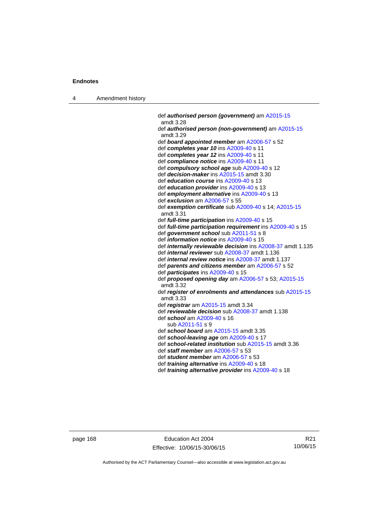4 Amendment history

 def *authorised person (government)* am [A2015-15](http://www.legislation.act.gov.au/a/2015-15/default.asp) amdt 3.28 def *authorised person (non-government)* am [A2015-15](http://www.legislation.act.gov.au/a/2015-15/default.asp) amdt 3.29 def *board appointed member* am [A2006-57](http://www.legislation.act.gov.au/a/2006-57) s 52 def *completes year 10* ins [A2009-40](http://www.legislation.act.gov.au/a/2009-40) s 11 def *completes year 12* ins [A2009-40](http://www.legislation.act.gov.au/a/2009-40) s 11 def *compliance notice* ins [A2009-40](http://www.legislation.act.gov.au/a/2009-40) s 11 def *compulsory school age* sub [A2009-40](http://www.legislation.act.gov.au/a/2009-40) s 12 def *decision-maker* ins [A2015-15](http://www.legislation.act.gov.au/a/2015-15/default.asp) amdt 3.30 def *education course* ins [A2009-40](http://www.legislation.act.gov.au/a/2009-40) s 13 def *education provider* ins [A2009-40](http://www.legislation.act.gov.au/a/2009-40) s 13 def *employment alternative* ins [A2009-40](http://www.legislation.act.gov.au/a/2009-40) s 13 def *exclusion* am [A2006-57](http://www.legislation.act.gov.au/a/2006-57) s 55 def *exemption certificate* sub [A2009-40](http://www.legislation.act.gov.au/a/2009-40) s 14; [A2015-15](http://www.legislation.act.gov.au/a/2015-15/default.asp) amdt 3.31 def *full-time participation* ins [A2009-40](http://www.legislation.act.gov.au/a/2009-40) s 15 def *full-time participation requirement* ins [A2009-40](http://www.legislation.act.gov.au/a/2009-40) s 15 def *government school* sub [A2011-51](http://www.legislation.act.gov.au/a/2011-51) s 8 def *information notice* ins [A2009-40](http://www.legislation.act.gov.au/a/2009-40) s 15 def *internally reviewable decision* ins [A2008-37](http://www.legislation.act.gov.au/a/2008-37) amdt 1.135 def *internal reviewer* sub [A2008-37](http://www.legislation.act.gov.au/a/2008-37) amdt 1.136 def *internal review notice* ins [A2008-37](http://www.legislation.act.gov.au/a/2008-37) amdt 1.137 def *parents and citizens member* am [A2006-57](http://www.legislation.act.gov.au/a/2006-57) s 52 def *participates* ins [A2009-40](http://www.legislation.act.gov.au/a/2009-40) s 15 def *proposed opening day* am [A2006-57](http://www.legislation.act.gov.au/a/2006-57) s 53; [A2015-15](http://www.legislation.act.gov.au/a/2015-15/default.asp) amdt 3.32 def *register of enrolments and attendances* sub [A2015-15](http://www.legislation.act.gov.au/a/2015-15/default.asp) amdt 3.33 def *registrar* am [A2015-15](http://www.legislation.act.gov.au/a/2015-15/default.asp) amdt 3.34 def *reviewable decision* sub [A2008-37](http://www.legislation.act.gov.au/a/2008-37) amdt 1.138 def *school* am [A2009-40](http://www.legislation.act.gov.au/a/2009-40) s 16 sub [A2011-51](http://www.legislation.act.gov.au/a/2011-51) s 9 def *school board* am [A2015-15](http://www.legislation.act.gov.au/a/2015-15/default.asp) amdt 3.35 def *school-leaving age* om [A2009-40](http://www.legislation.act.gov.au/a/2009-40) s 17 def *school-related institution* sub [A2015-15](http://www.legislation.act.gov.au/a/2015-15/default.asp) amdt 3.36 def *staff member* am [A2006-57](http://www.legislation.act.gov.au/a/2006-57) s 53 def *student member* am [A2006-57](http://www.legislation.act.gov.au/a/2006-57) s 53 def *training alternative* ins [A2009-40](http://www.legislation.act.gov.au/a/2009-40) s 18

def *training alternative provider* ins [A2009-40](http://www.legislation.act.gov.au/a/2009-40) s 18

page 168 Education Act 2004 Effective: 10/06/15-30/06/15

R21 10/06/15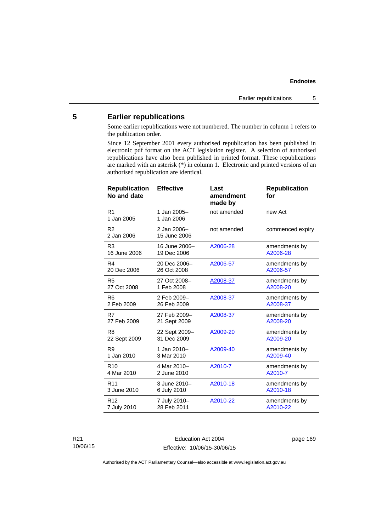## **Endnotes**

## **5 Earlier republications**

Some earlier republications were not numbered. The number in column 1 refers to the publication order.

Since 12 September 2001 every authorised republication has been published in electronic pdf format on the ACT legislation register. A selection of authorised republications have also been published in printed format. These republications are marked with an asterisk (\*) in column 1. Electronic and printed versions of an authorised republication are identical.

| <b>Republication</b><br>No and date | <b>Effective</b>            | Last<br>amendment<br>made by | <b>Republication</b><br>for |
|-------------------------------------|-----------------------------|------------------------------|-----------------------------|
| R <sub>1</sub><br>1 Jan 2005        | 1 Jan 2005-<br>1 Jan 2006   | not amended                  | new Act                     |
| R <sub>2</sub><br>2 Jan 2006        | 2 Jan 2006-<br>15 June 2006 | not amended                  | commenced expiry            |
| R <sub>3</sub>                      | 16 June 2006-               | A2006-28                     | amendments by               |
| 16 June 2006                        | 19 Dec 2006                 |                              | A2006-28                    |
| R4                                  | 20 Dec 2006-                | A2006-57                     | amendments by               |
| 20 Dec 2006                         | 26 Oct 2008                 |                              | A2006-57                    |
| R <sub>5</sub>                      | 27 Oct 2008-                | A2008-37                     | amendments by               |
| 27 Oct 2008                         | 1 Feb 2008                  |                              | A2008-20                    |
| R <sub>6</sub>                      | 2 Feb 2009-                 | A2008-37                     | amendments by               |
| 2 Feb 2009                          | 26 Feb 2009                 |                              | A2008-37                    |
| R7                                  | 27 Feb 2009-                | A2008-37                     | amendments by               |
| 27 Feb 2009                         | 21 Sept 2009                |                              | A2008-20                    |
| R <sub>8</sub>                      | 22 Sept 2009-               | A2009-20                     | amendments by               |
| 22 Sept 2009                        | 31 Dec 2009                 |                              | A2009-20                    |
| R <sub>9</sub>                      | 1 Jan 2010-                 | A2009-40                     | amendments by               |
| 1 Jan 2010                          | 3 Mar 2010                  |                              | A2009-40                    |
| R <sub>10</sub>                     | 4 Mar 2010-                 | A2010-7                      | amendments by               |
| 4 Mar 2010                          | 2 June 2010                 |                              | A2010-7                     |
| R <sub>11</sub>                     | 3 June 2010-                | A2010-18                     | amendments by               |
| 3 June 2010                         | 6 July 2010                 |                              | A2010-18                    |
| R <sub>12</sub>                     | 7 July 2010-                | A2010-22                     | amendments by               |
| 7 July 2010                         | 28 Feb 2011                 |                              | A2010-22                    |

R21 10/06/15

Education Act 2004 Effective: 10/06/15-30/06/15 page 169

Authorised by the ACT Parliamentary Counsel—also accessible at www.legislation.act.gov.au